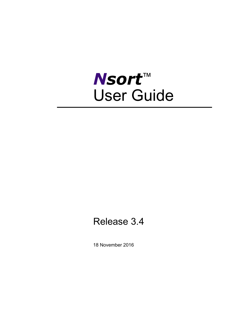# *Nsort*™ User Guide

# Release 3.4

18 November 2016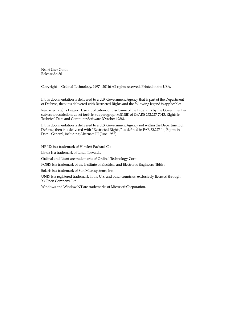Nsort User Guide Release 3.4.56

Copyright © Ordinal Technology. 1997 - 20116 All rights reserved. Printed in the USA.

If this documentation is delivered to a U.S. Government Agency that is part of the Department of Defense, then it is delivered with Restricted Rights and the following legend is applicable:

Restricted Rights Legend: Use, duplication, or disclosure of the Programs by the Government is subject to restrictions as set forth in subparagraph (c)(1)(ii) of DFARS 252.227-7013, Rights in Technical Data and Computer Software (October 1988).

If this documentation is delivered to a U.S. Government Agency not within the Department of Defense, then it is delivered with "Restricted Rights," as defined in FAR 52.227-14, Rights in Data - General, including Alternate III (June 1987).

HP-UX is a trademark of Hewlett-Packard Co.

Linux is a trademark of Linus Torvalds.

Ordinal and Nsort are trademarks of Ordinal Technology Corp.

POSIX is a trademark of the Institute of Electrical and Electronic Engineers (IEEE).

Solaris is a trademark of Sun Microsystems, Inc.

UNIX is a registered trademark in the U.S. and other countries, exclusively licensed through X/Open Company, Ltd.

Windows and Window NT are trademarks of Microsoft Corporation.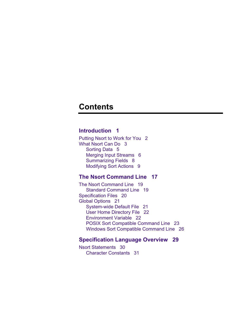# **Contents**

## **[Introduction 1](#page-12-0)**

[Putting Nsort to Work for You 2](#page-13-0) [What Nsort Can Do 3](#page-14-0) [Sorting Data 5](#page-16-0) [Merging Input Streams 6](#page-17-0) [Summarizing Fields 8](#page-19-0) [Modifying Sort Actions 9](#page-20-0)

#### **[The Nsort Command Line 17](#page-28-0)**

[The Nsort Command Line 19](#page-30-0) [Standard Command Line 19](#page-30-1) [Specification Files 20](#page-31-0) [Global Options 21](#page-32-0) [System-wide Default File 21](#page-32-1) [User Home Directory File 22](#page-33-0) [Environment Variable 22](#page-33-1) [POSIX Sort Compatible Command Line 23](#page-34-0) [Windows Sort Compatible Command Line 26](#page-37-0)

## **[Specification Language Overview 29](#page-40-0)**

[Nsort Statements 30](#page-41-0) [Character Constants 31](#page-42-0)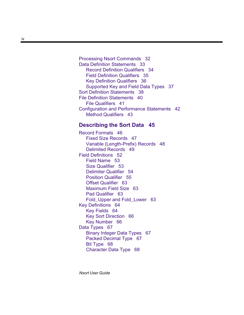[Processing Nsort Commands 32](#page-43-0) [Data Definition Statements 33](#page-44-0) [Record Definition Qualifiers 34](#page-45-0) [Field Definition Qualifiers 35](#page-46-0) [Key Definition Qualifiers 36](#page-47-0) [Supported Key and Field Data Types 37](#page-48-0) [Sort Definition Statements 38](#page-49-0) [File Definition Statements 40](#page-51-0) [File Qualifiers 41](#page-52-0) [Configuration and Performance Statements 42](#page-53-0) [Method Qualifiers 43](#page-54-0)

#### **[Describing the Sort Data 45](#page-56-0)**

[Record Formats 46](#page-57-0) [Fixed Size Records 47](#page-58-0) [Variable \(Length-Prefix\) Records 48](#page-59-0) [Delimited Records 49](#page-60-0) [Field Definitions 52](#page-63-0) [Field Name 53](#page-64-0) [Size Qualifier 53](#page-64-1) [Delimiter Qualifier 54](#page-65-0) [Position Qualifier 55](#page-66-0) [Offset Qualifier 63](#page-74-0) [Maximum Field Size 63](#page-74-1) [Pad Qualifier 63](#page-74-2) [Fold\\_Upper and Fold\\_Lower 63](#page-74-3) [Key Definitions 64](#page-75-0) [Key Fields 64](#page-75-1) [Key Sort Direction 66](#page-77-0) [Key Number 66](#page-77-1) [Data Types 67](#page-78-0) [Binary Integer Data Types 67](#page-78-1) [Packed Decimal Type 67](#page-78-2) [Bit Type 68](#page-79-0) [Character Data Type 68](#page-79-1)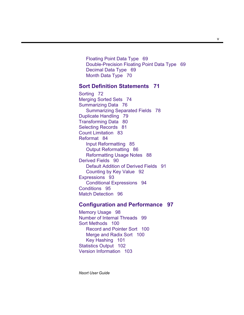[Floating Point Data Type 69](#page-80-0) [Double-Precision Floating Point Data Type 69](#page-80-1) [Decimal Data Type 69](#page-80-2) [Month Data Type 70](#page-81-0)

#### **[Sort Definition Statements 71](#page-82-0)**

[Sorting 72](#page-83-0) [Merging Sorted Sets 74](#page-85-0) [Summarizing Data 76](#page-87-0) [Summarizing Separated Fields 78](#page-89-0) [Duplicate Handling 79](#page-90-0) [Transforming Data 80](#page-91-0) [Selecting Records 81](#page-92-0) [Count Limitation 83](#page-94-0) [Reformat 84](#page-95-0) [Input Reformatting 85](#page-96-0) [Output Reformatting 86](#page-97-0) [Reformatting Usage Notes 88](#page-99-0) [Derived Fields 90](#page-101-0) [Default Addition of Derived Fields 91](#page-102-0) [Counting by Key Value 92](#page-103-0) [Expressions 93](#page-104-0) [Conditional Expressions 94](#page-105-0) [Conditions 95](#page-106-0) [Match Detection 96](#page-107-0)

#### **[Configuration and Performance 97](#page-108-0)**

[Memory Usage 98](#page-109-0) [Number of Internal Threads 99](#page-110-0) [Sort Methods 100](#page-111-0) [Record and Pointer Sort 100](#page-111-1) [Merge and Radix Sort 100](#page-111-2) [Key Hashing 101](#page-112-0) [Statistics Output 102](#page-113-0) [Version Information 103](#page-114-0)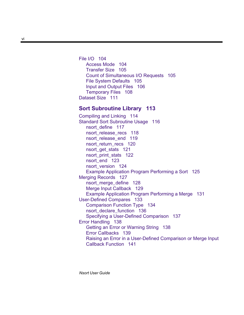[File I/O 104](#page-115-0) [Access Mode 104](#page-115-1) [Transfer Size 105](#page-116-0) [Count of Simultaneous I/O Requests 105](#page-116-1) [File System Defaults 105](#page-116-2) [Input and Output Files 106](#page-117-0) [Temporary Files 108](#page-119-0) [Dataset Size 111](#page-122-0)

#### **[Sort Subroutine Library 113](#page-124-0)**

[Compiling and Linking 114](#page-125-0) [Standard Sort Subroutine Usage 116](#page-127-0) [nsort\\_define 117](#page-128-0) [nsort\\_release\\_recs 118](#page-129-0) nsort release end 119 [nsort\\_return\\_recs 120](#page-131-0) [nsort\\_get\\_stats 121](#page-132-0) [nsort\\_print\\_stats 122](#page-133-0) nsort end 123 [nsort\\_version 124](#page-135-0) [Example Application Program Performing a Sort 125](#page-136-0) [Merging Records 127](#page-138-0) [nsort\\_merge\\_define 128](#page-139-0) [Merge Input Callback 129](#page-140-0) [Example Application Program Performing a Merge 131](#page-142-0) [User-Defined Compares 133](#page-144-0) [Comparison Function Type 134](#page-145-0) nsort declare function 136 [Specifying a User-Defined Comparison 137](#page-148-0) [Error Handling 138](#page-149-0) [Getting an Error or Warning String 138](#page-149-1) [Error Callbacks 139](#page-150-0) [Raising an Error in a User-Defined Comparison or Merge Input](#page-152-0)  [Callback Function 141](#page-152-0)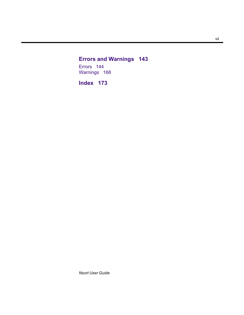# **[Errors and Warnings 143](#page-154-0)**

[Errors 144](#page-155-0) [Warnings 168](#page-179-0)

**[Index 173](#page-184-0)**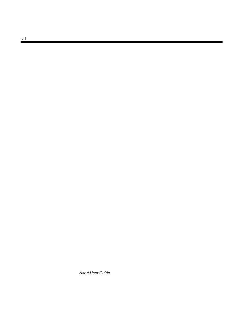viii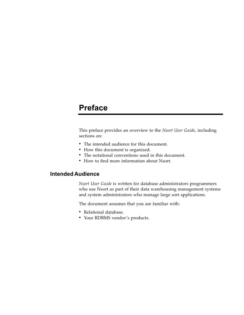# **Preface**

This preface provides an overview to the *Nsort User Guide*, including sections on:

- The intended audience for this document.
- How this document is organized.
- The notational conventions used in this document.
- How to find more information about Nsort.

#### **Intended Audience**

*Nsort User Guide* is written for database administrators programmers who use Nsort as part of their data warehousing management systems and system administrators who manage large sort applications.

The document assumes that you are familiar with:

- Relational database.
- Your RDBMS vendor's products.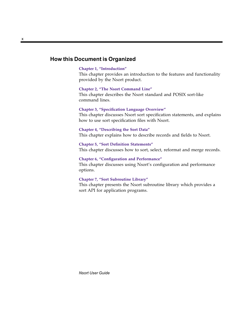#### **How this Document is Organized**

#### **[Chapter 1, "Introduction"](#page-12-1)**

This chapter provides an introduction to the features and functionality provided by the Nsort product.

#### **[Chapter 2, "The Nsort Command Line"](#page-28-1)**

This chapter describes the Nsort standard and POSIX sort-like command lines.

#### **[Chapter 3, "Specification Language Overview](#page-40-1)"**

This chapter discusses Nsort sort specification statements, and explains how to use sort specification files with Nsort.

**[Chapter 4, "Describing the Sort Data"](#page-56-1)** This chapter explains how to describe records and fields to Nsort.

**[Chapter 5, "Sort Definition Statements](#page-82-1)"** This chapter discusses how to sort, select, reformat and merge records.

#### **[Chapter 6, "Configuration and Performance"](#page-108-1)**

This chapter discusses using Nsort's configuration and performance options.

#### **[Chapter 7, "Sort Subroutine Library"](#page-124-1)**

This chapter presents the Nsort subroutine library which provides a sort API for application programs.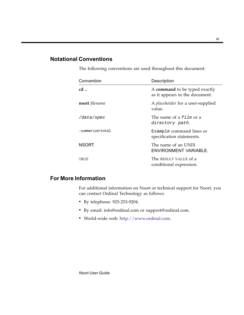# **Notational Conventions**

The following conventions are used throughout this document:

| Convention            | Description                                                     |
|-----------------------|-----------------------------------------------------------------|
| $cd$                  | A command to be typed exactly<br>as it appears in the document. |
| <b>nsort</b> filename | A placeholder for a user-supplied<br>value.                     |
| /data/spec            | The name of a file or a<br>directory path.                      |
| -summarize=total      | Example command lines or<br>specification statements.           |
| <b>NSORT</b>          | The name of an UNIX<br>ENVIRONMENT VARIABLE.                    |
| TRUE                  | The RESULT VALUE of a<br>conditional expression.                |

# **For More Information**

For additional information on Nsort or technical support for Nsort, you can contact Ordinal Technology as follows:

- By telephone: 925-253-9204.
- By email: info@ordinal.com or support@ordinal.com.
- World-wide web: <http://www.ordinal.com>.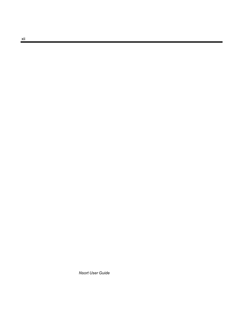xii

*Nsort User Guide*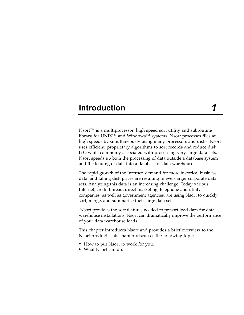# <span id="page-12-1"></span><span id="page-12-0"></span>**Introduction** *1*

Nsort™ is a multiprocessor, high speed sort utility and subroutine library for UNIX™ and Windows™ systems. Nsort processes files at high speeds by simultaneously using many processors and disks. Nsort uses efficient, proprietary algorithms to sort records and reduce disk I/O waits commonly associated with processing very large data sets. Nsort speeds up both the processing of data outside a database system and the loading of data into a database or data warehouse.

The rapid growth of the Internet, demand for more historical business data, and falling disk prices are resulting in ever-larger corporate data sets. Analyzing this data is an increasing challenge. Today various Internet, credit bureau, direct marketing, telephone and utility companies, as well as government agencies, are using Nsort to quickly sort, merge, and summarize their large data sets.

Nsort provides the sort features needed to presort load data for data warehouse installations. Nsort can dramatically improve the performance of your data warehouse loads.

This chapter introduces Nsort and provides a brief overview to the Nsort product. This chapter discusses the following topics:

- **•** How to put Nsort to work for you.
- **•** What Nsort can do.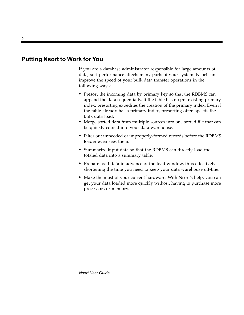# <span id="page-13-0"></span>**Putting Nsort to Work for You**

If you are a database administrator responsible for large amounts of data, sort performance affects many parts of your system. Nsort can improve the speed of your bulk data transfer operations in the following ways:

- **•** Presort the incoming data by primary key so that the RDBMS can append the data sequentially. If the table has no pre-existing primary index, presorting expedites the creation of the primary index. Even if the table already has a primary index, presorting often speeds the bulk data load.
- **•** Merge sorted data from multiple sources into one sorted file that can be quickly copied into your data warehouse.
- **•** Filter out unneeded or improperly-formed records before the RDBMS loader even sees them.
- **•** Summarize input data so that the RDBMS can directly load the totaled data into a summary table.
- **•** Prepare load data in advance of the load window, thus effectively shortening the time you need to keep your data warehouse off-line.
- **•** Make the most of your current hardware. With Nsort's help, you can get your data loaded more quickly without having to purchase more processors or memory.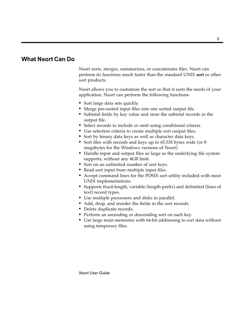## <span id="page-14-0"></span>**What Nsort Can Do**

Nsort sorts, merges, summarizes, or concatenates files. Nsort can perform its functions much faster than the standard UNIX **sort** or other sort products.

Nsort allows you to customize the sort so that it suits the needs of your application. Nsort can perform the following functions:

- **•** Sort large data sets quickly.
- **•** Merge pre-sorted input files into one sorted output file.
- **•** Subtotal fields by key value and store the subtotal records in the output file.
- **•** Select records to include or omit using conditional criteria.
- **•** Use selection criteria to create multiple sort output files.
- **•** Sort by binary data keys as well as character data keys.
- **•** Sort files with records and keys up to 65,535 bytes wide (or 8 megabytes for the Windows versions of Nsort).
- **•** Handle input and output files as large as the underlying file system supports, without any 4GB limit.
- **•** Sort on an unlimited number of sort keys.
- **•** Read sort input from multiple input files.
- **•** Accept command lines for the POSIX sort utility included with most UNIX implementations.
- **•** Supports fixed-length, variable (length-prefix) and delimited (lines of text) record types.
- **•** Use multiple processors and disks in parallel.
- **•** Add, drop, and reorder the fields in the sort records.
- **•** Delete duplicate records.
- **•** Perform an ascending or descending sort on each key.
- **•** Use large main memories with 64-bit addressing to sort data without using temporary files.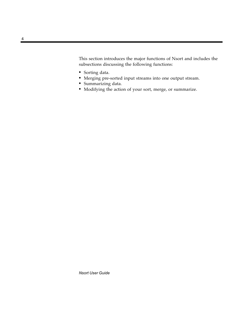This section introduces the major functions of Nsort and includes the subsections discussing the following functions:

- **•** Sorting data.
- **•** Merging pre-sorted input streams into one output stream.
- **•** Summarizing data.
- **•** Modifying the action of your sort, merge, or summarize.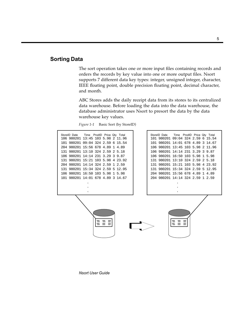#### <span id="page-16-0"></span>**Sorting Data**

The sort operation takes one or more input files containing records and orders the records by key value into one or more output files. Nsort supports 7 different data key types: integer, unsigned integer, character, IEEE floating point, double precision floating point, decimal character, and month.

ABC Stores adds the daily receipt data from its stores to its centralized data warehouse. Before loading the data into the data warehouse, the database administrator uses Nsort to presort the data by the data warehouse key values.

*Figure 1-1* Basic Sort (by StoreID)

| StoreID Date Time ProdID Price Qty Total |  |  |  |
|------------------------------------------|--|--|--|
| 106 980201 13:45 103 5.98 2 11.96        |  |  |  |
| 101 980201 09:04 324 2.59 6 15.54        |  |  |  |
| 204 980201 15:56 678 4.89 1 4.89         |  |  |  |
| 131 980201 13:10 324 2.59 2 5.18         |  |  |  |
| 106 980201 14:14 231 3.29 3 9.87         |  |  |  |
| 131 980201 15:21 103 5.98 4 23.92        |  |  |  |
| 204 980201 14:14 324 2.59 1 2.59         |  |  |  |
| 131 980201 15:34 324 2.59 5 12.95        |  |  |  |
| 106 980201 16:50 103 5.98 1 5.98         |  |  |  |
| 101 980201 14:01 678 4.89 3 14.67        |  |  |  |
|                                          |  |  |  |
|                                          |  |  |  |

| StoreID Date Time ProdID Price Qty Total |  |  |  |
|------------------------------------------|--|--|--|
| 101 980201 09:04 324 2.59 6 15.54        |  |  |  |
| 101 980201 14:01 678 4.89 3 14.67        |  |  |  |
| 106 980201 13:45 103 5.98 2 11.96        |  |  |  |
| 106 980201 14:14 231 3.29 3 9.87         |  |  |  |
| 106 980201 16:50 103 5.98 1 5.98         |  |  |  |
| 131 980201 13:10 324 2.59 2 5.18         |  |  |  |
| 131 980201 15:21 103 5.98 4 23.92        |  |  |  |
| 131 980201 15:34 324 2.59 5 12.95        |  |  |  |
| 204 980201 15:56 678 4.89 1 4.89         |  |  |  |
| 204 980201 14:14 324 2.59 1 2.59         |  |  |  |
|                                          |  |  |  |
|                                          |  |  |  |



*Nsort User Guide*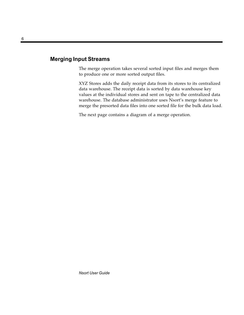## <span id="page-17-0"></span>**Merging Input Streams**

The merge operation takes several sorted input files and merges them to produce one or more sorted output files.

XYZ Stores adds the daily receipt data from its stores to its centralized data warehouse. The receipt data is sorted by data warehouse key values at the individual stores and sent on tape to the centralized data warehouse. The database administrator uses Nsort's merge feature to merge the presorted data files into one sorted file for the bulk data load.

The next page contains a diagram of a merge operation.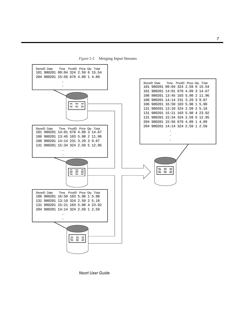

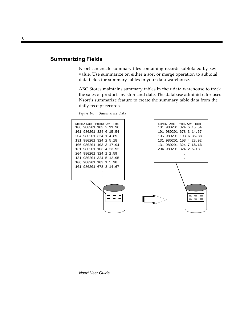#### <span id="page-19-0"></span>**Summarizing Fields**

Nsort can create summary files containing records subtotaled by key value. Use summarize on either a sort or merge operation to subtotal data fields for summary tables in your data warehouse.

ABC Stores maintains summary tables in their data warehouse to track the sales of products by store and date. The database administrator uses Nsort's summarize feature to create the summary table data from the daily receipt records.

| StoreID Date ProdID Qty Total |  |  |
|-------------------------------|--|--|
| 106 980201 103 2 11.96        |  |  |
| 101 980201 324 6 15.54        |  |  |
| 204 980201 324 1 4.89         |  |  |
| 131 980201 324 2 5.18         |  |  |
| 106 980201 103 3 17.94        |  |  |
| 131 980201 103 4 23.92        |  |  |
| 204 980201 324 1 2.59         |  |  |
| 131 980201 324 5 12.95        |  |  |
| 106 980201 103 1 5.98         |  |  |
| 101 980201 678 3 14.67        |  |  |
|                               |  |  |
|                               |  |  |
|                               |  |  |
|                               |  |  |
|                               |  |  |
|                               |  |  |
|                               |  |  |
|                               |  |  |
|                               |  |  |

*Figure 1-3* Summarize Data

| StoreID Date ProdID Qty Total<br>101 980201 324 6 15.54<br>101 980201 678 3 14.67<br>106 980201 103 6 35.88<br>131 980201 103 4 23.92<br>131 980201 324 7 18.13<br>204 980201 324 2 5.18 |  |  |
|------------------------------------------------------------------------------------------------------------------------------------------------------------------------------------------|--|--|
|                                                                                                                                                                                          |  |  |
|                                                                                                                                                                                          |  |  |
|                                                                                                                                                                                          |  |  |
|                                                                                                                                                                                          |  |  |
|                                                                                                                                                                                          |  |  |

*Nsort User Guide*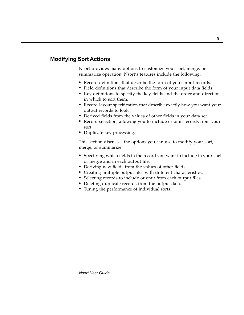## <span id="page-20-0"></span>**Modifying Sort Actions**

Nsort provides many options to customize your sort, merge, or summarize operation. Nsort's features include the following:

- **•** Record definitions that describe the form of your input records.
- **•** Field definitions that describe the form of your input data fields.
- **•** Key definitions to specify the key fields and the order and direction in which to sort them.
- **•** Record layout specification that describe exactly how you want your output records to look.
- **•** Derived fields from the values of other fields in your data set.
- **•** Record selection, allowing you to include or omit records from your sort.
- **•** Duplicate key processing.

This section discusses the options you can use to modify your sort, merge, or summarize:

- **•** Specifying which fields in the record you want to include in your sort or merge and in each output file.
- **•** Deriving new fields from the values of other fields.
- **•** Creating multiple output files with different characteristics.
- **•** Selecting records to include or omit from each output files.
- **•** Deleting duplicate records from the output data.
- **•** Tuning the performance of individual sorts.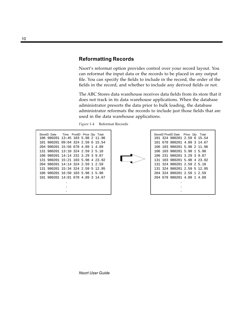#### **Reformatting Records**

Nsort's reformat option provides control over your record layout. You can reformat the input data or the records to be placed in any output file. You can specify the fields to include in the record, the order of the fields in the record, and whether to include any derived fields or not.

The ABC Stores data warehouse receives data fields from its store that it does not track in its data warehouse applications. When the database administrator presorts the data prior to bulk loading, the database administrator reformats the records to include just those fields that are used in the data warehouse applications.

*Figure 1-4* Reformat Records



*Nsort User Guide*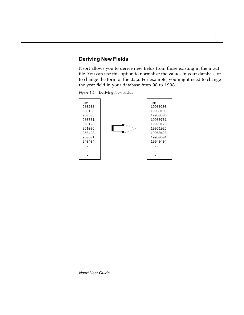#### **Deriving New Fields**

Nsort allows you to derive new fields from those existing in the input file. You can use this option to normalize the values in your database or to change the form of the data. For example, you might need to change the year field in your database from 98 to 1998.

*Figure 1-5* Deriving New Fields



*Nsort User Guide*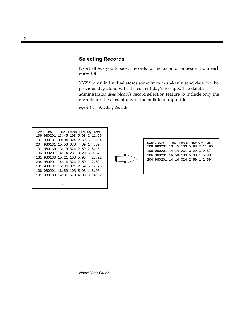#### **Selecting Records**

Nsort allows you to select records for inclusion or omission from each output file.

XYZ Stores' individual stores sometimes mistakenly send data for the previous day along with the current day's receipts. The database administrator uses Nsort's record selection feature to include only the receipts for the current day in the bulk load input file.

*Figure 1-6* Selecting Records

StoreID Date Time ProdID Price Qty Total 106 980201 13:45 103 5.98 2 11.96 101 980131 09:04 324 2.59 6 15.54 204 980131 15:56 678 4.89 1 4.89 131 980130 13:10 324 2.59 2 5.18 106 980201 14:14 231 3.29 3 9.87 131 980130 15:21 103 5.98 4 23.92 204 980201 14:14 324 2.59 1 2.59 131 980131 15:34 324 2.59 5 12.95 106 980201 16:50 103 5.98 1 5.98 101 980130 14:01 678 4.89 3 14.67 . .



|  | StorelD Date Time ProdID Price Qty Total |  |  |  |
|--|------------------------------------------|--|--|--|
|  | 106 980201 13:45 103 5.98 2 11.96        |  |  |  |
|  | 106 980201 14:14 231 3.29 3 9.87         |  |  |  |
|  | 106 980201 16:50 103 5.98 1 5.98         |  |  |  |
|  | 204 980201 14:14 324 2.59 1 2.59         |  |  |  |
|  |                                          |  |  |  |
|  |                                          |  |  |  |
|  |                                          |  |  |  |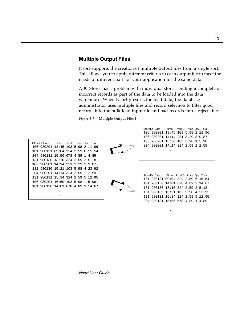#### **Multiple Output Files**

Nsort supports the creation of multiple output files from a single sort. This allows you to apply different criteria to each output file to meet the needs of different parts of your application for the same data.

ABC Stores has a problem with individual stores sending incomplete or incorrect records as part of the data to be loaded into the data warehouse. When Nsort presorts the load data, the database administrator uses multiple files and record selection to filter good records into the bulk load input file and bad records into a rejects file.

*Figure 1-7* Multiple Output Files1

|                                             | Time ProdID Price Qty Total<br>StoreID Date<br>106 980201 13:45 103 5.98 2 11.96<br>106 980201 14:14 231 3.29 3 9.87 |
|---------------------------------------------|----------------------------------------------------------------------------------------------------------------------|
| Time ProdID Price Qty Total<br>StoreID Date | 106 980201 16:50 103 5.98 1 5.98                                                                                     |
| 106 980201 13:45 103 5.98 2 11.96           | 204 980201 14:14 324 2.59 1 2.59                                                                                     |
| 101 980131 09:04 324 2.59 6 15.54           |                                                                                                                      |
| 204 980131 15:56 678 4.89 1 4.89            |                                                                                                                      |
| 131 980130 13:10 324 2.59 2 5.18            |                                                                                                                      |
| 106 980201 14:14 231 3.29 3 9.87            |                                                                                                                      |
| 131 980130 15:21 103 5.98 4 23.92           |                                                                                                                      |
| 204 980201 14:14 324 2.59 1 2.59            |                                                                                                                      |
| 131 980131 15:34 324 2.59 5 12.95           | Time ProdID Price Qty Total<br>StoreID Date<br>101 980131 09:04 324 2.59 6 15.54                                     |
| 106 980201 16:50 103 5.98 1 5.98            | 101 980130 14:01 678 4.89 3 14.67                                                                                    |
| 101 980130 14:01 678 4.89 3 14.67           | 131 980130 13:10 324 2.59 2 5.18                                                                                     |
|                                             | 131 980130 15:21 103 5.98 4 23.92                                                                                    |
|                                             | 131 980131 15:34 324 2.59 5 12.95                                                                                    |
|                                             |                                                                                                                      |
|                                             | 204 980131 15:56 678 4.89 1 4.89                                                                                     |
|                                             |                                                                                                                      |
|                                             |                                                                                                                      |

*Nsort User Guide*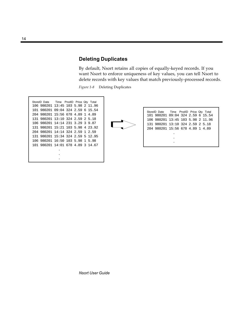## **Deleting Duplicates**

By default, Nsort retains all copies of equally-keyed records. If you want Nsort to enforce uniqueness of key values, you can tell Nsort to delete records with key values that match previously-processed records.

*Figure 1-8* Deleting Duplicates

| StoreID Date Time ProdID Price Qty Total |  |  |  |
|------------------------------------------|--|--|--|
| 106 980201 13:45 103 5.98 2 11.96        |  |  |  |
| 101 980201 09:04 324 2.59 6 15.54        |  |  |  |
| 204 980201 15:56 678 4.89 1 4.89         |  |  |  |
| 131 980201 13:10 324 2.59 2 5.18         |  |  |  |
| 106 980201 14:14 231 3.29 3 9.87         |  |  |  |
| 131 980201 15:21 103 5.98 4 23.92        |  |  |  |
| 204 980201 14:14 324 2.59 1 2.59         |  |  |  |
| 131 980201 15:34 324 2.59 5 12.95        |  |  |  |
| 106 980201 16:50 103 5.98 1 5.98         |  |  |  |
| 101 980201 14:01 678 4.89 3 14.67        |  |  |  |
|                                          |  |  |  |
|                                          |  |  |  |
|                                          |  |  |  |



| StoreID Date Time ProdID Price Qty Total<br>101 980201 09:04 324 2.59 6 15.54 |
|-------------------------------------------------------------------------------|
| 106 980201 13:45 103 5.98 2 11.96                                             |
| 131 980201 13:10 324 2.59 2 5.18                                              |
| 204 980201 15:56 678 4.89 1 4.89                                              |
|                                                                               |
|                                                                               |
|                                                                               |
|                                                                               |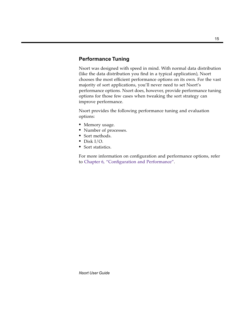#### **Performance Tuning**

Nsort was designed with speed in mind. With normal data distribution (like the data distribution you find in a typical application), Nsort chooses the most efficient performance options on its own. For the vast majority of sort applications, you'll never need to set Nsort's performance options. Nsort does, however, provide performance tuning options for those few cases when tweaking the sort strategy can improve performance.

Nsort provides the following performance tuning and evaluation options:

- **•** Memory usage.
- **•** Number of processes.
- **•** Sort methods.
- **•** Disk I/O.
- **•** Sort statistics.

For more information on configuration and performance options, refer to [Chapter 6, "Configuration and Performance"](#page-108-1).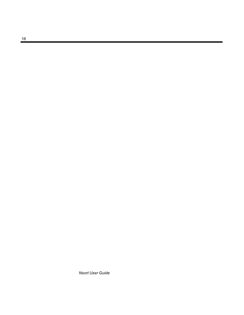16

*Nsort User Guide*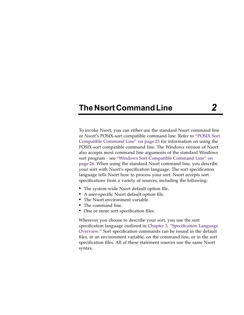# <span id="page-28-1"></span><span id="page-28-0"></span>**The Nsort Command Line** *2*

To invoke Nsort, you can either use the standard Nsort command line or Nsort's POSIX-sort compatible command line. Refer to ["POSIX Sort](#page-34-0)  [Compatible Command Line" on page 23](#page-34-0) for information on using the POSIX-sort compatible command line. The Windows version of Nsort also accepts most command line arguments of the standard Windows sort program - see ["Windows Sort Compatible Command Line" on](#page-37-0)  [page 26](#page-37-0). When using the standard Nsort command line, you describe your sort with Nsort's specification language. The sort specification language tells Nsort how to process your sort. Nsort accepts sort specifications from a variety of sources, including the following:

- **•** The system-wide Nsort default option file.
- **•** A user-specific Nsort default option file.
- **•** The Nsort environment variable.
- **•** The command line.
- **•** One or more sort specification files.

Wherever you choose to describe your sort, you use the sort specification language outlined in [Chapter 3, "Specification Language](#page-40-1)  [Overview](#page-40-1)." Sort specification commands can be issued in the default files, in an environment variable, on the command line, or in the sort specification files. All of these statement sources use the same Nsort syntax.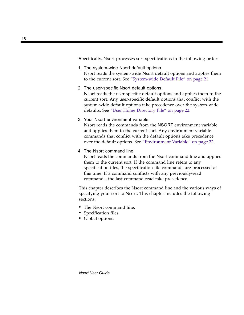Specifically, Nsort processes sort specifications in the following order:

- 1. The system-wide Nsort default options. Nsort reads the system-wide Nsort default options and applies them to the current sort. See ["System-wide Default File" on page 21](#page-32-1).
- 2. The user-specific Nsort default options.

Nsort reads the user-specific default options and applies them to the current sort. Any user-specific default options that conflict with the system-wide default options take precedence over the system-wide defaults. See ["User Home Directory File" on page 22](#page-33-0).

3. Your Nsort environment variable.

Nsort reads the commands from the NSORT environment variable and applies them to the current sort. Any environment variable commands that conflict with the default options take precedence over the default options. See ["Environment Variable" on page 22](#page-33-1).

4. The Nsort command line.

Nsort reads the commands from the Nsort command line and applies them to the current sort. If the command line refers to any specification files, the specification file commands are processed at this time. If a command conflicts with any previously-read commands, the last command read take precedence.

This chapter describes the Nsort command line and the various ways of specifying your sort to Nsort. This chapter includes the following sections:

- **•** The Nsort command line.
- **•** Specification files.
- **•** Global options.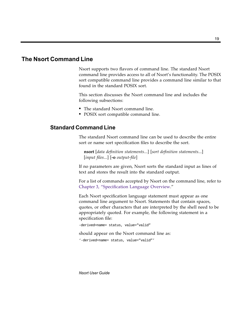#### <span id="page-30-0"></span>**The Nsort Command Line**

Nsort supports two flavors of command line. The standard Nsort command line provides access to all of Nsort's functionality. The POSIX sort compatible command line provides a command line similar to that found in the standard POSIX sort.

This section discusses the Nsort command line and includes the following subsections:

- **•** The standard Nsort command line.
- **•** POSIX sort compatible command line.

## <span id="page-30-1"></span>**Standard Command Line**

The standard Nsort command line can be used to describe the entire sort or name sort specification files to describe the sort.

**nsort** [*data definition statements*...] [*sort definition statements*...] [*input files*...] [**-o** *output-file*]

If no parameters are given, Nsort sorts the standard input as lines of text and stores the result into the standard output.

For a list of commands accepted by Nsort on the command line, refer to [Chapter 3, "Specification Language Overview](#page-40-1)."

Each Nsort specification language statement must appear as one command line argument to Nsort. Statements that contain spaces, quotes, or other characters that are interpreted by the shell need to be appropriately quoted. For example, the following statement in a specification file:

-derived=name= status, value="valid"

should appear on the Nsort command line as:

'-derived=name= status, value="valid"'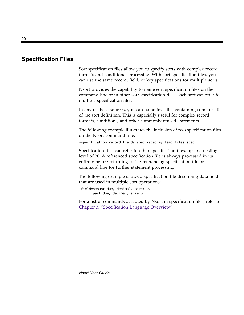## <span id="page-31-0"></span>**Specification Files**

Sort specification files allow you to specify sorts with complex record formats and conditional processing. With sort specification files, you can use the same record, field, or key specifications for multiple sorts.

Nsort provides the capability to name sort specification files on the command line or in other sort specification files. Each sort can refer to multiple specification files.

In any of these sources, you can name text files containing some or all of the sort definition. This is especially useful for complex record formats, conditions, and other commonly reused statements.

The following example illustrates the inclusion of two specification files on the Nsort command line:

```
-specification:record_fields.spec -spec:my_temp_files.spec
```
Specification files can refer to other specification files, up to a nesting level of 20. A referenced specification file is always processed in its entirety before returning to the referencing specification file or command line for further statement processing.

The following example shows a specification file describing data fields that are used in multiple sort operations:

```
-field=amount due, decimal, size:12,
past_due, decimal, size:5
```
For a list of commands accepted by Nsort in specification files, refer to [Chapter 3, "Specification Language Overview](#page-40-1)".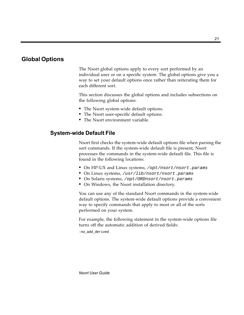## <span id="page-32-0"></span>**Global Options**

The Nsort global options apply to every sort performed by an individual user or on a specific system. The global options give you a way to set your default options once rather than reiterating them for each different sort.

This section discusses the global options and includes subsections on the following global options:

- **•** The Nsort system-wide default options.
- **•** The Nsort user-specific default options.
- **•** The Nsort environment variable.

#### <span id="page-32-1"></span>**System-wide Default File**

Nsort first checks the system-wide default options file when parsing the sort commands. If the system-wide default file is present, Nsort processes the commands in the system-wide default file. This file is found in the following locations:

- **•** On HP-UX and Linux systems, /opt/nsort/nsort.params
- **•** On Linux systems, /usr/lib/nsort/nsort.params
- **•** On Solaris systems, /opt/ORDnsort/nsort.params
- **•** On Windows, the Nsort installation directory.

You can use any of the standard Nsort commands in the system-wide default options. The system-wide default options provide a convenient way to specify commands that apply to most or all of the sorts performed on your system.

For example, the following statement in the system-wide options file turns off the automatic addition of derived fields:

-no\_add\_derived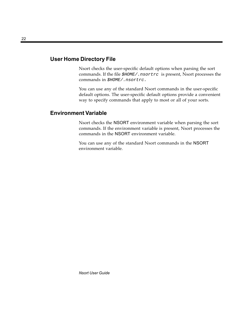#### <span id="page-33-0"></span>**User Home Directory File**

Nsort checks the user-specific default options when parsing the sort commands. If the file \$HOME/.nsortrc is present, Nsort processes the commands in \$HOME/.nsortrc.

You can use any of the standard Nsort commands in the user-specific default options. The user-specific default options provide a convenient way to specify commands that apply to most or all of your sorts.

## <span id="page-33-1"></span>**Environment Variable**

Nsort checks the NSORT environment variable when parsing the sort commands. If the environment variable is present, Nsort processes the commands in the NSORT environment variable.

You can use any of the standard Nsort commands in the NSORT environment variable.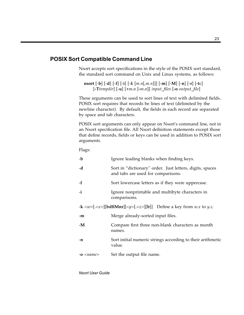#### <span id="page-34-0"></span>**POSIX Sort Compatible Command Line**

Nsort accepts sort specifications in the style of the POSIX sort standard, the standard sort command on Unix and Linux systems, as follows:

**nsort** [-**b**] [-**d**] [-**f**] [-**i**] [-*k* [*m.n*[,*m.n*]]] [-**m**] [-**M**] [-**n**] [-**r**] [**-t**c] [**-T***tempdir*] [-**u**] [**+***m***.***n* [**-***m***.***n*]] *input\_files* [**-o** *output\_file*]

These arguments can be used to sort lines of text with delimited fields. POSIX sort requires that records be lines of text (delimited by the newline character). By default, the fields in each record are separated by space and tab characters.

POSIX sort arguments can only appear on Nsort's command line, not in an Nsort specification file. All Nsort definition statements except those that define records, fields or keys can be used in addition to POSIX sort arguments.

Flags:

| -b                       | Ignore leading blanks when finding keys.                                                           |
|--------------------------|----------------------------------------------------------------------------------------------------|
| -d                       | Sort in "dictionary" order. Just letters, digits, spaces<br>and tabs are used for comparisons.     |
| -f                       | Sort lowercase letters as if they were uppercase.                                                  |
| -i                       | Ignore nonprintable and multibyte characters in<br>comparisons.                                    |
|                          | - $k < w >$ [ $\lt x >$ ][bdfiMnr][ $\lt y >$ [ $\lt z >$ ][b]] Define a key from $w.x$ to $y.z$ . |
| -m                       | Merge already-sorted input files.                                                                  |
| -M                       | Compare first three non-blank characters as month<br>names.                                        |
| -n                       | Sort initial numeric strings according to their arithmetic<br>value.                               |
| - <b>0</b> <name></name> | Set the output file name.                                                                          |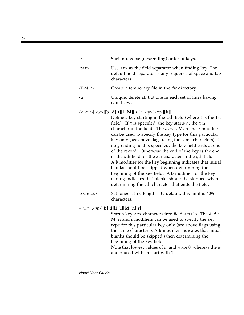| -r                           | Sort in reverse (descending) order of keys.                                                                                                                                                                                                                                                                                                                                                                                                                                                                                                                                                                                                                                                                                                                                                                                                                                                                                                            |
|------------------------------|--------------------------------------------------------------------------------------------------------------------------------------------------------------------------------------------------------------------------------------------------------------------------------------------------------------------------------------------------------------------------------------------------------------------------------------------------------------------------------------------------------------------------------------------------------------------------------------------------------------------------------------------------------------------------------------------------------------------------------------------------------------------------------------------------------------------------------------------------------------------------------------------------------------------------------------------------------|
| $-t < x >$                   | Use $\langle x \rangle$ as the field separator when finding key. The<br>default field separator is any sequence of space and tab<br>characters.                                                                                                                                                                                                                                                                                                                                                                                                                                                                                                                                                                                                                                                                                                                                                                                                        |
| $-T$ $\langle$ dir $\rangle$ | Create a temporary file in the <i>dir</i> directory.                                                                                                                                                                                                                                                                                                                                                                                                                                                                                                                                                                                                                                                                                                                                                                                                                                                                                                   |
| -u                           | Unique: delete all but one in each set of lines having<br>equal keys.                                                                                                                                                                                                                                                                                                                                                                                                                                                                                                                                                                                                                                                                                                                                                                                                                                                                                  |
|                              | - <b>k</b> <w>[.<x>][<b>b</b>][<b>d</b>][<b>f</b>][<b>i</b>][<b>M</b>][<b>n</b>][<b>r</b>][<y>[.<z>][<b>b</b>]]<br/>Define a key starting in the <math>w</math>th field (where 1 is the 1st<br/>field). If <math>x</math> is specified, the key starts at the <math>x</math>th<br/>character in the field. The <math>d</math>, <math>f</math>, <math>i</math>, <math>M</math>, <math>n</math> and <math>r</math> modifiers<br/>can be used to specify the key type for this particular<br/>key only (see above flags using the same characters). If<br/>no <math>y</math> ending field is specified, the key field ends at end<br/>of the record. Otherwise the end of the key is the end<br/>of the yth field, or the zth character in the yth field.<br/>A b modifier for the key beginning indicates that initial<br/>blanks should be skipped when determining the<br/>beginning of the key field. A <b>b</b> modifier for the key</z></y></x></w> |

-**z**<*recsz*> Set longest line length. By default, this limit is 4096 characters.

#### +<*m*>[.<*n*>][**b**][**d**][**f**][**i**][**M**][**n**][**r**]

Start a key <*n*> characters into field <*m*+1>. The *d***, f**, **i**, **M**, **n** and **r** modifiers can be used to specify the key type for this particular key only (see above flags using the same characters). A **b** modifier indicates that initial blanks should be skipped when determining the beginning of the key field.

ending indicates that blanks should be skipped when determining the *z*th character that ends the field.

Note that lowest values of *m* and *n* are 0, whereas the *w* and *x* used with -**b** start with 1.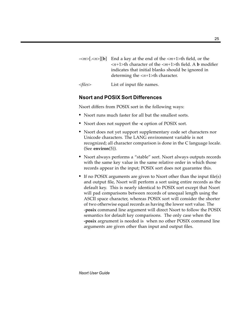| $\leq m$ $\leq$ $\leq$ $\leq$ $\leq$ $\leq$ $\leq$ $\leq$ $\leq$ $\leq$ $\leq$ $\leq$ $\leq$ $\leq$ $\leq$ $\leq$ $\leq$ $\leq$ $\leq$ $\leq$ $\leq$ $\leq$ $\leq$ $\leq$ $\leq$ $\leq$ $\leq$ $\leq$ $\leq$ $\leq$ $\leq$ $\leq$ $\leq$ $\leq$ $\leq$ $\leq$ $\leq$ |
|----------------------------------------------------------------------------------------------------------------------------------------------------------------------------------------------------------------------------------------------------------------------|
| $\langle n+1 \rangle$ th character of the $\langle m+1 \rangle$ th field. A <b>b</b> modifier                                                                                                                                                                        |
| indicates that initial blanks should be ignored in                                                                                                                                                                                                                   |
| determing the $\langle n+1 \rangle$ th character.                                                                                                                                                                                                                    |
|                                                                                                                                                                                                                                                                      |

<*files*> List of input file names.

#### **Nsort and POSIX Sort Differences**

Nsort differs from POSIX sort in the following ways:

- **•** Nsort runs much faster for all but the smallest sorts.
- **•** Nsort does not support the **-c** option of POSIX sort.
- **•** Nsort does not yet support supplementary code set characters nor Unicode characters. The LANG environment variable is not recognized; all character comparison is done in the C language locale. (See **environ**(5)).
- **•** Nsort always performs a "stable" sort. Nsort always outputs records with the same key value in the same relative order in which those records appear in the input; POSIX sort does not guarantee this.
- **•** If no POSIX arguments are given to Nsort other than the input file(s) and output file, Nsort will perform a sort using entire records as the default key. This is nearly identical to POSIX sort except that Nsort will pad comparisons between records of unequal length using the ASCII space character, whereas POSIX sort will consider the shorter of two otherwise equal records as having the lower sort value. The -**posix** command line argument will direct Nsort to follow the POSIX semantics for default key comparisons. The only case when the **-posix** argrument is needed is when no other POSIX command line arguments are given other than input and output files.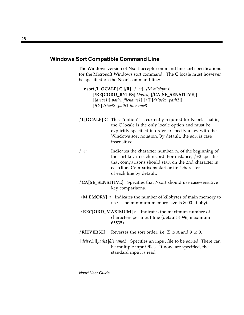#### **Windows Sort Compatible Command Line**

The Windows version of Nsort accepts command line sort specifications for the Microsoft Windows sort command. The C locale must however be specified on the Nsort command line:

**nsort /L**[**OCALE**] **C** [**/R**] [/+*n*] [**/M** *kilobytes*] [**/RE**[**CORD\_BYTES**] *kbytes*] [**/CA**[**SE\_SENSITIVE**]] [[*drive1*:][*path1*]*filename1*] [/T [*drive2*:][*path2*]] [**/O** [*drive3*:][*path3*]*filename3*]

/**L**[**OCALE**] **C** This ``option´´ is currently required for Nsort. That is, the C locale is the only locale option and must be explicitly specified in order to specify a key with the Windows sort notation. By default, the sort is case insensitive.

- $/ + n$  Indicates the character number, n, of the beginning of the sort key in each record. For instance,  $/+2$  specifies that comparisons should start on the 2nd character in each line. Comparisons start on first character of each line by default.
- /**CA**[**SE\_SENSITIVE**] Specifies that Nsort should use case-sensitive key comparisons.
- /**M**[**EMORY**] *n* Indicates the number of kilobytes of main memory to use. The minimum memory size is 8000 kilobytes.
- /**REC**[**ORD\_MAXIMUM**] *n* Indicates the maximum number of characters per input line (default 4096, maximum 65535).
- /**R**[**EVERSE**] Reverses the sort order; i.e. Z to A and 9 to 0.
- [*drive1*:][*path1*]*filename1* Specifies an input file to be sorted. There can be multiple input files. If none are specified, the standard input is read.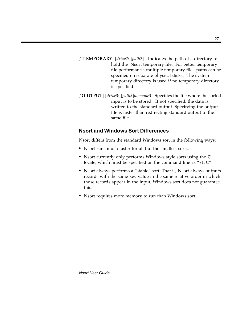- /**T**[**EMPORARY**] [*drive2*:][*path2*] Indicates the path of a directory to hold the Nsort temporary file. For better temporary file performance, multiple temporary file paths can be specified on separate physical disks. The system temporary directory is used if no temporary directory is specified.
- /**O**[**UTPUT**] [*drive3*:][*path3*]*filename3* Specifies the file where the sorted input is to be stored. If not specified, the data is written to the standard output. Specifying the output file is faster than redirecting standard output to the same file.

## **Nsort and Windows Sort Differences**

Nsort differs from the standard Windows sort in the following ways:

- **•** Nsort runs much faster for all but the smallest sorts.
- **•** Nsort currently only performs Windows style sorts using the **C** locale, which must be specified on the command line as "/L C".
- **•** Nsort always performs a "stable" sort. That is, Nsort always outputs records with the same key value in the same relative order in which those records appear in the input; Windows sort does not guarantee this.
- **•** Nsort requires more memory to run than Windows sort.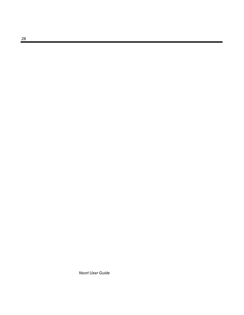28

*Nsort User Guide*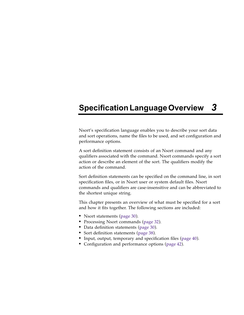# **Specification Language Overview** *3*

Nsort's specification language enables you to describe your sort data and sort operations, name the files to be used, and set configuration and performance options.

A sort definition statement consists of an Nsort command and any qualifiers associated with the command. Nsort commands specify a sort action or describe an element of the sort. The qualifiers modify the action of the command.

Sort definition statements can be specified on the command line, in sort specification files, or in Nsort user or system default files. Nsort commands and qualifiers are case-insensitive and can be abbreviated to the shortest unique string.

This chapter presents an overview of what must be specified for a sort and how it fits together. The following sections are included:

- **•** Nsort statements ([page 30\)](#page-41-0).
- **•** Processing Nsort commands ([page 32\)](#page-43-0).
- **•** Data definition statements ([page 30\)](#page-41-0).
- **•** Sort definition statements ([page 38\)](#page-49-0).
- **•** Input, output, temporary and specification files ([page 40\)](#page-51-0).
- **•** Configuration and performance options [\(page 42\)](#page-53-0).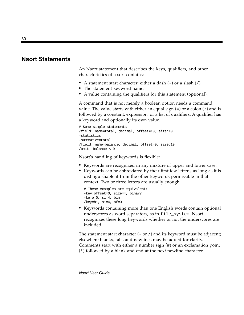## <span id="page-41-0"></span>**Nsort Statements**

An Nsort statement that describes the keys, qualifiers, and other characteristics of a sort contains:

- A statement start character: either a dash (-) or a slash (/).
- **•** The statement keyword name.
- **•** A value containing the qualifiers for this statement (optional).

A command that is not merely a boolean option needs a command value. The value starts with either an equal sign  $(=)$  or a colon  $(:)$  and is followed by a constant, expression, or a list of qualifiers. A qualifier has a keyword and optionally its own value.

```
# Some simple statements
/field: name=total, decimal, offset=10, size:10
-statistics
-summarize=total
/field: name=balance, decimal, offset=0, size:10
/omit: balance < 0
```
Nsort's handling of keywords is flexible:

- **•** Keywords are recognized in any mixture of upper and lower case.
- **•** Keywords can be abbreviated by their first few letters, as long as it is distinguishable it from the other keywords permissible in that context. Two or three letters are usually enough.

```
# These examples are equivalent:
-key:offset=0, size=4, binary
-ke:0:0, si=4, bin/key=bi, si=4, of=0
```
**•** Keywords containing more than one English words contain optional underscores as word separators, as in file\_system. Nsort recognizes these long keywords whether or not the underscores are included.

The statement start character  $(-$  or  $/$ ) and its keyword must be adjacent; elsewhere blanks, tabs and newlines may be added for clarity. Comments start with either a number sign (#) or an exclamation point (!) followed by a blank and end at the next newline character.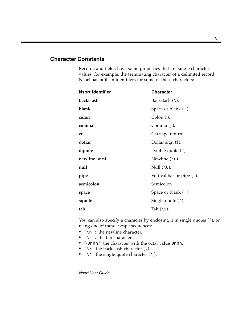# **Character Constants**

Records and fields have some properties that are single character values, for example, the terminating character of a delimited record. Nsort has built-in identifiers for some of these characters:

| <b>Nsort Identifier</b> | <b>Character</b>             |
|-------------------------|------------------------------|
| backslash               | Backslash $(\n\lambda)$ .    |
| blank                   | Space or blank ().           |
| colon                   | $\text{Colon}$ $(:).$        |
| comma                   | Comma $($ , $)$ .            |
| cr                      | Carriage return.             |
| dollar                  | Dollar sign (\$).            |
| dquote                  | Double quote $($ ").         |
| newline or nl           | Newline $(\n\$ n).           |
| null                    | Null $(\setminus 0)$ .       |
| pipe                    | Vertical bar or pipe $($  ). |
| semicolon               | Semicolon                    |
| space                   | Space or blank ().           |
| squote                  | Single quote $(')$ .         |
| tab                     | Tab $(\forall t)$ .          |

You can also specify a character by enclosing it in single quotes ( $\cdot$ ), or using one of these escape sequences:

- '\n': the newline character.
- **•** '\t': the tab character.
- **•** '\0nnn': the character with the octal value 0nnn.
- **•** '\\' the backslash character (\).
- **•** '\'' the single quote character (' ).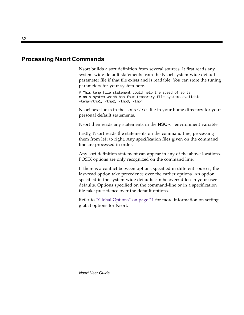## <span id="page-43-0"></span>**Processing Nsort Commands**

Nsort builds a sort definition from several sources. It first reads any system-wide default statements from the Nsort system-wide default parameter file if that file exists and is readable. You can store the tuning parameters for your system here.

# This temp\_file statement could help the speed of sorts # on a system which has four temporary file systems available -temp=/tmp1, /tmp2, /tmp3, /tmp4

Nsort next looks in the .nsortrc file in your home directory for your personal default statements.

Nsort then reads any statements in the NSORT environment variable.

Lastly, Nsort reads the statements on the command line, processing them from left to right. Any specification files given on the command line are processed in order.

Any sort definition statement can appear in any of the above locations. POSIX options are only recognized on the command line.

If there is a conflict between options specified in different sources, the last-read option take precedence over the earlier options. An option specified in the system-wide defaults can be overridden in your user defaults. Options specified on the command-line or in a specification file take precedence over the default options.

Refer to ["Global Options" on page 21](#page-32-0) for more information on setting global options for Nsort.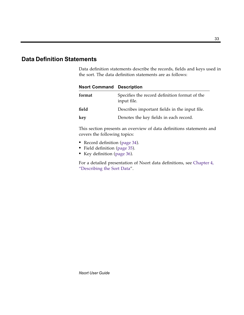## **Data Definition Statements**

Data definition statements describe the records, fields and keys used in the sort. The data definition statements are as follows:

**Nsort Command Description format** Specifies the record definition format of the input file. **field** Describes important fields in the input file. **key** Denotes the key fields in each record.

This section presents an overview of data definitions statements and covers the following topics:

- **•** Record definition ([page 34\)](#page-45-0).
- **•** Field definition ([page 35\)](#page-46-0).
- **•** Key definition [\(page 36](#page-47-0)).

For a detailed presentation of Nsort data definitions, see [Chapter 4,](#page-56-0)  ["Describing the Sort Data"](#page-56-0).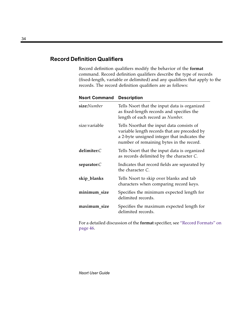# <span id="page-45-0"></span>**Record Definition Qualifiers**

Record definition qualifiers modify the behavior of the **format** command. Record definition qualifiers describe the type of records (fixed-length, variable or delimited) and any qualifiers that apply to the records. The record definition qualifiers are as follows:

**Nsort Command Description**

| size:Number   | Tells Nsort that the input data is organized<br>as fixed-length records and specifies the<br>length of each record as Number.                                                         |
|---------------|---------------------------------------------------------------------------------------------------------------------------------------------------------------------------------------|
| size:variable | Tells Nsorthat the input data consists of<br>variable length records that are preceded by<br>a 2-byte unsigned integer that indicates the<br>number of remaining bytes in the record. |
| delimiter:C   | Tells Nsort that the input data is organized<br>as records delimited by the character C.                                                                                              |
| separation:C  | Indicates that record fields are separated by<br>the character C.                                                                                                                     |
| skip_blanks   | Tells Nsort to skip over blanks and tab<br>characters when comparing record keys.                                                                                                     |
| minimum size  | Specifies the minimum expected length for<br>delimited records.                                                                                                                       |
| maximum_size  | Specifies the maximum expected length for<br>delimited records.                                                                                                                       |

For a detailed discussion of the **format** specifier, see ["Record Formats" on](#page-57-0)  [page 46](#page-57-0).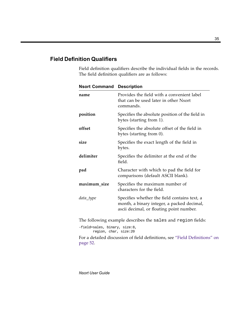# <span id="page-46-0"></span>**Field Definition Qualifiers**

Field definition qualifiers describe the individual fields in the records. The field definition qualifiers are as follows:

| <b>Nsort Command</b> | <b>Description</b>                                                                                                                     |
|----------------------|----------------------------------------------------------------------------------------------------------------------------------------|
| name                 | Provides the field with a convenient label<br>that can be used later in other Nsort<br>commands.                                       |
| position             | Specifies the absolute position of the field in<br>bytes (starting from 1).                                                            |
| offset               | Specifies the absolute offset of the field in<br>bytes (starting from 0).                                                              |
| size                 | Specifies the exact length of the field in<br>bytes.                                                                                   |
| delimiter            | Specifies the delimiter at the end of the<br>field.                                                                                    |
| pad                  | Character with which to pad the field for<br>comparisons (default ASCII blank).                                                        |
| maximum_size         | Specifies the maximum number of<br>characters for the field.                                                                           |
| data_type            | Specifies whether the field contains text, a<br>month, a binary integer, a packed decimal,<br>ascii decimal, or floating point number. |

The following example describes the sales and region fields:

```
-field=sales, binary, size:8,
        region, char, size:20
```
For a detailed discussion of field definitions, see ["Field Definitions" on](#page-63-0)  [page 52](#page-63-0).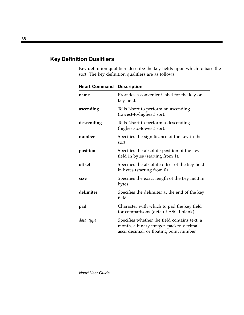## <span id="page-47-0"></span>**Key Definition Qualifiers**

Key definition qualifiers describe the key fields upon which to base the sort. The key definition qualifiers are as follows:

**name** Provides a convenient label for the key or key field. **ascending** Tells Nsort to perform an ascending (lowest-to-highest) sort. **descending** Tells Nsort to perform a descending (highest-to-lowest) sort. **number** Specifies the significance of the key in the sort. **position** Specifies the absolute position of the key field in bytes (starting from 1). **offset** Specifies the absolute offset of the key field in bytes (starting from 0). **size** Specifies the exact length of the key field in bytes. delimiter Specifies the delimiter at the end of the key field. **pad** Character with which to pad the key field for comparisons (default ASCII blank). *data\_type* Specifies whether the field contains text, a month, a binary integer, packed decimal, ascii decimal, or floating point number.

**Nsort Command Description**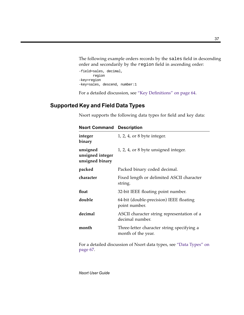The following example orders records by the sales field in descending order and secondarily by the region field in ascending order:

```
-field=sales, decimal,
       region
-key=region
-key=sales, descend, number:1
```
For a detailed discussion, see ["Key Definitions" on page 64.](#page-75-0)

# **Supported Key and Field Data Types**

Nsort supports the following data types for field and key data:

| <b>Nsort Command Description</b>                |                                                                  |  |
|-------------------------------------------------|------------------------------------------------------------------|--|
| integer<br>binary                               | $1, 2, 4$ , or 8 byte integer.                                   |  |
| unsigned<br>unsigned integer<br>unsigned binary | 1, 2, 4, or 8 byte unsigned integer.                             |  |
| packed                                          | Packed binary coded decimal.                                     |  |
| character                                       | Fixed length or delimited ASCII character<br>string.             |  |
| float                                           | 32-bit IEEE floating point number.                               |  |
| double                                          | 64-bit (double-precision) IEEE floating<br>point number.         |  |
| decimal                                         | ASCII character string representation of a<br>decimal number.    |  |
| month                                           | Three-letter character string specifying a<br>month of the year. |  |

For a detailed discussion of Nsort data types, see ["Data Types" on](#page-78-0)  [page 67](#page-78-0).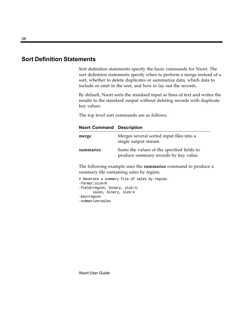## <span id="page-49-0"></span>**Sort Definition Statements**

Sort definition statements specify the basic commands for Nsort. The sort definition statements specify when to perform a merge instead of a sort, whether to delete duplicates or summarize data, which data to include or omit in the sort, and how to lay out the records.

By default, Nsort sorts the standard input as lines of text and writes the results to the standard output without deleting records with duplicate key values.

The top level sort commands are as follows:

| <b>Nsort Command Description</b> |  |
|----------------------------------|--|
|----------------------------------|--|

| merge     | Merges several sorted input files into a<br>single output stream.                   |
|-----------|-------------------------------------------------------------------------------------|
| summarize | Sums the values of the specified fields to<br>produce summary records by key value. |

The following example uses the **summarize** command to produce a summary file containing sales by region:

```
# Generate a summary file of sales by region.
-format:size=8
-field=region, binary, size:4,
       sales, binary, size:4
-key=region
-summarize=sales
```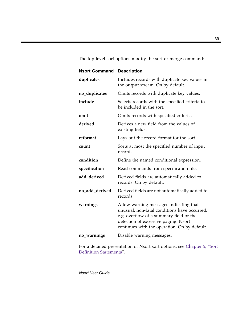The top-level sort options modify the sort or merge command:

| <b>Nsort Command</b> | <b>Description</b>                                                                                                                                                                                                        |  |
|----------------------|---------------------------------------------------------------------------------------------------------------------------------------------------------------------------------------------------------------------------|--|
| duplicates           | Includes records with duplicate key values in<br>the output stream. On by default.                                                                                                                                        |  |
| no_duplicates        | Omits records with duplicate key values.                                                                                                                                                                                  |  |
| include              | Selects records with the specified criteria to<br>be included in the sort.                                                                                                                                                |  |
| omit                 | Omits records with specified criteria.                                                                                                                                                                                    |  |
| derived              | Derives a new field from the values of<br>existing fields.                                                                                                                                                                |  |
| reformat             | Lays out the record format for the sort.                                                                                                                                                                                  |  |
| count                | Sorts at most the specified number of input<br>records.                                                                                                                                                                   |  |
| condition            | Define the named conditional expression.                                                                                                                                                                                  |  |
| specification        | Read commands from specification file.                                                                                                                                                                                    |  |
| add_derived          | Derived fields are automatically added to<br>records. On by default.                                                                                                                                                      |  |
| no_add_derived       | Derived fields are not automatically added to<br>records.                                                                                                                                                                 |  |
| warnings             | Allow warning messages indicating that<br>unusual, non-fatal conditions have occurred,<br>e.g. overflow of a summary field or the<br>detection of excessive paging. Nsort<br>continues with the operation. On by default. |  |
| no_warnings          | Disable warning messages.                                                                                                                                                                                                 |  |

For a detailed presentation of Nsort sort options, see [Chapter 5, "Sort](#page-82-0)  [Definition Statements](#page-82-0)".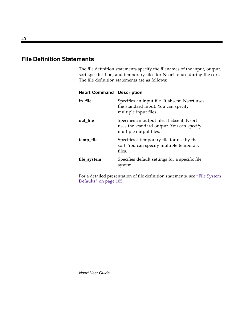# <span id="page-51-0"></span>**File Definition Statements**

The file definition statements specify the filenames of the input, output, sort specification, and temporary files for Nsort to use during the sort. The file definition statements are as follows:

**Nsort Command Description**

| in file     | Specifies an input file. If absent, Nsort uses<br>the standard input. You can specify<br>multiple input files.    |
|-------------|-------------------------------------------------------------------------------------------------------------------|
| out file    | Specifies an output file. If absent, Nsort<br>uses the standard output. You can specify<br>multiple output files. |
| temp_file   | Specifies a temporary file for use by the<br>sort. You can specify multiple temporary<br>files.                   |
| file_system | Specifies default settings for a specific file<br>system.                                                         |

For a detailed presentation of file definition statements, see ["File System](#page-116-0)  [Defaults" on page 105](#page-116-0).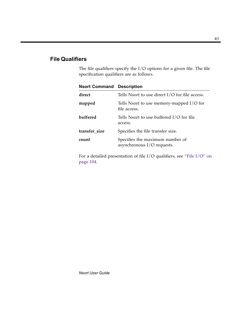# **File Qualifiers**

The file qualifiers specify the I/O options for a given file. The file specification qualifiers are as follows.

**Nsort Command Description**

| direct        | Tells Nsort to use direct $I/O$ for file access.                |
|---------------|-----------------------------------------------------------------|
| mapped        | Tells Nsort to use memory-mapped $I/O$ for<br>file access.      |
| buffered      | Tells Nsort to use buffered $I/O$ for file<br>access.           |
| transfer size | Specifies the file transfer size.                               |
| count         | Specifies the maximum number of<br>asynchronous $I/O$ requests. |

For a detailed presentation of file I/O qualifiers, see ["File I/O" on](#page-115-0)  [page 104.](#page-115-0)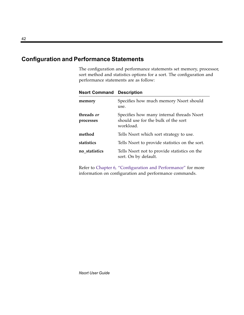# <span id="page-53-0"></span>**Configuration and Performance Statements**

The configuration and performance statements set memory, processor, sort method and statistics options for a sort. The configuration and performance statements are as follow:

**Nsort Command Description memory** Specifies how much memory Nsort should use. **threads** *or* **processes** Specifies how many internal threads Nsort should use for the bulk of the sort workload. **method** Tells Nsort which sort strategy to use. statistics Tells Nsort to provide statistics on the sort. **no\_statistics** Tells Nsort not to provide statistics on the sort. On by default.

Refer to [Chapter 6, "Configuration and Performance"](#page-108-0) for more information on configuration and performance commands.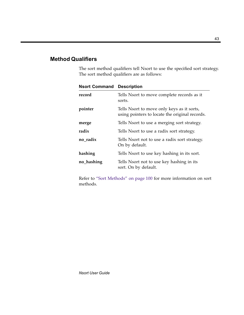# **Method Qualifiers**

The sort method qualifiers tell Nsort to use the specified sort strategy. The sort method qualifiers are as follows:

**Nsort Command Description record** Tells Nsort to move complete records as it sorts. **pointer** Tells Nsort to move only keys as it sorts, using pointers to locate the original records.

| merge    | Tells Nsort to use a merging sort strategy.                     |
|----------|-----------------------------------------------------------------|
| radix    | Tells Nsort to use a radix sort strategy.                       |
| no radix | Tells Nsort not to use a radix sort strategy.<br>On by default. |
| hashing  | Tells Nsort to use key hashing in its sort.                     |

**no\_hashing** Tells Nsort not to use key hashing in its sort. On by default.

Refer to ["Sort Methods" on page 100](#page-111-0) for more information on sort methods.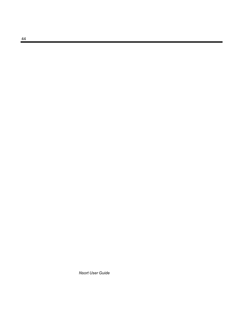44

*Nsort User Guide*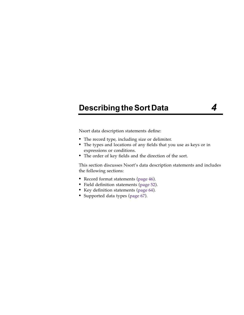# <span id="page-56-0"></span>**Describing the Sort Data** *4*

Nsort data description statements define:

- **•** The record type, including size or delimiter.
- **•** The types and locations of any fields that you use as keys or in expressions or conditions.
- **•** The order of key fields and the direction of the sort.

This section discusses Nsort's data description statements and includes the following sections:

- **•** Record format statements ([page 46\)](#page-57-1).
- **•** Field definition statements [\(page 52\)](#page-63-1).
- **•** Key definition statements [\(page 64](#page-75-1)).
- **•** Supported data types ([page 67\)](#page-78-1).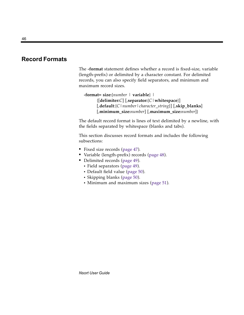# <span id="page-57-1"></span><span id="page-57-0"></span>**Record Formats**

The **-format** statement defines whether a record is fixed-size, variable (length-prefix) or delimited by a character constant. For delimited records, you can also specify field separators, and minimum and maximum record sizes.

```
-format= size:{number | variable} | 
      {[delimiter:C] [,separator:{C|whitespace}] 
      [,default:{C|number|character_string}] [,skip_blanks] 
      [,minimum_size:number] [,maximum_size:number]}
```
The default record format is lines of text delimited by a newline, with the fields separated by whitespace (blanks and tabs).

This section discusses record formats and includes the following subsections:

- **•** Fixed size records ([page 47\)](#page-58-0).
- **•** Variable (length-prefix) records ([page 48](#page-59-0)).
- **•** Delimited records [\(page 49\)](#page-60-0).
	- **•** Field separators ([page 49\)](#page-60-1).
	- **•** Default field value ([page 50](#page-61-0)).
	- **•** Skipping blanks [\(page 50](#page-61-1)).
	- **•** Minimum and maximum sizes [\(page 51\)](#page-62-0).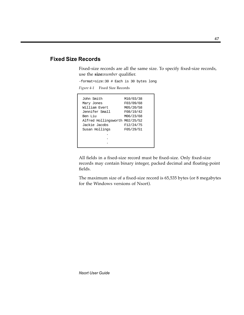# <span id="page-58-0"></span>**Fixed Size Records**

Fixed-size records are all the same size. To specify fixed-size records, use the **size:***number* qualifier.

-format=size:30 # Each is 30 bytes long

*Figure 4-1* Fixed Size Records

| John Smith           | M10/03/38 |
|----------------------|-----------|
| Mary Jones           | F03/09/68 |
| William Evert        | M05/20/58 |
| Jennifer Small       | F08/19/42 |
| Ben Liu              | M06/23/68 |
| Alfred Hollingsworth | M02/25/52 |
| Jackie Jacobs        | F12/24/75 |
| Susan Hollings       | F05/29/51 |
|                      |           |
|                      |           |
|                      |           |
|                      |           |

All fields in a fixed-size record must be fixed-size. Only fixed-size records may contain binary integer, packed decimal and floating-point fields.

The maximum size of a fixed-size record is 65,535 bytes (or 8 megabytes for the Windows versions of Nsort).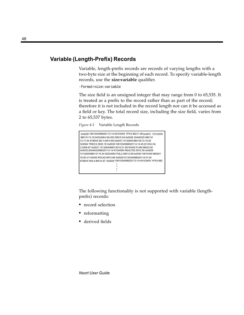## <span id="page-59-0"></span>**Variable (Length-Prefix) Records**

Variable, length-prefix records are records of varying lengths with a two-byte size at the beginning of each record. To specify variable-length records, use the **size:variable** qualifier.

-format=size:variable

The size field is an unsigned integer that may range from 0 to 65,535. It is treated as a prefix to the record rather than as part of the record; therefore it is not included in the record length nor can it be accessed as a field or key. The total record size, including the size field, varies from 2 to 65,537 bytes.

*Figure 4-2* Variable Length Records



The following functionality is not supported with variable (lengthprefix) records:

- **•** record selection
- **•** reformatting
- **•** derived fields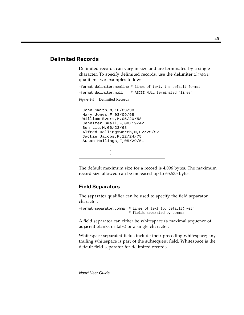#### <span id="page-60-0"></span>**Delimited Records**

Delimited records can vary in size and are terminated by a single character. To specify delimited records, use the **delimiter:***character* qualifier. Two examples follow:

-format=delimiter:newline # lines of text, the default format -format=delimiter:null # ASCII NULL terminated "lines" *Figure 4-3* Delimited Records

```
John Smith,M,10/03/38
Mary Jones,F,03/09/68
William Evert,M,05/20/58
Jennifer Small,F,08/19/42
Ben Liu,M,06/23/68
Alfred Hollingsworth,M,02/25/52
Jackie Jacobs,F,12/24/75
Susan Hollings,F,05/29/51
 .
 .
 .
```
The default maximum size for a record is 4,096 bytes. The maximum record size allowed can be increased up to 65,535 bytes.

#### <span id="page-60-1"></span>**Field Separators**

The **separator** qualifier can be used to specify the field separator character.

-format=separator:comma # lines of text (by default) with # fields separated by commas

A field separator can either be whitespace (a maximal sequence of adjacent blanks or tabs) or a single character.

Whitespace separated fields include their preceding whitespace; any trailing whitespace is part of the subsequent field. Whitespace is the default field separator for delimited records.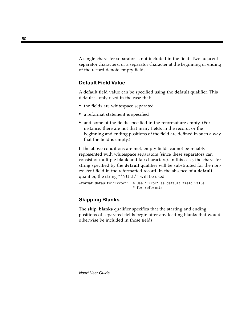A single-character separator is not included in the field. Two adjacent separator characters, or a separator character at the beginning or ending of the record denote empty fields.

#### <span id="page-61-0"></span>**Default Field Value**

A default field value can be specified using the **default** qualifier*.* This default is only used in the case that:

- **•** the fields are whitespace separated
- **•** a reformat statement is specified
- **•** and some of the fields specified in the reformat are empty. (For instance, there are not that many fields in the record, or the beginning and ending positions of the field are defined in such a way that the field is empty.)

If the above conditions are met, empty fields cannot be reliably represented with whitespace separators (since these separators can consist of multiple blank and tab characters). In this case, the character string specified by the **default** qualifier will be substituted for the nonexistent field in the reformatted record. In the absence of a **default** qualifier, the string "\*NULL\*" will be used.

-format:default="\*Error\*" # Use \*Error\* as default field value # for reformats

#### <span id="page-61-1"></span>**Skipping Blanks**

The **skip\_blanks** qualifier specifies that the starting and ending positions of separated fields begin after any leading blanks that would otherwise be included in those fields.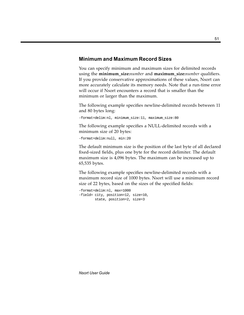#### <span id="page-62-0"></span>**Minimum and Maximum Record Sizes**

You can specify minimum and maximum sizes for delimited records using the **minimum\_size:***number* and **maximum\_size:***number* qualifiers. If you provide conservative approximations of these values, Nsort can more accurately calculate its memory needs. Note that a run-time error will occur if Nsort encounters a record that is smaller than the minimum or larger than the maximum.

The following example specifies newline-delimited records between 11 and 80 bytes long:

-format=delim:nl, minimum\_size:11, maximum\_size:80

The following example specifies a NULL-delimited records with a minimum size of 20 bytes:

-format=delim:null, min:20

The default minimum size is the position of the last byte of all declared fixed-sized fields, plus one byte for the record delimiter. The default maximum size is 4,096 bytes. The maximum can be increased up to 65,535 bytes.

The following example specifies newline-delimited records with a maximum record size of 1000 bytes. Nsort will use a minimum record size of 22 bytes, based on the sizes of the specified fields:

-format=delim:nl, max=1000 -field= city, position=12, size=10, state, position=2, size=3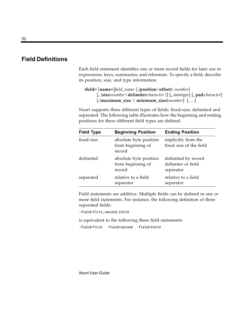## <span id="page-63-1"></span><span id="page-63-0"></span>**Field Definitions**

Each field statement identifies one or more record fields for later use in expressions, keys, summaries, and reformats. To specify a field, describe its position, size, and type information.

**-field=** [**name=**]*field\_name* [,{**position**|**offset**}**:** *number*] [**,** {**size:***number*|**delimiter:***character* }] [**,** *datatype*] [**, pad:***character*] [,{**maximum\_size | minimum\_size}:***number*] [, ...]

Nsort supports three different types of fields: fixed-size; delimited and separated. The following table illustrates how the beginning and ending positions for these different field types are defined.

| <b>Field Type</b> | <b>Beginning Position</b>                             | <b>Ending Position</b>                                 |
|-------------------|-------------------------------------------------------|--------------------------------------------------------|
| fixed-size        | absolute byte position<br>from beginning of<br>record | implicitly from the<br>fixed size of the field         |
| delimited         | absolute byte position<br>from beginning of<br>record | delimited by record<br>delimiter or field<br>separator |
| separated         | relative to a field<br>separator                      | relative to a field<br>separator                       |

Field statements are additive. Multiple fields can be defined in one or more field statements. For instance, the following definition of three separated fields:

```
-field=first, second, third
```
is equivalent to the following three field statements:

-field=first -field=second -field=third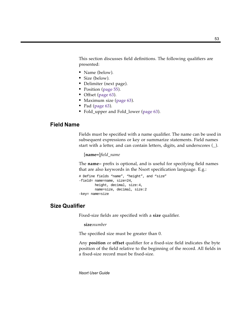This section discusses field definitions. The following qualifiers are presented:

- **•** Name (below).
- **•** Size (below).
- **•** Delimiter (next page).
- **•** Position [\(page 55](#page-66-0)).
- **•** Offset ([page 63\)](#page-74-1).
- **•** Maximum size ([page 63\)](#page-74-2).
- **•** Pad ([page 63](#page-74-3)).
- **•** Fold\_upper and Fold\_lower [\(page 63](#page-74-0)).

#### **Field Name**

Fields must be specified with a name qualifier. The name can be used in subsequent expressions or key or summarize statements. Field names start with a letter, and can contain letters, digits, and underscores (\_).

[**name=**]*field\_name*

The **name**= prefix is optional, and is useful for specifying field names that are also keywords in the Nsort specification language. E.g.:

```
# Define fields "name", "height", and "size"
-field= name=name, size=24,
        height, decimal, size:4,
        name=size, decimal, size:2
-key= name=size
```
#### **Size Qualifier**

Fixed-size fields are specified with a **size** qualifier.

**size:***number*

The specified size must be greater than 0.

Any **position** or **offset** qualifier for a fixed-size field indicates the byte position of the field relative to the beginning of the record. All fields in a fixed-size record must be fixed-size.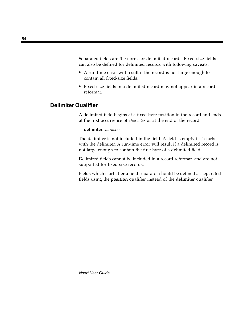Separated fields are the norm for delimited records. Fixed-size fields can also be defined for delimited records with following caveats:

- **•** A run-time error will result if the record is not large enough to contain all fixed-size fields.
- **•** Fixed-size fields in a delimited record may not appear in a record reformat.

#### **Delimiter Qualifier**

A delimited field begins at a fixed byte position in the record and ends at the first occurrence of *character* or at the end of the record.

**delimiter:***character*

The delimiter is not included in the field. A field is empty if it starts with the delimiter. A run-time error will result if a delimited record is not large enough to contain the first byte of a delimited field.

Delimited fields cannot be included in a record reformat, and are not supported for fixed-size records.

Fields which start after a field separator should be defined as separated fields using the **position** qualifier instead of the **delimiter** qualifier.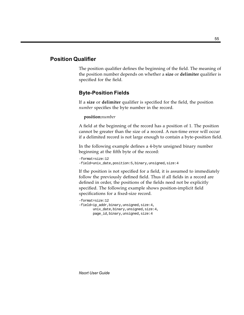## <span id="page-66-0"></span>**Position Qualifier**

The position qualifier defines the beginning of the field. The meaning of the position number depends on whether a **size** or **delimiter** qualifier is specified for the field.

#### **Byte-Position Fields**

If a **size** or **delimiter** qualifier is specified for the field, the position *number* specifies the byte number in the record.

**position:***number*

A field at the beginning of the record has a position of 1. The position cannot be greater than the size of a record. A run-time error will occur if a delimited record is not large enough to contain a byte-position field.

In the following example defines a 4-byte unsigned binary number beginning at the fifth byte of the record:

```
-format=size:12
-field=unix_date,position:5,binary,unsigned,size:4
```
If the position is not specified for a field, it is assumed to immediately follow the previously defined field. Thus if all fields in a record are defined in order, the positions of the fields need not be explicitly specified. The following example shows position-implicit field specifications for a fixed-size record.

```
-format=size:12
-field=ip_addr,binary,unsigned,size:4,
       unix_date,binary,unsigned,size:4,
       page_id,binary,unsigned,size:4
```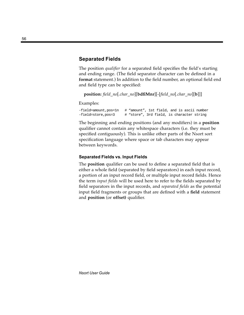#### **Separated Fields**

The position *qualifier* for a separated field specifies the field's starting and ending range. (The field separator character can be defined in a **format** statement.) In addition to the field number, an optional field end and field type can be specified:

**position:** *field\_no*[*.char\_no*][**bdfiMnr**][-[*field\_no*[*.char\_no*][**b**]]]

Examples:

-field=amount,pos=1n # "amount", 1st field, and is ascii number -field=store,pos=3 # "store", 3rd field, is character string

The beginning and ending positions (and any modifiers) in a **position** qualifier cannot contain any whitespace characters (i.e. they must be specified contiguously). This is unlike other parts of the Nsort sort specification language where space or tab characters may appear between keywords.

#### **Separated Fields vs. Input Fields**

The **position** qualifier can be used to define a separated field that is either a whole field (separated by field separators) in each input record, a portion of an input record field, or multiple input record fields. Hence the term *input fields* will be used here to refer to the fields separated by field separators in the input records, and *separated fields* as the potential input field fragments or groups that are defined with a **field** statement and **position** (or **offset)** qualifier.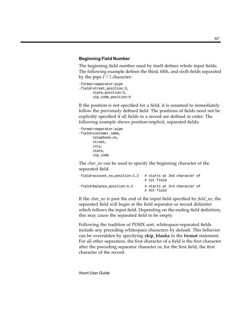#### **Beginning Field Number**

The beginning field number used by itself defines whole input fields. The following example defines the third, fifth, and sixth fields separated by the pipe ('|') character:

```
-format=separator:pipe
-field=street,position:3,
       state,position:5,
       zip_code,position:6
```
If the position is not specified for a field, it is assumed to immediately follow the previously defined field. The positions of fields need not be explicitly specified if all fields in a record are defined in order. The following example shows position-implicit, separated fields:

```
-format=separator:pipe
-field=customer_name,
        telephone_no,
        street,
        city,
        state,
        zip_code
```
The *char\_no* can be used to specify the beginning character of the separated field.

| field=account no,position:1.2-   | # starts at 2nd character of<br># 1st field |
|----------------------------------|---------------------------------------------|
| $-field$ =balance, position: 4.3 | # starts at 3rd character of<br># 4th field |

If the *char\_no* is past the end of the input field specified by *field\_no*, the separated field will begin at the field separator or record delimiter which follows the input field. Depending on the ending field definition, this may cause the separated field to be empty.

Following the tradition of POSIX sort, whitespace-separated fields include any preceding whitespace characters by default. This behavior can be overridden by specifying **skip\_blanks** in the **format** statement. For all other separators, the first character of a field is the first character after the preceding separator character or, for the first field, the first character of the record.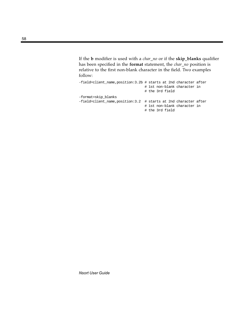If the **b** modifier is used with a *char\_no* or if the **skip\_blanks** qualifier has been specified in the **format** statement, the *char\_no* position is relative to the first non-blank character in the field. Two examples follow:

| -field=client_name,position:3.2b # starts at 2nd character after   |                              |
|--------------------------------------------------------------------|------------------------------|
|                                                                    | # 1st non-blank character in |
|                                                                    | # the 3rd field              |
| -format=skip blanks                                                |                              |
| $-field=client name, position:3.2 # starts at 2nd character after$ |                              |
|                                                                    | # 1st non-blank character in |
|                                                                    | # the 3rd field              |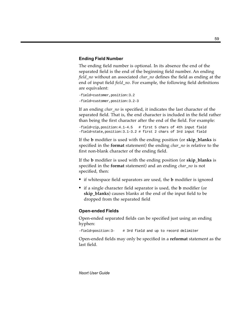#### **Ending Field Number**

The ending field number is optional. In its absence the end of the separated field is the end of the beginning field number. An ending *field\_no* without an associated *char\_no* defines the field as ending at the end of input field *field\_no*. For example, the following field definitions are equivalent:

```
-field=customer,position:3.2
-field=customer,position:3.2-3
```
If an ending *char\_no* is specified, it indicates the last character of the separated field. That is, the end character is included in the field rather than being the first character after the end of the field. For example:

-field=zip,position:4.1-4.5 # first 5 chars of 4th input field -field=state,position:3.1-3.2 # first 2 chars of 3rd input field

If the **b** modifier is used with the ending position (or **skip\_blanks** is specified in the **format** statement) the ending *char\_no* is relative to the first non-blank character of the ending field.

If the **b** modifier is used with the ending position (or **skip\_blanks** is specified in the **format** statement) and an ending *char\_no* is not specified, then:

- **•** if whitespace field separators are used, the **b** modifier is ignored
- **•** if a single character field separator is used, the **b** modifier (or **skip\_blanks**) causes blanks at the end of the input field to be dropped from the separated field

#### **Open-ended Fields**

Open-ended separated fields can be specified just using an ending hyphen:

-field=position:3- # 3rd field and up to record delimiter

Open-ended fields may only be specified in a **reformat** statement as the last field.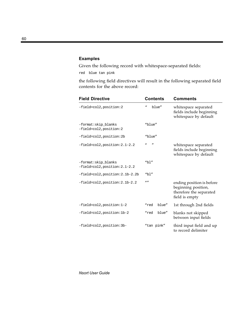#### **Examples**

Given the following record with whitespace-separated fields:

red blue tan pink

the following field directives will result in the following separated field contents for the above record:

| <b>Field Directive</b>                               | <b>Contents</b> | Comments                                                                                      |
|------------------------------------------------------|-----------------|-----------------------------------------------------------------------------------------------|
| -field=col2, position:2                              | w<br>blue"      | whitespace separated<br>fields include beginning<br>whitespace by default                     |
| -format:skip_blanks<br>-field=col2,position:2        | "blue"          |                                                                                               |
| -field=col2,position:2b                              | "blue"          |                                                                                               |
| -field=col2, position: 2.1-2.2                       |                 | whitespace separated<br>fields include beginning<br>whitespace by default                     |
| -format: skip_blanks<br>-field=col2,position:2.1-2.2 | "bl"            |                                                                                               |
| -field=col2,position:2.1b-2.2b                       | "b1"            |                                                                                               |
| -field=col2, position: 2.1b-2.2                      | $\mathbf{u}$    | ending position is before<br>beginning position,<br>therefore the separated<br>field is empty |
| -field=col2,position:1-2                             | blue"<br>"red   | 1st through 2nd fields                                                                        |
| -field=col2,position:1b-2                            | blue"<br>"red   | blanks not skipped<br>between input fields                                                    |
| -field=col2,position:3b-                             | "tan pink"      | third input field and up<br>to record delimiter                                               |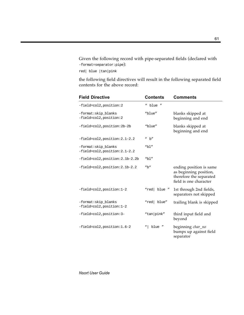Given the following record with pipe-separated fields (declared with -format=separator:pipe):

red| blue |tan|pink

the following field directives will result in the following separated field contents for the above record:

| <b>Field Directive</b>                                 | <b>Contents</b>        | Comments                                                                                               |
|--------------------------------------------------------|------------------------|--------------------------------------------------------------------------------------------------------|
| -field=col2, position:2                                | " blue "               |                                                                                                        |
| -format:skip_blanks<br>-field=col2,position:2          | "blue"                 | blanks skipped at<br>beginning and end                                                                 |
| -field=col2,position:2b-2b                             | "blue"                 | blanks skipped at<br>beginning and end                                                                 |
| -field=col2, position: 2.1-2.2                         | " b"                   |                                                                                                        |
| -format: skip_blanks<br>-field=col2, position: 2.1-2.2 | "bl"                   |                                                                                                        |
| -field=col2,position:2.1b-2.2b                         | "bl"                   |                                                                                                        |
| -field=col2, position: 2.1b-2.2                        | "d"                    | ending position is same<br>as beginning position,<br>therefore the separated<br>field is one character |
| -field=col2, position: 1-2                             | "red  blue "           | 1st through 2nd fields,<br>separators not skipped                                                      |
| -format: skip_blanks<br>-field=col2,position:1-2       | "red blue"             | trailing blank is skipped                                                                              |
| -field=col2, position: 3-                              | "tan pink"             | third input field and<br>beyond                                                                        |
| -field=col2, position:1.6-2                            | blue "<br>$\mathbf{u}$ | beginning char_no<br>bumps up against field<br>separator                                               |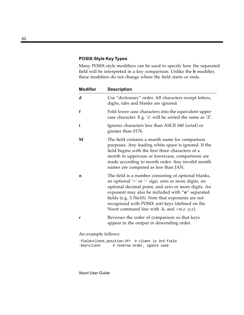#### **POSIX-Style Key Types**

Many POSIX-style modifiers can be used to specify how the separated field will be interpreted in a key comparison. Unlike the **b** modifier, these modifiers do not change where the field starts or ends.

| <b>Modifier</b> | <b>Description</b>                                                                                                                                                                                                                                                                                                                                                              |
|-----------------|---------------------------------------------------------------------------------------------------------------------------------------------------------------------------------------------------------------------------------------------------------------------------------------------------------------------------------------------------------------------------------|
| d               | Use "dictionary" order. All characters except letters,<br>digits, tabs and blanks are ignored.                                                                                                                                                                                                                                                                                  |
| f               | Fold lower case characters into the equivalent upper<br>case character. E.g. 'z' will be sorted the same as 'Z'.                                                                                                                                                                                                                                                                |
| i               | Ignores characters less than ASCII 040 (octal) or<br>greater than 0176.                                                                                                                                                                                                                                                                                                         |
| M               | The field contains a month name for comparison<br>purposes. Any leading white space is ignored. If the<br>field begins with the first three characters of a<br>month in uppercase or lowercase, comparisons are<br>made according to month order. Any invalid month<br>names are compared as less than JAN.                                                                     |
| n               | The field is a number consisting of optional blanks,<br>an optional '+' or '-' sign, zero or more digits, an<br>optional decimal point, and zero or more digits. An<br>exponent may also be included with "n" separated<br>fields (e.g. 3.76e10). Note that exponents are not<br>recognized with POSIX sort keys (defined on the<br>Nsort command line with -k, and +w.z -y.z). |
| r               | Reverses the order of comparison so that keys<br>appear in the output in descending order.                                                                                                                                                                                                                                                                                      |

An example follows:

-field=client,position:3fr # client is 3rd field -key=client # reverse order, ignore case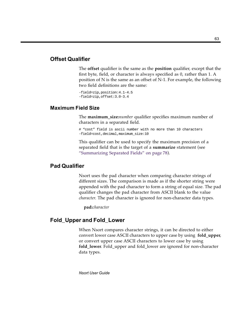#### **Offset Qualifier**

The **offset** qualifier is the same as the **position** qualifier, except that the first byte, field, or character is always specified as 0, rather than 1. A position of N is the same as an offset of N-1. For example, the following two field definitions are the same:

```
-field=zip,position:4.1-4.5
-field=zip,offset:3.0-3.4
```
#### <span id="page-74-0"></span>**Maximum Field Size**

The **maximum\_size:***number* qualifier specifies maximum number of characters in a separated field.

# "cost" field is ascii number with no more than 10 characters -field=cost,decimal,maximum\_size:10

This qualifier can be used to specify the maximum precision of a separated field that is the target of a **summarize** statement (see ["Summarizing Separated Fields" on page 78](#page-89-0)).

#### **Pad Qualifier**

Nsort uses the pad character when comparing character strings of different sizes. The comparison is made as if the shorter string were appended with the pad character to form a string of equal size. The pad qualifier changes the pad character from ASCII blank to the value *character*. The pad character is ignored for non-character data types.

**pad:***character*

#### **Fold\_Upper and Fold\_Lower**

When Nsort compares character strings, it can be directed to either convert lower case ASCII characters to upper case by using **fold\_upper**, or convert upper case ASCII characters to lower case by using **fold\_lower**. Fold\_upper and fold\_lower are ignored for non-character data types.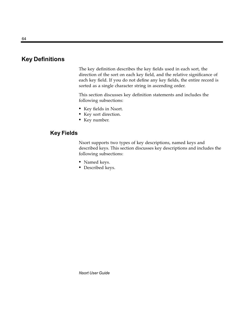# **Key Definitions**

The key definition describes the key fields used in each sort, the direction of the sort on each key field, and the relative significance of each key field. If you do not define any key fields, the entire record is sorted as a single character string in ascending order.

This section discusses key definition statements and includes the following subsections:

- **•** Key fields in Nsort.
- **•** Key sort direction.
- **•** Key number.

### **Key Fields**

Nsort supports two types of key descriptions, named keys and described keys. This section discusses key descriptions and includes the following subsections:

- **•** Named keys.
- **•** Described keys.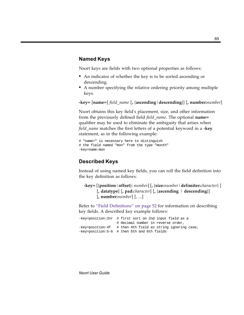#### <span id="page-76-0"></span>**Named Keys**

Nsort keys are fields with two optional properties as follows:

- **•** An indicator of whether the key is to be sorted ascending or descending.
- **•** A number specifying the relative ordering priority among multiple keys.

**-key=** [**name=**] *field\_name* [**,** {**ascending**|**descending**}] [**, number:***number*]

Nsort obtains this key field's placement, size, and other information from the previously defined field *field\_name*. The optional **name=** qualifier may be used to eliminate the ambiguity that arises when *field\_name* matches the first letters of a potential keyword in a **-key** statement, as in the following example:

```
# "name=" is necessary here to distinguish
# the field named "mon" from the type "month"
-key=name:mon
```
#### <span id="page-76-1"></span>**Described Keys**

Instead of using named key fields, you can roll the field definition into the key definition as follows:

**-key=** [{**position**|**offset**}**:** *number*] [**,** {**size:***number*|**delimiter:***character*} ] [**, datatype**] [**, pad:***character*] [**,** {**ascending** | **descending**}] [**, number:***number*] [, ...]

Refer to ["Field Definitions" on page 52](#page-63-0) for information on describing key fields. A described key example follows:

```
-key=position:2nr # first sort on 2nd input field as a
                   # decimal number in reverse order,
-key=position:4f # then 4th field as string ignoring case,
-key=position:5-6 # then 5th and 6th fields
```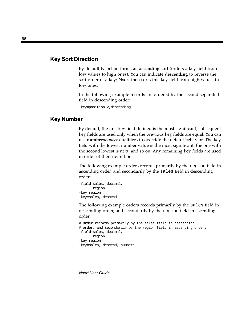#### **Key Sort Direction**

By default Nsort performs an **ascending** sort (orders a key field from low values to high ones). You can indicate **descending** to reverse the sort order of a key; Nsort then sorts this key field from high values to low ones.

In the following example records are ordered by the second separated field in descending order:

-key=position:2,descending

#### **Key Number**

By default, the first key field defined is the most significant; subsequent key fields are used only when the previous key fields are equal. You can use **number:***number* qualifiers to override the default behavior. The key field with the lowest number value is the most significant, the one with the second lowest is next, and so on. Any remaining key fields are used in order of their definition.

The following example orders records primarily by the region field in ascending order, and secondarily by the sales field in descending order:

```
-field=sales, decimal,
       region
-key=region
-key=sales, descend
```
The following example orders records primarily by the sales field in descending order, and secondarily by the region field in ascending order:

```
# Order records primarily by the sales field in descending
# order, and secondarily by the region field in ascending order.
-field=sales, decimal,
       region
-key=region
-key=sales, descend, number:1
```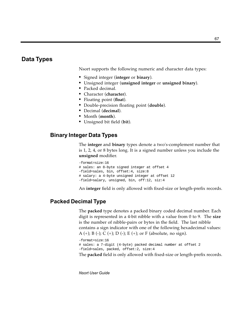# **Data Types**

Nsort supports the following numeric and character data types:

- **•** Signed integer (**integer** or **binary**).
- **•** Unsigned integer (**unsigned integer** or **unsigned binary**).
- **•** Packed decimal.
- **•** Character (**character**).
- **•** Floating point (**float**).
- **•** Double-precision floating point (**double**).
- **•** Decimal (**decimal**).
- **•** Month (**month**).
- **•** Unsigned bit field (**bit**).

#### **Binary Integer Data Types**

The **integer** and **binary** types denote a two's-complement number that is 1, 2, 4, or 8 bytes long. It is a signed number unless you include the **unsigned** modifier.

```
-format=size:16
# sales: an 8-byte signed integer at offset 4
-field=sales, bin, offset:4, size:8
# salary: a 4-byte unsigned integer at offset 12
-field=salary, unsigned, bin, off:12, siz:4
```
An **integer** field is only allowed with fixed-size or length-prefix records.

#### **Packed Decimal Type**

The **packed** type denotes a packed binary coded decimal number. Each digit is represented in a 4-bit nibble with a value from 0 to 9. The **size** is the number of nibble-pairs or bytes in the field. The last nibble contains a sign indicator with one of the following hexadecimal values: A (+); B (-); C (+); D (-); E (+); or F (absolute, no sign).

```
-format=size:16
# sales: a 7-digit (4-byte) packed decimal number at offset 2
-field=sales, packed, offset:2, size:4
```
The **packed** field is only allowed with fixed-size or length-prefix records.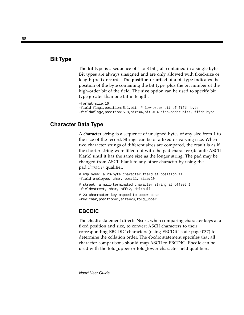## **Bit Type**

The **bit** type is a sequence of 1 to 8 bits, all contained in a single byte. **Bit** types are always unsigned and are only allowed with fixed-size or length-prefix records. The **position** or **offset** of a bit type indicates the position of the byte containing the bit type, plus the bit number of the high-order bit of the field. The **size** option can be used to specify bit type greater than one bit in length.

```
-format=size:16
-field=flag1,position:5.1,bit # low-order bit of fifth byte
-field=flag2,position:5.8,size=4,bit # 4 high-order bits, fifth byte
```
# **Character Data Type**

A **character** string is a sequence of unsigned bytes of any size from 1 to the size of the record. Strings can be of a fixed or varying size. When two character strings of different sizes are compared, the result is as if the shorter string were filled out with the pad character (default: ASCII blank) until it has the same size as the longer string. The pad may be changed from ASCII blank to any other character by using the pad:*character* qualifier.

```
# employee: a 20-byte character field at position 11
-field=employee, char, pos:11, size:20
# street: a null-terminated character string at offset 2
-field=street, char, off:2, del:null
# 20 charracter key mapped to upper case
-key:char,position=1,size=20,fold_upper
```
#### **EBCDIC**

The **ebcdic** statement directs Nsort, when comparing character keys at a fixed position and size, to convert ASCII characters to their corresponding EBCDIC characters (using EBCDIC code page 037) to determine the collation order. The ebcdic statement specifies that all character comparisons should map ASCII to EBCDIC. Ebcdic can be used with the fold\_upper or fold\_lower character field qualifiers.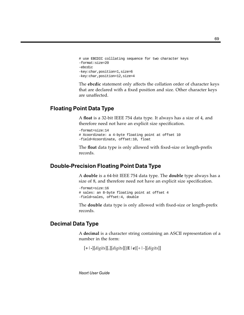```
# use EBCDIC colllating sequence for two character keys
-format:size=20
-ebcdic
-key:char,position=1,size=6
-key:char,position=12,size=4
```
The **ebcdic** statement only affects the collation order of character keys that are declared with a fixed position and size. Other character keys are unaffected.

#### **Floating Point Data Type**

A **float** is a 32-bit IEEE 754 data type. It always has a size of 4, and therefore need not have an explicit size specification.

```
-format=size:14
```

```
# Xcoordinate: a 4-byte floating point at offset 10
-field=Xcoordinate, offset:10, float
```
The **float** data type is only allowed with fixed-size or length-prefix records.

#### **Double-Precision Floating Point Data Type**

A **double** is a 64-bit IEEE 754 data type. The **double** type always has a size of 8, and therefore need not have an explicit size specification.

```
-format=size:16
# sales: an 8-byte floating point at offset 4
-field=sales, offset:4, double
```
The **double** data type is only allowed with fixed-size or length-prefix records.

### **Decimal Data Type**

A **decimal** is a character string containing an ASCII representation of a number in the form:

[**+**|**-**][*digits*][**.**][*digits*][{**E**|**e**}[+|-][*digits*]]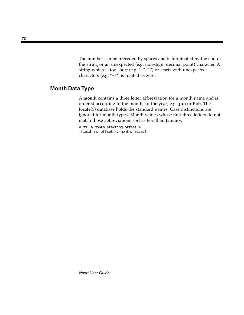The number can be preceded by spaces and is terminated by the end of the string or an unexpected (e.g. non-digit, decimal point) character. A string which is too short (e.g. "+", ".") or starts with unexpected characters (e.g. "+r") is treated as zero.

# **Month Data Type**

A **month** contains a three letter abbreviation for a month name and is ordered according to the months of the year; e.g. jan or Feb. The **locale**(5) database holds the standard names. Case distinctions are ignored for month types. Month values whose first three letters do not match those abbreviations sort as less than January.

# mm: a month starting offset 4 -field=mm, offset:4, month, size:3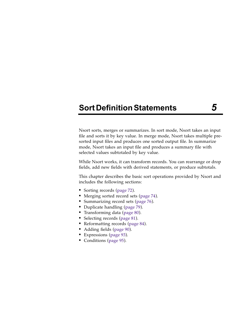# **Sort Definition Statements** *5*

Nsort sorts, merges or summarizes. In sort mode, Nsort takes an input file and sorts it by key value. In merge mode, Nsort takes multiple presorted input files and produces one sorted output file. In summarize mode, Nsort takes an input file and produces a summary file with selected values subtotaled by key value.

While Nsort works, it can transform records. You can rearrange or drop fields, add new fields with derived statements, or produce subtotals.

This chapter describes the basic sort operations provided by Nsort and includes the following sections:

- **•** Sorting records ([page 72](#page-83-0)).
- **•** Merging sorted record sets [\(page 74](#page-85-0)).
- **•** Summarizing record sets [\(page 76](#page-87-0)).
- **•** Duplicate handling [\(page 79](#page-90-0)).
- **•** Transforming data [\(page 80](#page-91-0)).
- **•** Selecting records ([page 81\)](#page-92-0).
- **•** Reformatting records ([page 84\)](#page-95-0).
- **•** Adding fields ([page 90\)](#page-101-0).
- **•** Expressions ([page 93](#page-104-0)).
- **•** Conditions ([page 95\)](#page-106-0).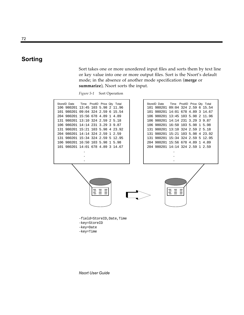# <span id="page-83-0"></span>**Sorting**

Sort takes one or more unordered input files and sorts them by text line or key value into one or more output files. Sort is the Nsort's default mode; in the absence of another mode specification (**merge** or **summarize**), Nsort sorts the input.

*Figure 5-1* Sort Operation

| Time ProdID Price Qty Total                                          | Time ProdID Price Qty Total       |
|----------------------------------------------------------------------|-----------------------------------|
| StoreID Date                                                         | StoreID Date                      |
| 106 980201 13:45 103 5.98 2 11.96                                    | 101 980201 09:04 324 2.59 6 15.54 |
| 101 980201 09:04 324 2.59 6 15.54                                    | 101 980201 14:01 678 4.89 3 14.67 |
| 204 980201 15:56 678 4.89 1 4.89                                     | 106 980201 13:45 103 5.98 2 11.96 |
| 131 980201 13:10 324 2.59 2 5.18                                     | 106 980201 14:14 231 3.29 3 9.87  |
| 106 980201 14:14 231 3.29 3 9.87                                     | 106 980201 16:50 103 5.98 1 5.98  |
| 131 980201 15:21 103 5.98 4 23.92                                    | 131 980201 13:10 324 2.59 2 5.18  |
| 204 980201 14:14 324 2.59 1 2.59                                     | 131 980201 15:21 103 5.98 4 23.92 |
| 131 980201 15:34 324 2.59 5 12.95                                    | 131 980201 15:34 324 2.59 5 12.95 |
| 106 980201 16:50 103 5.98 1 5.98                                     | 204 980201 15:56 678 4.89 1 4.89  |
| 101 980201 14:01 678 4.89 3 14.67                                    | 204 980201 14:14 324 2.59 1 2.59  |
| -field=StoreID, Date, Time<br>-key=StoreID<br>-key=Date<br>-key=Time |                                   |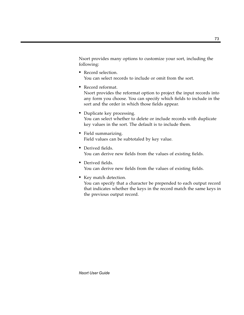Nsort provides many options to customize your sort, including the following:

- **•** Record selection. You can select records to include or omit from the sort.
- **•** Record reformat.

Nsort provides the reformat option to project the input records into any form you choose. You can specify which fields to include in the sort and the order in which those fields appear.

- **•** Duplicate key processing. You can select whether to delete or include records with duplicate key values in the sort. The default is to include them.
- **•** Field summarizing. Field values can be subtotaled by key value.
- **•** Derived fields. You can derive new fields from the values of existing fields.
- **•** Derived fields. You can derive new fields from the values of existing fields.
- **•** Key match detection.

You can specify that a character be prepended to each output record that indicates whether the keys in the record match the same keys in the previous output record.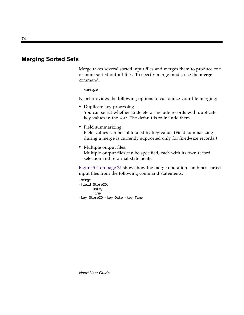# <span id="page-85-0"></span>**Merging Sorted Sets**

Merge takes several sorted input files and merges them to produce one or more sorted output files. To specify merge mode, use the **merge**  command.

**-merge**

Nsort provides the following options to customize your file merging:

- **•** Duplicate key processing. You can select whether to delete or include records with duplicate key values in the sort. The default is to include them.
- **•** Field summarizing. Field values can be subtotaled by key value. (Field summarizing during a merge is currently supported only for fixed-size records.)
- **•** Multiple output files. Multiple output files can be specified, each with its own record selection and reformat statements.

[Figure 5-2 on page 75](#page-86-0) shows how the merge operation combines sorted input files from the following command statements:

```
-merge
-field=StoreID,
       Date,
        Time
-key=StoreID -key=Date -key=Time
```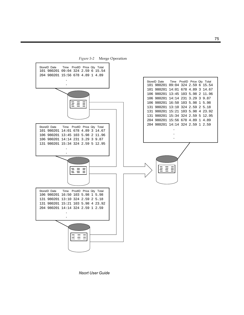<span id="page-86-0"></span>

*Figure 5-2* Merge Operation

*Nsort User Guide*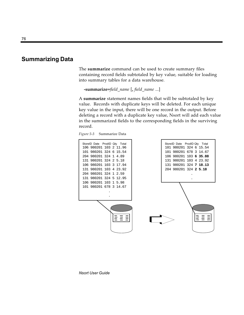## <span id="page-87-0"></span>**Summarizing Data**

The **summarize** command can be used to create summary files containing record fields subtotaled by key value, suitable for loading into summary tables for a data warehouse.

**-summarize=***field\_name* [**,** *field\_name* ...]

A **summarize** statement names fields that will be subtotaled by key value. Records with duplicate keys will be deleted. For each unique key value in the input, there will be one record in the output. Before deleting a record with a duplicate key value, Nsort will add each value in the summarized fields to the corresponding fields in the surviving record.

*Figure 5-3* Summarize Data

| StoreID Date ProdID Qty Total<br>106 980201 103 2 11.96 |  |       |  |  | StorelD<br>101 |
|---------------------------------------------------------|--|-------|--|--|----------------|
| 101 980201 324 6 15.54                                  |  |       |  |  | 101            |
| 204 980201 324 1 4.89                                   |  |       |  |  | 106            |
| 131 980201 324 2 5.18                                   |  |       |  |  | 131            |
| 106 980201 103 3 17.94                                  |  |       |  |  | 131            |
| 131 980201 103 4 23.92                                  |  |       |  |  | 204            |
| 204 980201 324 1 2.59                                   |  |       |  |  |                |
| 131 980201 324 5 12.95                                  |  |       |  |  |                |
| 106 980201 103 1 5.98                                   |  |       |  |  |                |
| 101 980201 678 3 14.67                                  |  |       |  |  |                |
|                                                         |  |       |  |  |                |
|                                                         |  |       |  |  |                |
|                                                         |  |       |  |  |                |
|                                                         |  |       |  |  |                |
|                                                         |  |       |  |  |                |
|                                                         |  |       |  |  |                |
|                                                         |  | E E I |  |  |                |
|                                                         |  |       |  |  |                |
|                                                         |  |       |  |  |                |
|                                                         |  |       |  |  |                |

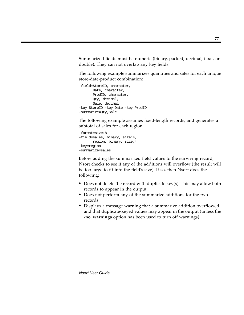Summarized fields must be numeric (binary, packed, decimal, float, or double). They can not overlap any key fields.

The following example summarizes quantities and sales for each unique store-date-product combination:

```
-field=StoreID, character,
        Date, character,
       ProdID, character,
       Qty, decimal,
       Sale, decimal
-key=StoreID -key=Date -key=ProdID
-summarize=Qty,Sale
```
The following example assumes fixed-length records, and generates a subtotal of sales for each region:

```
-format=size:8
-field=sales, binary, size:4,
       region, binary, size:4
-key=region
-summarize=sales
```
Before adding the summarized field values to the surviving record, Nsort checks to see if any of the additions will overflow (the result will be too large to fit into the field's size). If so, then Nsort does the following:

- **•** Does not delete the record with duplicate key(s). This may allow both records to appear in the output.
- **•** Does not perform any of the summarize additions for the two records.
- **•** Displays a message warning that a summarize addition overflowed and that duplicate-keyed values may appear in the output (unless the **-no\_warnings** option has been used to turn off warnings).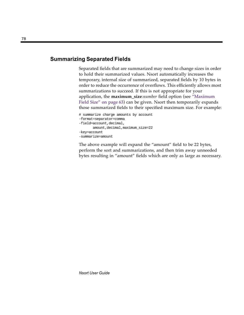### <span id="page-89-0"></span>**Summarizing Separated Fields**

Separated fields that are summarized may need to change sizes in order to hold their summarized values. Nsort automatically increases the temporary, internal size of summarized, separated fields by 10 bytes in order to reduce the occurrence of overflows. This efficiently allows most summarizations to succeed. If this is not appropriate for your application, the **maximum\_size**:*number* field option (see ["Maximum](#page-74-0)  [Field Size" on page 63\)](#page-74-0) can be given. Nsort then temporarily expands those summarized fields to their specified maximum size. For example:

```
# summarize charge amounts by account
-format=separator=comma
-field=account,decimal,
       amount,decimal,maximum_size=22
-key=account
-summarize=amount
```
The above example will expand the "amount" field to be 22 bytes, perform the sort and summarizations, and then trim away unneeded bytes resulting in "amount" fields which are only as large as necessary.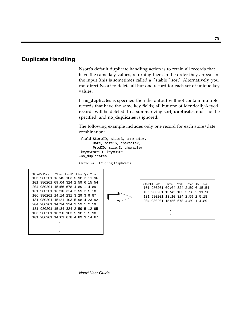#### <span id="page-90-0"></span>**Duplicate Handling**

Nsort's default duplicate handling action is to retain all records that have the same key values, returning them in the order they appear in the input (this is sometimes called a ``stable´´ sort). Alternatively, you can direct Nsort to delete all but one record for each set of unique key values.

If **no\_duplicates** is specified then the output will not contain multiple records that have the same key fields; all but one of identically-keyed records will be deleted. In a summarizing sort, **duplicates** must not be specified, and **no\_duplicates** is ignored.

The following example includes only one record for each store/date combination:

-field=StoreID, size:3, character, Date, size:6, character, ProdID, size:3, character -key=StoreID -key=Date -no\_duplicates

*Figure 5-4* Deleting Duplicates

| StoreID Date Time ProdID Price Qty Total |  |  |  |
|------------------------------------------|--|--|--|
| 106 980201 13:45 103 5.98 2 11.96        |  |  |  |
| 101 980201 09:04 324 2.59 6 15.54        |  |  |  |
| 204 980201 15:56 678 4.89 1 4.89         |  |  |  |
| 131 980201 13:10 324 2.59 2 5.18         |  |  |  |
| 106 980201 14:14 231 3.29 3 9.87         |  |  |  |
| 131 980201 15:21 103 5.98 4 23.92        |  |  |  |
| 980201 14:14 324 2.59 1 2.59<br>204      |  |  |  |
| 131 980201 15:34 324 2.59 5 12.95        |  |  |  |
| 106 980201 16:50 103 5.98 1 5.98         |  |  |  |
| 101 980201 14:01 678 4.89 3 14.67        |  |  |  |
|                                          |  |  |  |
|                                          |  |  |  |
|                                          |  |  |  |
|                                          |  |  |  |



| StorelD Date Time ProdID Price Qty Total |  |
|------------------------------------------|--|
| 101 980201 09:04 324 2.59 6 15.54        |  |
| 106 980201 13:45 103 5.98 2 11.96        |  |
| 131 980201 13:10 324 2.59 2 5.18         |  |
| 204 980201 15:56 678 4.89 1 4.89         |  |
|                                          |  |
|                                          |  |
|                                          |  |
|                                          |  |
|                                          |  |

*Nsort User Guide*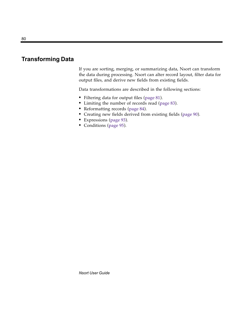# <span id="page-91-0"></span>**Transforming Data**

If you are sorting, merging, or summarizing data, Nsort can transform the data during processing. Nsort can alter record layout, filter data for output files, and derive new fields from existing fields.

Data transformations are described in the following sections:

- **•** Filtering data for output files ([page 81](#page-92-0)).
- **•** Limiting the number of records read [\(page 83](#page-94-0)).
- **•** Reformatting records ([page 84\)](#page-95-0).
- **•** Creating new fields derived from existing fields ([page 90](#page-101-0)).
- **•** Expressions ([page 93](#page-104-0)).
- **•** Conditions ([page 95\)](#page-106-0).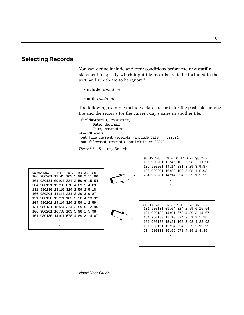# <span id="page-92-0"></span>**Selecting Records**

You can define include and omit conditions before the first **outfile** statement to specify which input file records are to be included in the sort, and which are to be ignored.

**-include=***condition*

**-omit=***condition*

The following example includes places records for the past sales in one file and the records for the current day's sales in another file:

```
-field=StoreID, character,
       Date, decimal,
       Time, character
-key=StoreID
-out_file=current_receipts -include=Date == 980201
-out_file=past_receipts -omit=Date == 980201
```
*Figure 5-5* Selecting Records

| StoreID Date Time ProdID Price Qty Total |  |  |
|------------------------------------------|--|--|
| 106 980201 13:45 103 5.98 2 11.96        |  |  |
| 101 980131 09:04 324 2.59 6 15.54        |  |  |
| 204 980131 15:56 678 4.89 1 4.89         |  |  |
| 131 980130 13:10 324 2.59 2 5.18         |  |  |
| 106 980201 14:14 231 3.29 3 9.87         |  |  |
| 131 980130 15:21 103 5.98 4 23.92        |  |  |
| 204 980201 14:14 324 2.59 1 2.59         |  |  |
| 131 980131 15:34 324 2.59 5 12.95        |  |  |
| 106 980201 16:50 103 5.98 1 5.98         |  |  |
| 101 980130 14:01 678 4.89 3 14.67        |  |  |
|                                          |  |  |
|                                          |  |  |

| StoreID Date Time ProdID Price Qty Total<br>106 980201 13:45 103 5.98 2 11.96 |  |  |
|-------------------------------------------------------------------------------|--|--|
| 106 980201 14:14 231 3.29 3 9.87                                              |  |  |
| 106 980201 16:50 103 5.98 1 5.98                                              |  |  |
| 204 980201 14:14 324 2.59 1 2.59                                              |  |  |
|                                                                               |  |  |
|                                                                               |  |  |



| StoreID Date Time ProdID Price Qty Total |  |  |  |
|------------------------------------------|--|--|--|
| 101 980131 09:04 324 2.59 6 15.54        |  |  |  |
| 101 980130 14:01 678 4.89 3 14.67        |  |  |  |
| 131 980130 13:10 324 2.59 2 5.18         |  |  |  |
| 131 980130 15:21 103 5.98 4 23.92        |  |  |  |
| 131 980131 15:34 324 2.59 5 12.95        |  |  |  |
| 204 980131 15:56 678 4.89 1 4.89         |  |  |  |
|                                          |  |  |  |
|                                          |  |  |  |
|                                          |  |  |  |

#### 81

*Nsort User Guide*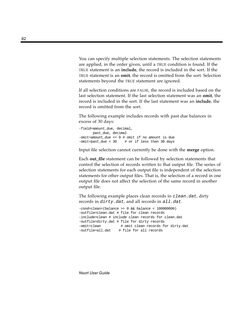You can specify multiple selection statements. The selection statements are applied, in the order given, until a TRUE condition is found. If the TRUE statement is an **include**, the record is included in the sort. If the TRUE statement is an **omit**, the record is omitted from the sort. Selection statements beyond the TRUE statement are ignored.

If all selection conditions are FALSE, the record is included based on the last selection statement. If the last selection statement was an **omit**, the record is included in the sort. If the last statement was an **include**, the record is omitted from the sort.

The following example includes records with past due balances in excess of 30 days:

```
-field=amount_due, decimal,
       past_due, decimal
-omit=amount_due <= 0 # omit if no amount is due
-omit=past_due < 30 # or if less than 30 days
```
Input file selection cannot currently be done with the **merge** option.

Each **out\_file** statement can be followed by selection statements that control the selection of records written to that output file. The series of selection statements for each output file is independent of the selection statements for other output files. That is, the selection of a record in one output file does not affect the selection of the same record in another output file.

The following example places clean records in *clean.dat*, dirty records in dirty.dat, and all records in all.dat.

-cond=clean=(balance >= 0 && balance < 100000000) -outfile=clean.dat # file for clean records -include=clean # include clean records for clean.dat -outfile=dirty.dat # file for dirty records -omit=clean # omit clean records for dirty.dat -outfile=all.dat # file for all records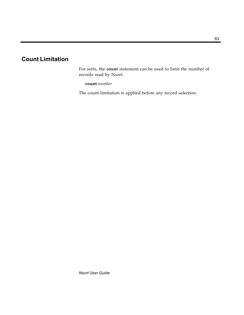# <span id="page-94-0"></span>**Count Limitation**

For sorts, the **count** statement can be used to limit the number of records read by Nsort.

-**count**:*number*

The count limitation is applied before any record selection.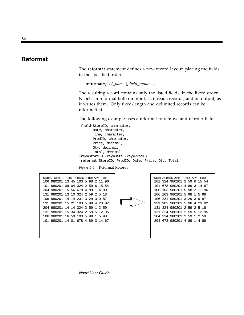## <span id="page-95-0"></span>**Reformat**

The **reformat** statement defines a new record layout, placing the fields in the specified order.

**-reformat=***field\_name* [**,** *field\_name* ...]

The resulting record contains only the listed fields, in the listed order. Nsort can reformat both on input, as it reads records, and on output, as it writes them. Only fixed-length and delimited records can be reformatted.

The following example uses a reformat to remove and reorder fields:

-field=StoreID, character, Date, character, Time, character, ProdID, character, Price, decimal, Qty, decimal, Total, decimal -key=StoreID -key=Date -key=ProdID -reformat=StoreID, ProdID, Date, Price, Qty, Total

StoreID Date Time ProdID Price Qty Total 106 980201 13:45 103 5.98 2 11.96 101 980201 09:04 324 2.59 6 15.54 204 980201 15:56 678 4.89 1 4.89 131 980201 13:10 324 2.59 2 5.18 106 980201 14:14 231 3.29 3 9.87 131 980201 15:21 103 5.98 4 23.92 204 980201 14:14 324 2.59 1 2.59 131 980201 15:34 324 2.59 5 12.95 106 980201 16:50 103 5.98 1 5.98 101 980201 14:01 678 4.89 3 14.67 . . .



|  | StoreID ProdID Date  Price  Qty  Total |  |  |
|--|----------------------------------------|--|--|
|  | 101 324 980201 2.59 6 15.54            |  |  |
|  | 101 678 980201 4.89 3 14.67            |  |  |
|  | 106 103 980201 5.98 2 11.96            |  |  |
|  | 106 103 980201 5.98 1 5.98             |  |  |
|  | 106 231 980201 3.29 3 9.87             |  |  |
|  | 131 103 980201 5.98 4 23.92            |  |  |
|  | 131 324 980201 2.59 2 5.18             |  |  |
|  | 131 324 980201 2.59 5 12.95            |  |  |
|  | 204 324 980201 2.59 1 2.59             |  |  |
|  | 204 678 980201 4.89 1 4.89             |  |  |
|  |                                        |  |  |
|  |                                        |  |  |
|  |                                        |  |  |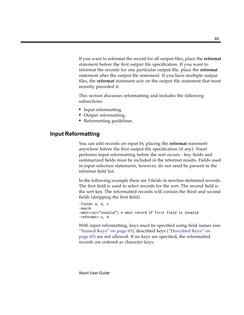If you want to reformat the record for all output files, place the **reformat** statement before the first output file specification. If you want to reformat the records for one particular output file, place the **reformat** statement after the output file statement. If you have multiple output files, the **reformat** statement acts on the output file statement that most recently preceded it.

This section discusses reformatting and includes the following subsections:

- **•** Input reformatting.
- **•** Output reformatting.
- **•** Reformatting guidelines.

#### **Input Reformatting**

You can edit records on input by placing the **reformat** statement anywhere before the first output file specification (if any). Nsort performs input reformatting before the sort occurs - key fields and summarized fields must be included in the reformat results. Fields used in input selection statements, however, do not need be present in the reformat field list.

In the following example there are 3 fields in newline-delimited records. The first field is used to select records for the sort. The second field is the sort key. The reformatted records will contain the third and second fields (dropping the first field).

```
-field= a, b, c
-key=b
-omit=(a=="invalid") # omit record if first field is invalid
-reformat= c, b
```
With input reformatting, keys must be specified using field names (see ["Named Keys" on page 65\)](#page-76-0), described keys (["Described Keys" on](#page-76-1)  [page 65](#page-76-1)) are not allowed. If no keys are specified, the reformatted records are ordered as character keys.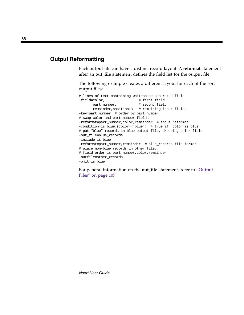# **Output Reformatting**

Each output file can have a distinct record layout. A **reformat** statement after an **out\_file** statement defines the field list for the output file.

The following example creates a different layout for each of the sort output files:

# lines of text containing whitespace-separated fields -field=color,  $# first field$ part\_number, # second field remainder,position:3- # remaining input fields -key=part\_number # order by part\_number # swap color and part\_number fields -reformat=part\_number,color,remainder # input reformat -condition=is\_blue:(color=="blue") # true if color is blue # put "blue" records in blue output file, dropping color field -out\_file=blue\_records -include=is\_blue -reformat=part\_number,remainder # blue\_records file format # place non-blue records in other file, # field order is part\_number,color,remainder -outfile=other\_records -omit=is\_blue

For general information on the **out\_file** statement, refer to ["Output](#page-118-0)  [Files" on page 107.](#page-118-0)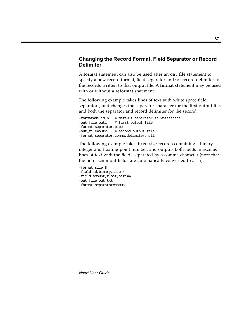#### **Changing the Record Format, Field Separator or Record Delimiter**

A **format** statement can also be used after an **out\_file** statement to specify a new record format, field separator and/or record delimiter for the records written to that output file. A **format** statement may be used with or without a **reformat** statement.

The following example takes lines of text with white space field separators, and changes the separator character for the first output file, and both the separator and record delimiter for the second:

```
-format=delim:nl # default separator is whitespace
-out_file=out1 # first output file
-format=separator:pipe
-out_file=out2 # second output file
-format=separator:comma,delimiter:null
```
The following example takes fixed-size records containing a binary integer and floating point number, and outputs both fields in ascii as lines of text with the fields separated by a comma character (note that the non-ascii input fields are automatically converted to ascii):

-format:size=8 -field:id,binary,size=4 -field:amount,float,size=4 -out\_file:out.txt -format:separator=comma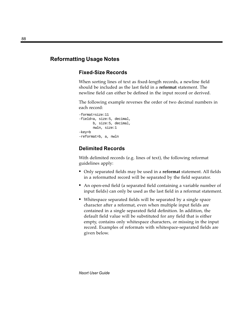# **Reformatting Usage Notes**

#### **Fixed-Size Records**

When sorting lines of text as fixed-length records, a newline field should be included as the last field in a **reformat** statement. The newline field can either be defined in the input record or derived.

The following example reverses the order of two decimal numbers in each record:

```
-format=size:11
-field=a, size:5, decimal,
       b, size:5, decimal,
        nwln, size:1
-key=b
-reformat=b, a, nwln
```
### **Delimited Records**

With delimited records (e.g. lines of text), the following reformat guidelines apply:

- **•** Only separated fields may be used in a **reformat** statement. All fields in a reformatted record will be separated by the field separator.
- **•** An open-end field (a separated field containing a variable number of input fields) can only be used as the last field in a reformat statement.
- **•** Whitespace separated fields will be separated by a single space character after a reformat, even when multiple input fields are contained in a single separated field definition. In addition, the default field value will be substituted for any field that is either empty, contains only whitespace characters, or missing in the input record. Examples of reformats with whitespace-separated fields are given below.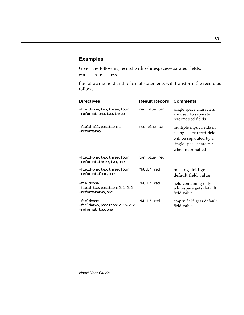# **Examples**

Given the following record with whitespace-separated fields:

red blue tan

the following field and reformat statements will transform the record as follows:

| <b>Directives</b>                                                    | <b>Result Record Comments</b> |                                                                                                                              |
|----------------------------------------------------------------------|-------------------------------|------------------------------------------------------------------------------------------------------------------------------|
| -field=one, two, three, four<br>-reformat=one, two, three            | red blue tan                  | single space characters<br>are used to separate<br>reformatted fields                                                        |
| -field=all, position:1-<br>-reformat=all                             | red blue tan                  | multiple input fields in<br>a single separated field<br>will be separated by a<br>single space character<br>when reformatted |
| -field=one, two, three, four<br>-reformat=three, two, one            | tan blue red                  |                                                                                                                              |
| -field=one, two, three, four<br>-reformat=four,one                   | *NULL* red                    | missing field gets<br>default field value                                                                                    |
| -field=one<br>$-field$ =two, position: 2.1-2.2<br>-reformat=two, one | *NULL* red                    | field containing only<br>whitespace gets default<br>field value                                                              |
| -field=one<br>-field=two,position:2.1b-2.2<br>-reformat=two, one     | *NULL* red                    | empty field gets default<br>field value                                                                                      |

*Nsort User Guide*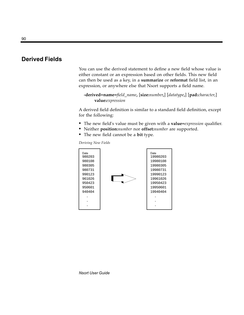# <span id="page-101-0"></span>**Derived Fields**

You can use the derived statement to define a new field whose value is either constant or an expression based on other fields. This new field can then be used as a key, in a **summarize** or **reformat** field list, in an expression, or anywhere else that Nsort supports a field name.

**-derived=name=***field\_name***,** [**size:***number***,**] [*datatype***,**] [**pad:***character*,]  **value:***expression*

A derived field definition is similar to a standard field definition, except for the following:

- **•** The new field's value must be given with a **value=***expression* qualifier.
- **•** Neither **position:***number* nor **offset:***number* are supported.
- **•** The new field cannot be a **bit** type.

*Deriving New Fields*

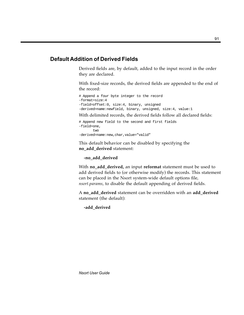## **Default Addition of Derived Fields**

Derived fields are, by default, added to the input record in the order they are declared.

With fixed-size records, the derived fields are appended to the end of the record:

```
# Append a four byte integer to the record
-format=size:4
-field=offset:0, size:4, binary, unsigned
-derived=name:newfield, binary, unsigned, size:4, value:1
```
With delimited records, the derived fields follow all declared fields:

# Append new field to the second and first fields -field=one, two

-derived=name:new,char,value="valid"

This default behavior can be disabled by specifying the **no\_add\_derived** statement:

**-no\_add\_derived**

With **no** add derived, an input reformat statement must be used to add derived fields to (or otherwise modify) the records. This statement can be placed in the Nsort system-wide default options file, *nsort.params*, to disable the default appending of derived fields.

A **no\_add\_derived** statement can be overridden with an **add\_derived** statement (the default):

**-add\_derived**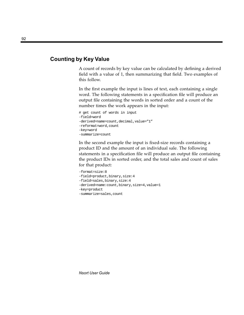#### **Counting by Key Value**

A count of records by key value can be calculated by defining a derived field with a value of 1, then summarizing that field. Two examples of this follow.

In the first example the input is lines of text, each containing a single word. The following statements in a specification file will produce an output file containing the words in sorted order and a count of the number times the work appears in the input:

```
# get count of words in input
-field=word
-derived=name=count,decimal,value="1"
-reformat=word,count
-key=word
-summarize=count
```
In the second example the input is fixed-size records containing a product ID and the amount of an individual sale. The following statements in a specification file will produce an output file containing the product IDs in sorted order, and the total sales and count of sales for that product:

```
-format=size:8
-field=product,binary,size:4
-field=sales,binary,size:4
-derived=name:count,binary,size=4,value=1
-key=product
-summarize=sales,count
```
92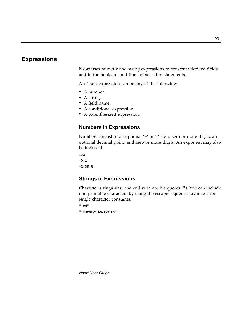# <span id="page-104-0"></span>**Expressions**

Nsort uses numeric and string expressions to construct derived fields and in the boolean conditions of selection statements.

An Nsort expression can be any of the following:

- **•** A number.
- **•** A string.
- **•** A field name.
- **•** A conditional expression.
- **•** A parenthesized expression.

#### **Numbers in Expressions**

Numbers consist of an optional '+' or '-' sign, zero or more digits, an optional decimal point, and zero or more digits. An exponent may also be included.

123 -0.1 +3.2E-8

#### **Strings in Expressions**

Character strings start and end with double quotes ("). You can include non-printable characters by using the escape sequences available for single character constants.

"Ted"

"\tHenry\0240Smith"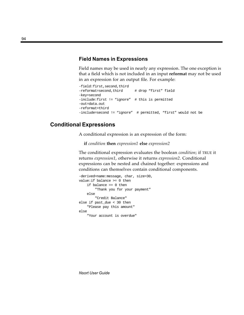#### **Field Names in Expressions**

Field names may be used in nearly any expression. The one exception is that a field which is not included in an input **reformat** may not be used in an expression for an output file. For example:

```
-field:first,second,third
-reformat=second, third # drop "first" field
-key=second
-include:first != "ignore" # this is permitted
-out=data.out
-reformat=third
-include=second != "ignore" # permitted, "first" would not be
```
### **Conditional Expressions**

A conditional expression is an expression of the form:

**if** *condition* **then** *expression1* **else** *expression2*

The conditional expression evaluates the boolean *condition*; if TRUE it returns *expression1*, otherwise it returns *expression2*. Conditional expressions can be nested and chained together: expressions and conditions can themselves contain conditional components.

```
-derived=name:message, char, size=30,
value:if balance >= 0 then
    if balance == 0 then
        "Thank you for your payment"
   else 
       "Credit Balance"
else if past_due < 30 then 
    "Please pay this amount"
else 
    "Your account is overdue"
```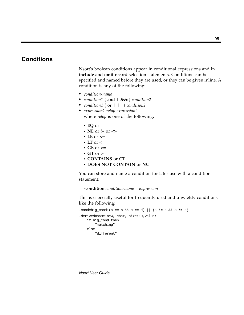# <span id="page-106-0"></span>**Conditions**

Nsort's boolean conditions appear in conditional expressions and in **include** and **omit** record selection statements. Conditions can be specified and named before they are used, or they can be given inline. A condition is any of the following:

- **•** *condition-name*
- **•** *condition1* { **and** | **&&** } *condition2*
- **•** *condition1* { **or** | **||** } *condition2*
- **•** *expression1 relop expression2* where *relop* is one of the following:
	- **• EQ** or **==**
	- **• NE** or **!=** or **<>**
	- **• LE** or **<=**
	- **• LT** or **<**
	- **• GE** or **>=**
	- **• GT** or **>**
	- **• CONTAINS** or **CT**
	- **• DOES NOT CONTAIN** or **NC**

You can store and name a condition for later use with a condition statement:

```
-condition:condition-name = expression
```
This is especially useful for frequently used and unwieldy conditions like the following:

```
-cond=big\_cond: (a == b && c == d) || (a != b && c != d)-derived=name:new, char, size:10,value:
    if big_cond then 
        "matching"
   else 
        "different"
```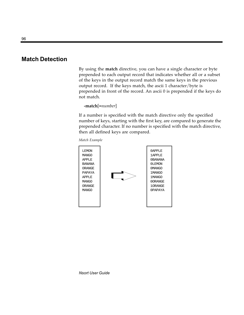# **Match Detection**

By using the **match** directive, you can have a single character or byte prepended to each output record that indicates whether all or a subset of the keys in the output record match the same keys in the previous output record. If the keys match, the ascii 1 character/byte is prepended in front of the record. An ascii 0 is prepended if the keys do not match.

**-match**[**=***number*]

If a number is specified with the match directive only the specified number of keys, starting with the first key, are compared to generate the prepended character. If no number is specified with the match directive, then all defined keys are compared.

*Match Example*

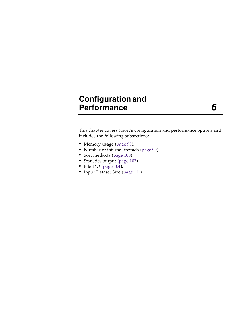# **Configuration and Performance** *6*

This chapter covers Nsort's configuration and performance options and includes the following subsections:

- **•** Memory usage [\(page 98](#page-109-0)).
- **•** Number of internal threads ([page 99\)](#page-110-0).
- **•** Sort methods ([page 100](#page-111-0)).
- Statistics output ([page 102](#page-113-0)).
- **•** File I/O ([page 104](#page-115-0)).
- **•** Input Dataset Size ([page 111](#page-122-0)).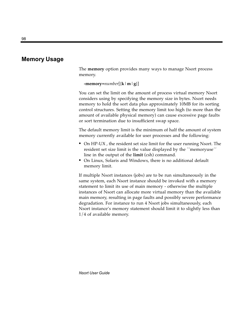# <span id="page-109-0"></span>**Memory Usage**

The **memory** option provides many ways to manage Nsort process memory.

```
-memory=\n  \n  <i>number</i>[<math>{\bf k} | {\bf m} | {\bf g}]
```
You can set the limit on the amount of process virtual memory Nsort considers using by specifying the memory size in bytes. Nsort needs memory to hold the sort data plus approximately 10MB for its sorting control structures. Setting the memory limit too high (to more than the amount of available physical memory) can cause excessive page faults or sort termination due to insufficient swap space.

The default memory limit is the minimum of half the amount of system memory currently available for user processes and the following:

- **•** On HP-UX , the resident set size limit for the user running Nsort. The resident set size limit is the value displayed by the ``memoryuse´´ line in the output of the **limit** (csh) command.
- **•** On Linux, Solaris and Windows, there is no additional default memory limit.

If multiple Nsort instances (jobs) are to be run simultaneously in the same system, each Nsort instance should be invoked with a memory statement to limit its use of main memory - otherwise the multiple instances of Nsort can allocate more virtual memory than the available main memory, resulting in page faults and possibly severe performance degradation. For instance to run 4 Nsort jobs simultaneously, each Nsort instance's memory statement should limit it to slightly less than 1/4 of available memory.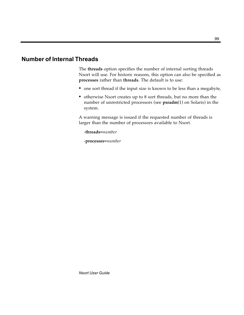# <span id="page-110-0"></span>**Number of Internal Threads**

The **threads** option specifies the number of internal sorting threads Nsort will use. For historic reasons, this option can also be specified as **processes** rather than **threads**. The default is to use:

- **•** one sort thread if the input size is known to be less than a megabyte,
- **•** otherwise Nsort creates up to 8 sort threads, but no more than the number of unrestricted processors (see **psradm**(1) on Solaris) in the system.

A warning message is issued if the requested number of threads is larger than the number of processors available to Nsort.

-**threads=***number*

-**processes=***number*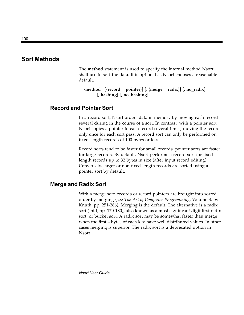# <span id="page-111-0"></span>**Sort Methods**

The **method** statement is used to specify the internal method Nsort shall use to sort the data. It is optional as Nsort chooses a reasonable default.

```
-method= [{record | pointer}] [, {merge | radix}] [, no_radix]
      [, hashing] [, no_hashing]
```
# **Record and Pointer Sort**

In a record sort, Nsort orders data in memory by moving each record several during in the course of a sort. In contrast, with a pointer sort, Nsort copies a pointer to each record several times, moving the record only once for each sort pass. A record sort can only be performed on fixed-length records of 100 bytes or less.

Record sorts tend to be faster for small records, pointer sorts are faster for large records. By default, Nsort performs a record sort for fixedlength records up to 32 bytes in size (after input record editing). Conversely, larger or non-fixed-length records are sorted using a pointer sort by default.

#### **Merge and Radix Sort**

With a merge sort, records or record pointers are brought into sorted order by merging (see *The Art of Computer Programming*, Volume 3, by Knuth, pp. 251-266). Merging is the default. The alternative is a radix sort (Ibid, pp. 170-180), also known as a most significant digit first radix sort, or bucket sort. A radix sort may be somewhat faster than merge when the first 4 bytes of each key have well distributed values. In other cases merging is superior. The radix sort is a deprecated option in Nsort.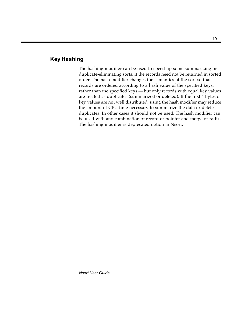#### **Key Hashing**

The hashing modifier can be used to speed up some summarizing or duplicate-eliminating sorts, if the records need not be returned in sorted order. The hash modifier changes the semantics of the sort so that records are ordered according to a hash value of the specified keys, rather than the specified keys — but only records with equal key values are treated as duplicates (summarized or deleted). If the first 4 bytes of key values are not well distributed, using the hash modifier may reduce the amount of CPU time necessary to summarize the data or delete duplicates. In other cases it should not be used. The hash modifier can be used with any combination of record or pointer and merge or radix. The hashing modifier is deprecated option in Nsort.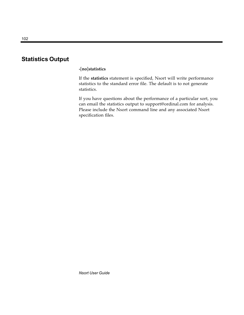# <span id="page-113-0"></span>**Statistics Output**

#### **-**[**no**]**statistics**

If the **statistics** statement is specified, Nsort will write performance statistics to the standard error file. The default is to not generate statistics.

If you have questions about the performance of a particular sort, you can email the statistics output to support@ordinal.com for analysis. Please include the Nsort command line and any associated Nsort specification files.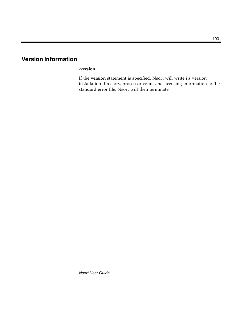# **Version Information**

#### **-version**

If the **version** statement is specified, Nsort will write its version, installation directory, processor count and licensing information to the standard error file. Nsort will then terminate.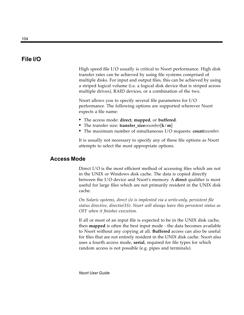# <span id="page-115-0"></span>**File I/O**

High speed file  $I/O$  usually is critical to Nsort performance. High disk transfer rates can be achieved by using file systems comprised of multiple disks. For input and output files, this can be achieved by using a striped logical volume (i.e. a logical disk device that is striped across multiple drives), RAID devices, or a combination of the two.

Nsort allows you to specify several file parameters for I/O performance. The following options are supported wherever Nsort expects a file name:

- **•** The access mode: **direct**, **mapped**, or **buffered**.
- **•** The transfer size: **transfer\_size:***number*[**k**|**m**]
- **•** The maximum number of simultaneous I/O requests: **count:***number.*

It is usually not necessary to specify any of these file options as Nsort attempts to select the most appropriate options.

#### **Access Mode**

Direct I/O is the most efficient method of accessing files which are not in the UNIX or Windows disk cache. The data is copied directly between the I/O device and Nsort's memory. A **direct** qualifier is most useful for large files which are not primarily resident in the UNIX disk cache.

*On Solaris systems, direct i/o is implented via a write-only, persistent file status directive, directio(3S). Nsort will always leave this persistent status as OFF when it finishes execution.*

If all or most of an input file is expected to be in the UNIX disk cache, then **mapped** is often the best input mode - the data becomes available to Nsort without any copying at all. **Buffered** access can also be useful for files that are not entirely resident in the UNIX disk cache. Nsort also uses a fourth access mode, **serial**, required for file types for which random access is not possible (e.g. pipes and terminals).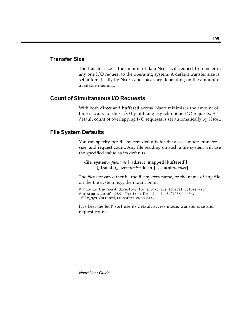# **Transfer Size**

The transfer size is the amount of data Nsort will request to transfer in any one I/O request to the operating system. A default transfer size is set automatically by Nsort, and may vary depending on the amount of available memory.

# **Count of Simultaneous I/O Requests**

With both **direct** and **buffered** access, Nsort minimizes the amount of time it waits for disk I/O by utilizing asynchronous I/O requests. A default count of overlapping I/O requests is set automatically by Nsort.

# **File System Defaults**

You can specify per-file system defaults for the access mode, transfer size, and request count. Any file residing on such a file system will use the specified value as its defaults.

**-file\_system=** *filename* [**,** {**direct**|**mapped**|**buffered**}] [**, transfer\_size:***number*[**k**|**m**]] [**, count:***number*]

The *filename* can either be the file system name, or the name of any file on the file system (e.g. the mount point).

```
# /xlv is the mount directory for a 64-drive logical volume with
# a step size of 128K. The transfer size is 64*128K or 8M.
-file_sys:/striped,transfer:8M,count:2
```
It is best the let Nsort use its default access mode, transfer size and request count.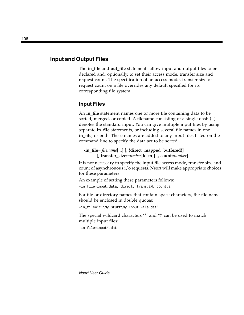#### **Input and Output Files**

The **in\_file** and **out\_file** statements allow input and output files to be declared and, optionally, to set their access mode, transfer size and request count. The specification of an access mode, transfer size or request count on a file overrides any default specified for its corresponding file system.

#### **Input Files**

An **in\_file** statement names one or more file containing data to be sorted, merged, or copied. A filename consisting of a single dash (-) denotes the standard input. You can give multiple input files by using separate **in\_file** statements, or including several file names in one **in\_file**, or both. These names are added to any input files listed on the command line to specify the data set to be sorted.

**-in\_file=** *filename*[...] [**,** {**direct**|**mapped**|**buffered**}] [**, transfer\_size:***number*[**k**|**m**]] [**, count:***number*]

It is not necessary to specify the input file access mode, transfer size and count of asynchronous i/o requests. Nsort will make appropriate choices for these parameters.

An example of setting these parameters follows:

-in file=input.data, direct, trans: 2M, count: 2

For file or directory names that contain space characters, the file name should be enclosed in double quotes:

-in\_file="c:\My Stuff\My Input File.dat"

The special wildcard characters '**\***' and '**?**' can be used to match multiple input files:

-in\_file=input\*.dat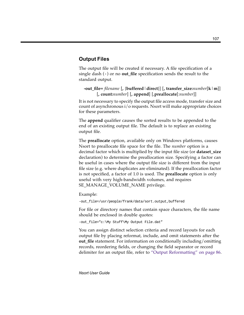#### **Output Files**

The output file will be created if necessary. A file specification of a single dash (-) or no **out\_file** specification sends the result to the standard output.

**-out\_file=** *filename* [**,** {**buffered**|**direct**}] [**, transfer\_size:***number*[**k**|**m**]] [**, count:***number*] [**, append**] [,**preallocate**[:*number*]]

It is not necessary to specify the output file access mode, transfer size and count of asynchronous i/o requests. Nsort will make appropriate choices for these parameters.

The **append** qualifier causes the sorted results to be appended to the end of an existing output file. The default is to replace an existing output file.

The **preallocate** option, available only on Windows platforms, causes Nsort to preallocate file space for the file. The *number* option is a decimal factor which is multiplied by the input file size (or **dataset\_size** declaration) to determine the preallocation size. Specifying a factor can be useful in cases where the output file size is different from the input file size (e.g. where duplicates are eliminated). If the preallocation factor is not specified, a factor of 1.0 is used. The **preallocate** option is only useful with very high-bandwidth volumes, and requires SE\_MANAGE\_VOLUME\_NAME privilege.

Example:

-out\_file=/usr/people/frank/data/sort.output,buffered

For file or directory names that contain space characters, the file name should be enclosed in double quotes:

-out\_file="c:\My Stuff\My Output File.dat"

You can assign distinct selection criteria and record layouts for each output file by placing reformat, include, and omit statements after the **out\_file** statement. For information on conditionally including/omitting records, reordering fields, or changing the field separator or record delimiter for an output file, refer to ["Output Reformatting" on page 86.](#page-97-0)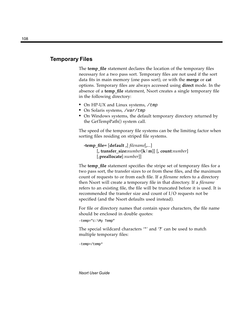# **Temporary Files**

The **temp\_file** statement declares the location of the temporary files necessary for a two pass sort. Temporary files are not used if the sort data fits in main memory (one pass sort), or with the **merge** or **cat** options. Temporary files are always accessed using **direct** mode. In the absence of a **temp\_file** statement, Nsort creates a single temporary file in the following directory:

- On HP-UX and Linux systems, /tmp
- **•** On Solaris systems, /var/tmp
- **•** On Windows systems, the default temporary directory returned by the GetTempPath() system call.

The speed of the temporary file systems can be the limiting factor when sorting files residing on striped file systems.

```
-temp_file= [default ,] filename[,...] 
       [, transfer_size:number[k|m]] [, count:number] 
      [,preallocate[:number]]
```
The **temp\_file** statement specifies the stripe set of temporary files for a two pass sort, the transfer sizes to or from these files, and the maximum count of requests to or from each file. If a *filename* refers to a directory then Nsort will create a temporary file in that directory. If a *filename* refers to an existing file, the file will be truncated before it is used. It is recommended the transfer size and count of I/O requests not be specified (and the Nsort defaults used instead).

For file or directory names that contain space characters, the file name should be enclosed in double quotes:

-temp="c:\My Temp"

The special wildcard characters '**\***' and '**?**' can be used to match multiple temporary files:

-temp=/temp\*

108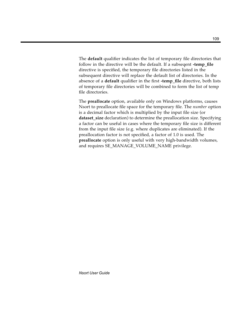The **default** qualifier indicates the list of temporary file directories that follow in the directive will be the default. If a subseqent **-temp\_file** directive is specified, the temporary file directories listed in the subsequent directive will replace the default list of directories. In the absence of a **default** qualifier in the first **-temp\_file** directive, both lists of temporary file directories will be combined to form the list of temp file directories.

The **preallocate** option, available only on Windows platforms, causes Nsort to preallocate file space for the temporary file. The *number* option is a decimal factor which is multiplied by the input file size (or **dataset\_size** declaration) to determine the preallocation size. Specifying a factor can be useful in cases where the temporary file size is different from the input file size (e.g. where duplicates are eliminated). If the preallocation factor is not specified, a factor of 1.0 is used. The **preallocate** option is only useful with very high-bandwidth volumes, and requires SE\_MANAGE\_VOLUME\_NAME privilege.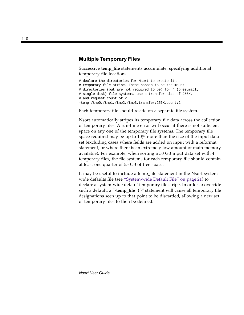#### **Multiple Temporary Files**

Successive **temp\_file** statements accumulate, specifying additional temporary file locations.

# declare the directories for Nsort to create its # temporary file stripe. These happen to be the mount # directories (but are not required to be) for 4 (presumably # single-disk) file systems. use a transfer size of 256K, # and request count of 2. -temp=/tmp0,/tmp1,/tmp2,/tmp3,transfer:256K,count:2

Each temporary file should reside on a separate file system.

Nsort automatically stripes its temporary file data across the collection of temporary files. A run-time error will occur if there is not sufficient space on any one of the temporary file systems. The temporary file space required may be up to  $10\%$  more than the size of the input data set (excluding cases where fields are added on input with a reformat statement, or where there is an extremely low amount of main memory available). For example, when sorting a 50 GB input data set with 4 temporary files, the file systems for each temporary file should contain at least one quarter of 55 GB of free space.

It may be useful to include a temp\_file statement in the Nsort systemwide defaults file (see ["System-wide Default File" on page 21\)](#page-32-0) to declare a system-wide default temporary file stripe. In order to override such a default, a "-**temp\_file=( )"** statement will cause all temporary file designations seen up to that point to be discarded, allowing a new set of temporary files to then be defined.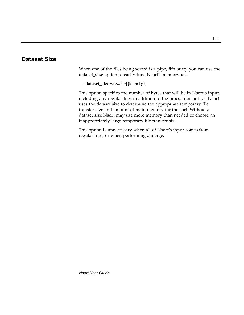# <span id="page-122-0"></span>**Dataset Size**

When one of the files being sorted is a pipe, fifo or tty you can use the **dataset\_size** option to easily tune Nsort's memory use.

```
-dataset_size=number[{k|m|g}]
```
This option specifies the number of bytes that will be in Nsort's input, including any regular files in addition to the pipes, fifos or ttys. Nsort uses the dataset size to determine the appropriate temporary file transfer size and amount of main memory for the sort. Without a dataset size Nsort may use more memory than needed or choose an inappropriately large temporary file transfer size.

This option is unnecessary when all of Nsort's input comes from regular files, or when performing a merge.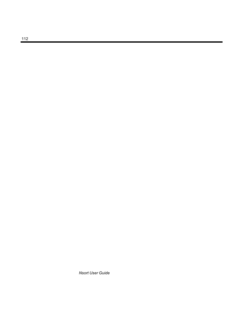112

*Nsort User Guide*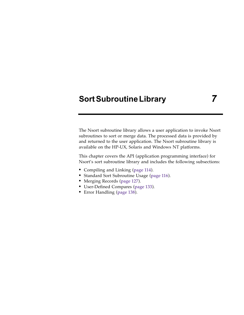# **Sort Subroutine Library** *7*

The Nsort subroutine library allows a user application to invoke Nsort subroutines to sort or merge data. The processed data is provided by and returned to the user application. The Nsort subroutine library is available on the HP-UX, Solaris and Windows NT platforms.

This chapter covers the API (application programming interface) for Nsort's sort subroutine library and includes the following subsections:

- **•** Compiling and Linking ([page 114\)](#page-125-0).
- **•** Standard Sort Subroutine Usage ([page 116\)](#page-127-0).
- **•** Merging Records [\(page 127](#page-138-0)).
- **•** User-Defined Compares [\(page 133\)](#page-144-0).
- **•** Error Handling ([page 138\)](#page-149-0).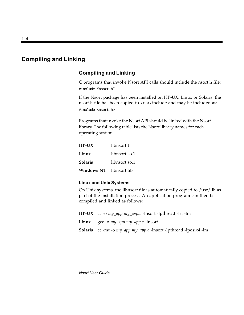# <span id="page-125-0"></span>**Compiling and Linking**

#### **Compiling and Linking**

C programs that invoke Nsort API calls should include the nsort.h file: #include "nsort.h"

If the Nsort package has been installed on HP-UX, Linux or Solaris, the nsort.h file has been copied to /usr/include and may be included as: #include <nsort.h>

Programs that invoke the Nsort API should be linked with the Nsort library. The following table lists the Nsort library names for each operating system.

| $HP-UX$                 | libnsort.1    |
|-------------------------|---------------|
| Linux                   | libnsort.so.1 |
| <b>Solaris</b>          | libnsort.so.1 |
| Windows NT libnsort.lib |               |

#### **Linux and Unix Systems**

On Unix systems, the libnsort file is automatically copied to /usr/lib as part of the installation process. An application program can then be compiled and linked as follows:

**HP-UX** cc -o *my\_app my\_app.c* -lnsort -lpthread -lrt -lm **Linux** gcc -o *my\_app my\_app.c* -lnsort **Solaris** cc -mt -o *my\_app my\_app.c* -lnsort -lpthread -lposix4 -lm

114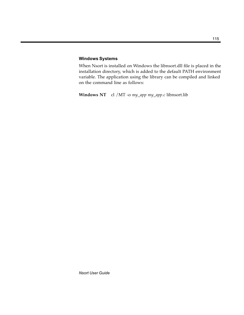#### **Windows Systems**

When Nsort is installed on Windows the libnsort.dll file is placed in the installation directory, which is added to the default PATH environment variable. The application using the library can be compiled and linked on the command line as follows:

**Windows NT** cl /MT -o *my\_app my\_app.c* libnsort.lib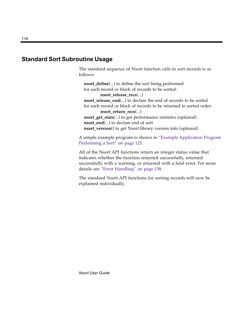# <span id="page-127-0"></span>**Standard Sort Subroutine Usage**

The standard sequence of Nsort function calls to sort records is as follows:

**nsort\_define**(...) to define the sort being performed for each record or block of records to be sorted: **nsort** release recs(...) **nsort\_release\_end**(...) to declare the end of records to be sorted for each record or block of records to be returned in sorted order:

**nsort\_return\_recs**(...) **nsort\_get\_stats**(...) to get performance statistics (optional) **nsort** end(...) to declare end of sort **nsort\_version**() to get Nsort library version info (optional)

A simple example program is shown in ["Example Application Program](#page-136-0)  [Performing a Sort" on page 125](#page-136-0).

All of the Nsort API functions return an integer status value that indicates whether the function returned successfully, returned successfully with a warning, or returned with a fatal error. For more details see ["Error Handling" on page 138.](#page-149-0)

The standard Nsort API functions for sorting records will now be explained individually.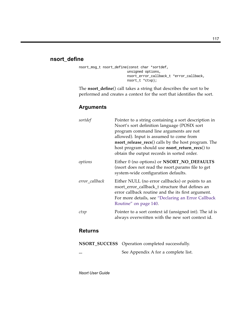# **nsort\_define**

```
nsort_msg_t nsort_define(const char *sortdef,
                       unsigned options,
                       nsort_error_callback_t *error_callback,
                       nsort_t *ctxp);
```
The **nsort\_define**() call takes a string that describes the sort to be performed and creates a context for the sort that identifies the sort.

#### **Arguments**

| sortdef        | Pointer to a string containing a sort description in<br>Nsort's sort definition language (POSIX sort<br>program command line arguments are not<br>allowed). Input is assumed to come from<br>nsort_release_recs() calls by the host program. The<br>host program should use <b>nsort_return_recs</b> () to<br>obtain the output records in sorted order. |
|----------------|----------------------------------------------------------------------------------------------------------------------------------------------------------------------------------------------------------------------------------------------------------------------------------------------------------------------------------------------------------|
| options        | Either 0 (no options) or <b>NSORT_NO_DEFAULTS</b><br>(nsort does not read the nsort params file to get<br>system-wide configuration defaults.                                                                                                                                                                                                            |
| error_callback | Either NULL (no error callbacks) or points to an<br>nsort_error_callback_t structure that defines an<br>error callback routine and the its first argument.<br>For more details, see "Declaring an Error Callback<br>Routine" on page 140.                                                                                                                |
| ctxp           | Pointer to a sort context id (unsigned int). The id is<br>always overwritten with the new sort context id.                                                                                                                                                                                                                                               |
| Returns        |                                                                                                                                                                                                                                                                                                                                                          |

# **NSORT\_SUCCESS** Operation completed successfully. **...** See Appendix A for a complete list.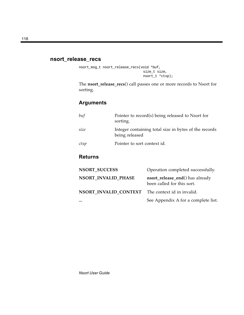# **nsort\_release\_recs**

```
nsort_msg_t nsort_release_recs(void *buf,
                                size_t size,
                                nsort_t *ctxp);
```
The **nsort\_release\_recs**() call passes one or more records to Nsort for sorting.

# **Arguments**

| buf  | Pointer to record(s) being released to Nsort for<br>sorting.            |
|------|-------------------------------------------------------------------------|
| size | Integer containing total size in bytes of the records<br>being released |
| ctxp | Pointer to sort context id.                                             |

# **Returns**

| <b>NSORT SUCCESS</b>                                    | Operation completed successfully.                                     |
|---------------------------------------------------------|-----------------------------------------------------------------------|
| NSORT INVALID PHASE                                     | <b>nsort_release_end</b> () has already<br>been called for this sort. |
| <b>NSORT INVALID CONTEXT</b> The context id in invalid. |                                                                       |
|                                                         | See Appendix A for a complete list.                                   |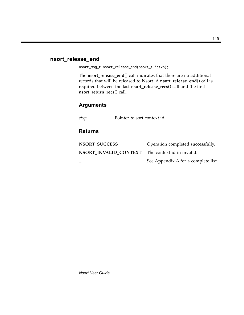# **nsort\_release\_end**

nsort\_msg\_t nsort\_release\_end(nsort\_t \*ctxp);

The **nsort\_release\_end**() call indicates that there are no additional records that will be released to Nsort. A **nsort\_release\_end**() call is required between the last **nsort\_release\_recs**() call and the first **nsort\_return\_recs**() call.

#### **Arguments**

*ctxp* Pointer to sort context id.

#### **Returns**

| <b>NSORT SUCCESS</b>                                    | Operation completed successfully.   |
|---------------------------------------------------------|-------------------------------------|
| <b>NSORT INVALID CONTEXT</b> The context id in invalid. |                                     |
|                                                         | See Appendix A for a complete list. |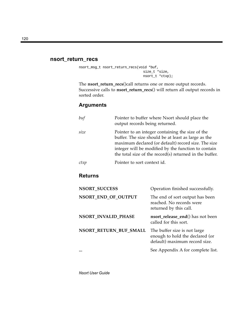#### **nsort\_return\_recs**

```
nsort_msg_t nsort_return_recs(void *buf,
                                size_t *size,
                                nsort_t *ctxp);
```
The **nsort\_return\_recs**()call returns one or more output records. Successive calls to **nsort\_return\_recs**() will return all output records in sorted order.

## **Arguments**

| buf  | Pointer to buffer where Nsort should place the<br>output records being returned.                                                                                                                                                                                                 |
|------|----------------------------------------------------------------------------------------------------------------------------------------------------------------------------------------------------------------------------------------------------------------------------------|
| size | Pointer to an integer containing the size of the<br>buffer. The size should be at least as large as the<br>maximum declared (or default) record size. The size<br>integer will be modified by the function to contain<br>the total size of the record(s) returned in the buffer. |
|      | Pointer to sort context id.                                                                                                                                                                                                                                                      |

#### **Returns**

| <b>NSORT SUCCESS</b>   | Operation finished successfully.                                                                 |
|------------------------|--------------------------------------------------------------------------------------------------|
| NSORT END OF OUTPUT    | The end of sort output has been<br>reached. No records were<br>returned by this call.            |
| NSORT INVALID PHASE    | <b>nsort release end</b> () has not been<br>called for this sort.                                |
| NSORT_RETURN_BUF_SMALL | The buffer size is not large<br>enough to hold the declared (or<br>default) maximum record size. |
|                        | See Appendix A for complete list.                                                                |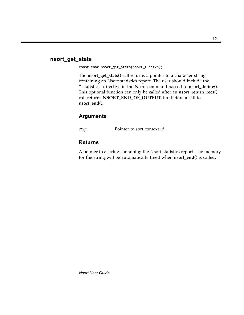#### **nsort\_get\_stats**

const char nsort\_get\_stats(nsort\_t \*ctxp);

The **nsort\_get\_stats**() call returns a pointer to a character string containing an Nsort statistics report. The user should include the "-statistics" directive in the Nsort command passed to **nsort\_define()**. This optional function can only be called after an **nsort\_return\_recs**() call returns **NSORT\_END\_OF\_OUTPUT**, but before a call to **nsort\_end**().

# **Arguments**

*ctxp* Pointer to sort context id.

#### **Returns**

A pointer to a string containing the Nsort statistics report. The memory for the string will be automatically freed when **nsort\_end**() is called.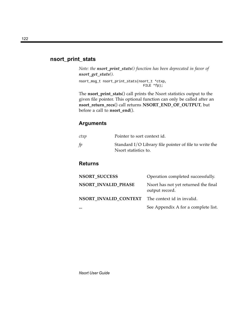## **nsort\_print\_stats**

*Note: the nsort\_print\_stats() function has been deprecated in favor of nsort\_get\_stats().*

nsort\_msg\_t nsort\_print\_stats(nsort\_t \*ctxp, FILE \*fp);

The **nsort\_print\_stats**() call prints the Nsort statistics output to the given file pointer. This optional function can only be called after an **nsort\_return\_recs**() call returns **NSORT\_END\_OF\_OUTPUT**, but before a call to **nsort\_end**().

#### **Arguments**

| ctxp | Pointer to sort context id.                                                    |
|------|--------------------------------------------------------------------------------|
| fp   | Standard I/O Library file pointer of file to write the<br>Nsort statistics to. |

#### **Returns**

| <b>NSORT SUCCESS</b>  | Operation completed successfully.                      |
|-----------------------|--------------------------------------------------------|
| NSORT INVALID PHASE   | Nsort has not yet returned the final<br>output record. |
| NSORT INVALID CONTEXT | The context id in invalid.                             |
|                       | See Appendix A for a complete list.                    |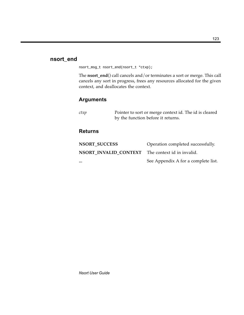# **nsort\_end**

nsort\_msg\_t nsort\_end(nsort\_t \*ctxp);

The **nsort\_end**() call cancels and/or terminates a sort or merge. This call cancels any sort in progress, frees any resources allocated for the given context, and deallocates the context.

## **Arguments**

*ctxp* Pointer to sort or merge context id. The id is cleared by the function before it returns.

#### **Returns**

| <b>NSORT SUCCESS</b>                                    | Operation completed successfully.   |
|---------------------------------------------------------|-------------------------------------|
| <b>NSORT INVALID CONTEXT</b> The context id in invalid. |                                     |
|                                                         | See Appendix A for a complete list. |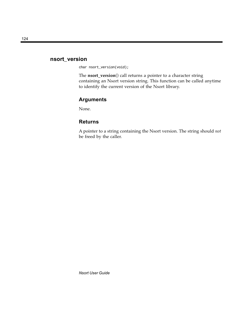# **nsort\_version**

char nsort\_version(void);

The **nsort\_version**() call returns a pointer to a character string containing an Nsort version string. This function can be called anytime to identify the current version of the Nsort library.

## **Arguments**

None.

# **Returns**

A pointer to a string containing the Nsort version. The string should *not* be freed by the caller.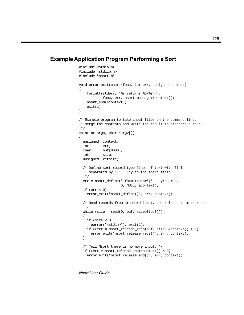#### <span id="page-136-0"></span>**Example Application Program Performing a Sort**

```
#include <stdio.h>
#include <stdlib.h>
#include "nsort.h"
void error_exit(char *func, int err, unsigned context)
{
     fprintf(stderr, "%s returns %d/%s\n",
             func, err, nsort_message(&context));
    nsort_end(&context);
   exit(1);}
/* Example program to take input files on the command line,
  * merge the contents and write the result to standard output.
 */
main(int argc, char *argv[])
{
  unsigned context;
  int err;
  char buf[8000];
   int size;
  unsigned retsize;
   /* Define sort record type lines of text with fields
   * separated by '|'. Key is the third field.
   */
   err = nsort_define("-format:sep='|' -key:pos=3",
                      0, NULL, &context);
  if (err < 0) error_exit("nsort_define()", err, context);
   /* Read records from standard input, and release them to Nsort
   */
 while (size = read(0, but, sizeof(buf))) {
    if (size < 0)
      perror("<stdin>"), exit(1);
    if ((err = nsort_release_recs(buf, size, &context)) < 0)
      error_exit("nsort_release_recs()", err, context);
   }
   /* Tell Nsort there is no more input. */
 if ((err = nsort release end(&countext)) < 0)
     error_exit("nsort_release_end()", err, context);
```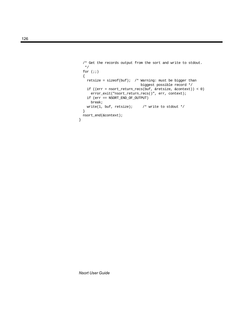```
 /* Get the records output from the sort and write to stdout.
   */
 for (i; j) {
   retsize = sizeof(buf); /* Warning: must be bigger than
                                 biggest possible record */
    if ((err = nsort_return_recs(buf, &retsize, &context)) < 0)
      error_exit("nsort_return_recs()", err, context);
    if (err == NSORT_END_OF_OUTPUT)
      break;
   write(1, buf, retsize); \frac{1}{2} /* write to stdout */
   }
  nsort_end(&context);
}
```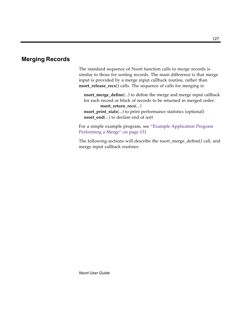# <span id="page-138-0"></span>**Merging Records**

The standard sequence of Nsort function calls to merge records is similar to those for sorting records. The main difference is that merge input is provided by a merge input callback routine, rather than **nsort release recs**() calls. The sequence of calls for merging is:

**nsort\_merge\_define**(...) to define the merge and merge input callback for each record or block of records to be returned in merged order: nsort return recs(...) **nsort\_print\_stats**(...) to print performance statistics (optional)

**nsort\_end**(...) to declare end of sort

For a simple example program, see ["Example Application Program](#page-142-0)  [Performing a Merge" on page 131.](#page-142-0)

The following sections will describe the nsort\_merge\_define() call, and merge input callback routines.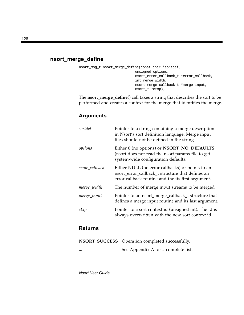# <span id="page-139-0"></span>**nsort\_merge\_define**

```
nsort_msg_t nsort_merge_define(const char *sortdef,
                            unsigned options,
                            nsort_error_callback_t *error_callback,
                            int merge_width,
                            nsort_merge_callback_t *merge_input,
                            nsort_t *ctxp);
```
The **nsort\_merge\_define**() call takes a string that describes the sort to be performed and creates a context for the merge that identifies the merge.

# **Arguments**

| sortdef        | Pointer to a string containing a merge description<br>in Nsort's sort definition language. Merge input<br>files should not be defined in the string        |
|----------------|------------------------------------------------------------------------------------------------------------------------------------------------------------|
| options        | Either 0 (no options) or NSORT_NO_DEFAULTS<br>(nsort does not read the nsort.params file to get<br>system-wide configuration defaults.                     |
| error_callback | Either NULL (no error callbacks) or points to an<br>nsort_error_callback_t structure that defines an<br>error callback routine and the its first argument. |
| merge_width    | The number of merge input streams to be merged.                                                                                                            |
| merge_input    | Pointer to an nsort_merge_callback_t structure that<br>defines a merge input routine and its last argument.                                                |
| ctxp           | Pointer to a sort context id (unsigned int). The id is<br>always overwritten with the new sort context id.                                                 |

# **Returns**

|          | <b>NSORT_SUCCESS</b> Operation completed successfully. |
|----------|--------------------------------------------------------|
| $\cdots$ | See Appendix A for a complete list.                    |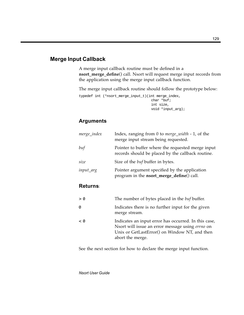# **Merge Input Callback**

A merge input callback routine must be defined in a **nsort\_merge\_define**() call. Nsort will request merge input records from the application using the merge input callback function.

The merge input callback routine should follow the prototype below:

```
typedef int (*nsort_merge_input_t)(int merge_index,
                                    char *buf;
                                    int size,
                                    void *input_arg);
```
# **Arguments**

| merge_index     | Index, ranging from 0 to <i>merge_width</i> - 1, of the<br>merge input stream being requested.         |
|-----------------|--------------------------------------------------------------------------------------------------------|
| buf             | Pointer to buffer where the requested merge input<br>records should be placed by the callback routine. |
| size            | Size of the <i>buf</i> buffer in bytes.                                                                |
| input_arg       | Pointer argument specified by the application<br>program in the <b>nsort_merge_define</b> () call.     |
| <b>Returns:</b> |                                                                                                        |
| > 0             | The number of bytes placed in the <i>buf</i> buffer.                                                   |

| >0  | The number of bytes placed in the <i>buf</i> buffer.                                                                                                                          |
|-----|-------------------------------------------------------------------------------------------------------------------------------------------------------------------------------|
| 0   | Indicates there is no further input for the given<br>merge stream.                                                                                                            |
| < 0 | Indicates an input error has occurred. In this case,<br>Nsort will issue an error message using errno on<br>Unix or GetLastError() on Window NT, and then<br>abort the merge. |

See the next section for how to declare the merge input function.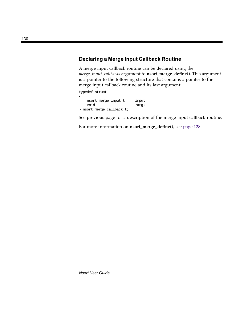#### **Declaring a Merge Input Callback Routine**

A merge input callback routine can be declared using the *merge\_input\_callbacks* argument to **nsort\_merge\_define**(). This argument is a pointer to the following structure that contains a pointer to the merge input callback routine and its last argument:

typedef struct { nsort\_merge\_input\_t input; void \*arg; } nsort\_merge\_callback\_t;

See previous page for a description of the merge input callback routine.

For more information on **nsort\_merge\_define**(), see [page 128](#page-139-0).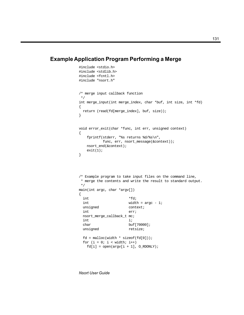## <span id="page-142-0"></span>**Example Application Program Performing a Merge**

```
#include <stdio.h>
#include <stdlib.h>
#include <fcntl.h>
#include "nsort.h"
/* merge input callback function
 */
int merge_input(int merge_index, char *buf, int size, int *fd)
{
  return (read(fd[merge_index], buf, size));
}
void error_exit(char *func, int err, unsigned context)
{
    fprintf(stderr, "%s returns %d/%s\n",
           func, err, nsort_message(&context));
   nsort_end(&context);
   exit(1);}
/* Example program to take input files on the command line,
 * merge the contents and write the result to standard output.
 */
main(int argc, char *argv[])
{
 int *fd;
 int width = \arg c - 1;
 unsigned context;
  int err;
  nsort_merge_callback_t mc;
 int i;
  char buf[70000];
 unsigned retsize;
 fd = \text{malloc}(\text{width} * \text{sizeof}(\text{fd}[0]));
 for (i = 0; i < width; i++)fd[i] = open(argv[i + 1], O_RDOMLY);
```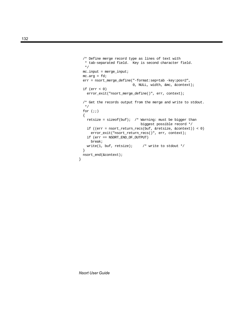```
 /* Define merge record type as lines of text with
 * tab-separated field. Key is second character field.
 */
 mc.input = merge_input;
mc.argv = fd; err = nsort_merge_define("-format:sep=tab -key:pos=2",
                           0, NULL, width, &mc, &context);
if (err < 0) error_exit("nsort_merge_define()", err, context);
 /* Get the records output from the merge and write to stdout.
 */
for (i; j) {
 retsize = sizeof(buf); /* Warning: must be bigger than
                               biggest possible record */
  if ((err = nsort_return_recs(buf, &retsize, &context)) < 0)
    error_exit("nsort_return_recs()", err, context);
   if (err == NSORT_END_OF_OUTPUT)
    break;
 write(1, buf, retsize); \frac{1}{2} /* write to stdout */
 }
 nsort_end(&context);
```
132

*Nsort User Guide*

}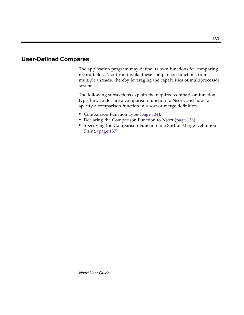# **User-Defined Compares**

The application program may define its own functions for comparing record fields. Nsort can invoke these comparison functions from multiple threads, thereby leveraging the capabilities of multiprocessor systems.

The following subsections explain the required comparison function type, how to declare a comparison function to Nsort, and how to specify a comparison function in a sort or merge definition.

- **•** Comparison Function Type [\(page 134\)](#page-145-0).
- **•** Declaring the Comparison Function to Nsort ([page 136](#page-147-0)).
- **•** Specifying the Comparison Function in a Sort or Merge Definition String ([page 137\)](#page-148-0).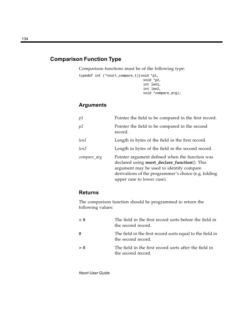# <span id="page-145-0"></span>**Comparison Function Type**

Comparison functions must be of the following type:

```
typedef int (*nsort_compare_t)(void *p1, 
                                 void *p2, 
                                 int len1, 
                                 int len2,
                                 void *compare_arg);
```
# **Arguments**

| p1          | Pointer the field to be compared in the first record.                                                                                                                                                                             |
|-------------|-----------------------------------------------------------------------------------------------------------------------------------------------------------------------------------------------------------------------------------|
| р2          | Pointer the field to be compared in the second<br>record.                                                                                                                                                                         |
| len1        | Length in bytes of the field in the first record.                                                                                                                                                                                 |
| len2        | Length in bytes of the field in the second record.                                                                                                                                                                                |
| compare_arg | Pointer argument defined when the function was<br>declared using nsort_declare_function(). This<br>argument may be used to identify compare<br>derivations of the programmer's choice (e.g. folding<br>upper case to lower case). |

### **Returns**

The comparison function should be programmed to return the following values:

| < 0      | The field in the first record sorts before the field in<br>the second record.   |
|----------|---------------------------------------------------------------------------------|
| $\bf{0}$ | The field in the first record sorts equal to the field in<br>the second record. |
| > 0      | The field in the first record sorts after the field in<br>the second record.    |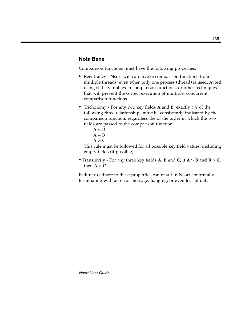# **Nota Bene**

Comparison functions must have the following properties:

- **•** Reentrancy Nsort will can invoke comparison functions from mutliple threads, even when only one process (thread) is used. Avoid using static variables in comparison functions, or other techniques that will prevent the correct execution of multiple, concurrent comparison functions.
- **•** Trichotomy For any two key fields **A** and **B**, exactly *one* of the following three relationships must be consistently indicated by the comparison function, regardless the of the order in which the two fields are passed to the comparison function:

$$
A < B
$$
\n
$$
A = B
$$
\n
$$
A > C
$$

This rule must be followed for all possible key field values, including empty fields (if possible).

**•** Transitivity - For any three key fields **A**, **B** and **C**, if **A** > **B** and **B** > **C**, then  $A > C$ .

Failure to adhere to these properties can result in Nsort abnormally terminating with an error message, hanging, or even loss of data.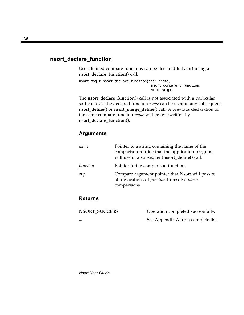## <span id="page-147-0"></span>**nsort\_declare\_function**

User-defined compare functions can be declared to Nsort using a **nsort\_declare\_function()** call.

```
nsort_msg_t nsort_declare_function(char *name, 
                                     nsort_compare_t function,
                                     void *arg);
```
The **nsort\_declare\_function**() call is not associated with a particular sort context. The declared function *name* can be used in any subsequent **nsort\_define**() or **nsort\_merge\_define**() call. A previous declaration of the same compare function *name* will be overwritten by **nsort\_declare\_function**().

### **Arguments**

| name     | Pointer to a string containing the name of the<br>comparison routine that the application program<br>will use in a subsequent <b>nsort_define</b> () call. |
|----------|------------------------------------------------------------------------------------------------------------------------------------------------------------|
| function | Pointer to the comparison function.                                                                                                                        |
| arg      | Compare argument pointer that Nsort will pass to<br>all invocations of function to resolve name<br>comparisons.                                            |

### **Returns**

| <b>NSORT SUCCESS</b> | Operation completed successfully.   |
|----------------------|-------------------------------------|
| $\cdots$             | See Appendix A for a complete list. |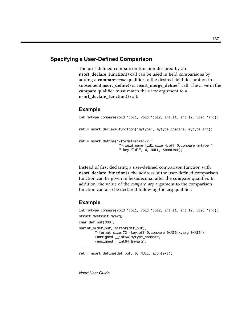### <span id="page-148-0"></span>**Specifying a User-Defined Comparison**

The user-defined comparison function declared by an **nsort\_declare\_function**() call can be used in field comparisons by adding a **compare**:*name* qualifier to the desired field declaration in a subsequent **nsort\_define**() or **nsort\_merge\_define**() call. The *name* in the **compare** qualifier must match the *name* argument to a **nsort\_declare\_function**() call.

### **Example**

```
int mytype_compare(void *col1, void *col2, int l1, int l2, void *arg);
...
ret = nsort_declare_function("mytype", mytype_compare, mytype_arg);
...
ret = nsort_define("-format=size:72 "
                    "-field:name=fld1,size=4,off=0,compare=mytype "
                    "-key:fldl", 0, NULL, &context);
```
Instead of first declaring a user-defined comparison function with **nsort declare function**(), the address of the user-defined comparison function can be given in hexadecimal after the **compare** qualifier. In addition, the value of the *compare\_arg* argument to the comparison function can also be declared following the **arg** qualifier.

### **Example**

```
int mytype_compare(void *col1, void *col2, int l1, int l2, void *arg);
struct mystruct myarg;
char def buf[300];
sprint_s(def_buf, sizeof(def_buf),
        "-format=size:72 -key:off=0,compare=0x%I64x,arg=0x%I64x"
        (unsigned __int64)mytype_compare, 
        (unsigned __int64)&myarg);
...
ret = nsort_define(def_buf, 0, NULL, &context);
```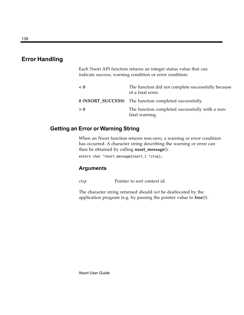# **Error Handling**

Each Nsort API function returns an integer status value that can indicate success, warning condition or error condition:

| $\leq 0$ | The function did not complete successfully because<br>of a fatal error. |
|----------|-------------------------------------------------------------------------|
|          | 0 (NSORT_SUCCESS) The function completed successfully.                  |
| > 0      | The function completed successfully with a non-<br>fatal warning.       |

# **Getting an Error or Warning String**

When an Nsort function returns non-zero, a warning or error condition has occurred. A character string describing the warning or error can then be obtained by calling **nsort\_message**():

extern char \*nsort\_message(nsort\_t \*ctxp);

# **Arguments**

*ctxp* Pointer to sort context id.

The character string returned should *not* be deallocated by the application program (e.g. by passing the pointer value to **free**()).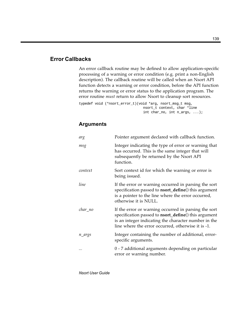# **Error Callbacks**

An error callback routine may be defined to allow application-specific processing of a warning or error condition (e.g. print a non-English description). The callback routine will be called when an Nsort API function detects a warning or error condition, before the API function returns the warning or error status to the application program. The error routine *must* return to allow Nsort to cleanup sort resources.

```
typedef void (*nsort_error_t)(void *arg, nsort_msg_t msg, 
                                nsort_t context, char *line 
                                int char_no, int n_args, ...);
```
## **Arguments**

| arg        | Pointer argument declared with callback function.                                                                                                                                                                                  |
|------------|------------------------------------------------------------------------------------------------------------------------------------------------------------------------------------------------------------------------------------|
| msg        | Integer indicating the type of error or warning that<br>has occurred. This is the same integer that will<br>subsequently be returned by the Nsort API<br>function.                                                                 |
| context    | Sort context id for which the warning or error is<br>being issued.                                                                                                                                                                 |
| line       | If the error or warning occurred in parsing the sort<br>specification passed to nsort_define() this argument<br>is a pointer to the line where the error occurred,<br>otherwise it is NULL.                                        |
| char_no    | If the error or warning occurred in parsing the sort<br>specification passed to <b>nsort_define</b> () this argument<br>is an integer indicating the character number in the<br>line where the error occurred, otherwise it is -1. |
| $n_{args}$ | Integer containing the number of additional, error-<br>specific arguments.                                                                                                                                                         |
|            | 0 - 7 additional arguments depending on particular<br>error or warning number.                                                                                                                                                     |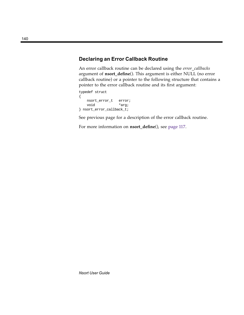### **Declaring an Error Callback Routine**

An error callback routine can be declared using the *error\_callbacks* argument of **nsort\_define**(). This argument is either NULL (no error callback routine) or a pointer to the following structure that contains a pointer to the error callback routine and its first argument:

```
typedef struct
{
   nsort_error_t error;
   void *arg; 
} nsort_error_callback_t;
```
See previous page for a description of the error callback routine.

For more information on **nsort\_define**(), see [page 117](#page-128-0).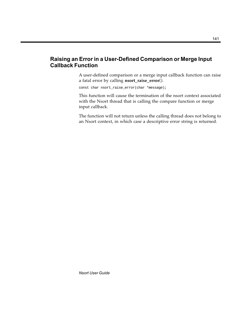# **Raising an Error in a User-Defined Comparison or Merge Input Callback Function**

A user-defined comparison or a merge input callback function can raise a fatal error by calling **nsort\_raise\_error**().

const char nsort raise error(char \*message);

This function will cause the termination of the nsort context associated with the Nsort thread that is calling the compare function or merge input callback.

The function will not return unless the calling thread does not belong to an Nsort context, in which case a descriptive error string is returned.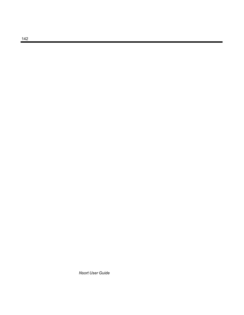142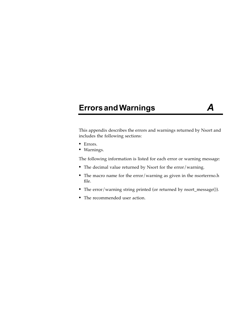# **Errors and Warnings** *A*

This appendix describes the errors and warnings returned by Nsort and includes the following sections:

- **•** Errors.
- **•** Warnings.

The following information is listed for each error or warning message:

- **•** The decimal value returned by Nsort for the error/warning.
- **•** The macro name for the error/warning as given in the nsorterrno.h file.
- **•** The error/warning string printed (or returned by nsort\_message()).
- **•** The recommended user action.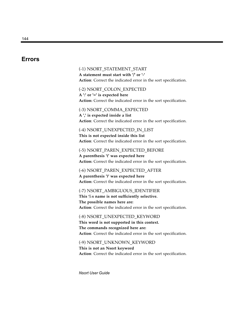### **Errors**

(-1) NSORT\_STATEMENT\_START **A statement must start with '/' or '-' Action**: Correct the indicated error in the sort specification. (-2) NSORT\_COLON\_EXPECTED **A ':' or '=' is expected here Action:** Correct the indicated error in the sort specification. (-3) NSORT\_COMMA\_EXPECTED **A ',' is expected inside a list Action**: Correct the indicated error in the sort specification. (-4) NSORT\_UNEXPECTED\_IN\_LIST **This is not expected inside this list Action**: Correct the indicated error in the sort specification. (-5) NSORT\_PAREN\_EXPECTED\_BEFORE **A parenthesis '(' was expected here Action:** Correct the indicated error in the sort specification. (-6) NSORT\_PAREN\_EXPECTED\_AFTER **A parenthesis ')' was expected here Action:** Correct the indicated error in the sort specification. (-7) NSORT\_AMBIGUOUS\_IDENTIFIER **This %s name is not sufficiently selective. The possible names here are: Action**: Correct the indicated error in the sort specification. (-8) NSORT\_UNEXPECTED\_KEYWORD **This word is not supported in this context. The commands recognized here are: Action**: Correct the indicated error in the sort specification. (-9) NSORT\_UNKNOWN\_KEYWORD **This is not an Nsort keyword Action**: Correct the indicated error in the sort specification.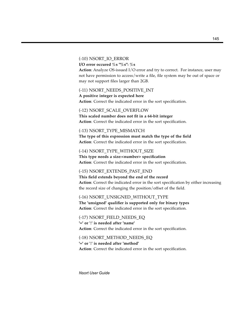#### (-10) NSORT\_IO\_ERROR

**I/O error occured %s "%s": %s** 

**Action**: Analyze OS-issued I/O error and try to correct. For instance, user may not have permission to access/write a file, file system may be out of space or may not support files larger than 2GB.

#### (-11) NSORT\_NEEDS\_POSITIVE\_INT

**A positive integer is expected here Action**: Correct the indicated error in the sort specification.

(-12) NSORT\_SCALE\_OVERFLOW **This scaled number does not fit in a 64-bit integer Action**: Correct the indicated error in the sort specification.

#### (-13) NSORT\_TYPE\_MISMATCH

**The type of this expression must match the type of the field Action**: Correct the indicated error in the sort specification.

(-14) NSORT\_TYPE\_WITHOUT\_SIZE

**This type needs a size:<number> specification Action**: Correct the indicated error in the sort specification.

#### (-15) NSORT\_EXTENDS\_PAST\_END

**This field extends beyond the end of the record Action**: Correct the indicated error in the sort specification by either increasing the record size of changing the position/offset of the field.

(-16) NSORT\_UNSIGNED\_WITHOUT\_TYPE **The 'unsigned' qualifier is supported only for binary types Action**: Correct the indicated error in the sort specification.

(-17) NSORT\_FIELD\_NEEDS\_EQ **'=' or ':' is needed after 'name' Action**: Correct the indicated error in the sort specification.

(-18) NSORT\_METHOD\_NEEDS\_EQ **'=' or ':' is needed after 'method' Action**: Correct the indicated error in the sort specification.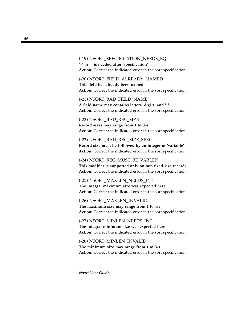(-19) NSORT\_SPECIFICATION\_NEEDS\_EQ **'=' or ':' is needed after 'specification' Action**: Correct the indicated error in the sort specification.

(-20) NSORT\_FIELD\_ALREADY\_NAMED **This field has already been named Action:** Correct the indicated error in the sort specification.

(-21) NSORT\_BAD\_FIELD\_NAME **A field name may contains letters, digits, and '\_' Action**: Correct the indicated error in the sort specification.

(-22) NSORT\_BAD\_REC\_SIZE **Record sizes may range from 1 to %s Action**: Correct the indicated error in the sort specification.

(-23) NSORT\_BAD\_REC\_SIZE\_SPEC **Record size must be followed by an integer or 'variable' Action**: Correct the indicated error in the sort specification.

(-24) NSORT\_REC\_MUST\_BE\_VARLEN **This modifier is supported only on non fixed-size records Action**: Correct the indicated error in the sort specification.

(-25) NSORT\_MAXLEN\_NEEDS\_INT **The integral maximum size was expected here Action**: Correct the indicated error in the sort specification.

(-26) NSORT\_MAXLEN\_INVALID **The maximum size may range from 1 to %s Action**: Correct the indicated error in the sort specification.

(-27) NSORT\_MINLEN\_NEEDS\_INT **The integral minimum size was expected here Action**: Correct the indicated error in the sort specification.

(-28) NSORT\_MINLEN\_INVALID **The minimum size may range from 1 to %s Action**: Correct the indicated error in the sort specification.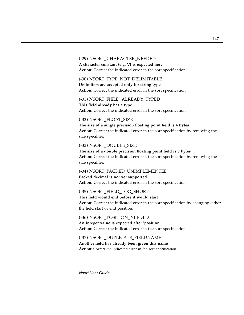#### (-29) NSORT\_CHARACTER\_NEEDED

**A character constant (e.g. ',') is expected here Action**: Correct the indicated error in the sort specification.

#### (-30) NSORT\_TYPE\_NOT\_DELIMITABLE

**Delimiters are accepted only for string types Action**: Correct the indicated error in the sort specification.

(-31) NSORT\_FIELD\_ALREADY\_TYPED

#### **This field already has a type**

**Action**: Correct the indicated error in the sort specification.

#### (-32) NSORT\_FLOAT\_SIZE

**The size of a single precision floating point field is 4 bytes Action**: Correct the indicated error in the sort specification by removing the size specifiler.

#### (-33) NSORT\_DOUBLE\_SIZE

**The size of a double precision floating point field is 8 bytes Action**: Correct the indicated error in the sort specification by removing the size specifiler.

(-34) NSORT\_PACKED\_UNIMPLEMENTED

**Packed decimal is not yet supported Action**: Correct the indicated error in the sort specification.

(-35) NSORT\_FIELD\_TOO\_SHORT

**This field would end before it would start Action**: Correct the indicated error in the sort specification by changing either the field start or end position.

(-36) NSORT\_POSITION\_NEEDED **An integer value is expected after 'position:' Action**: Correct the indicated error in the sort specification.

#### (-37) NSORT\_DUPLICATE\_FIELDNAME **Another field has already been given this name Action**: Correct the indicated error in the sort specification.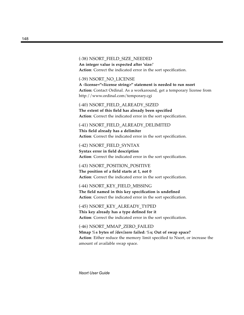(-38) NSORT\_FIELD\_SIZE\_NEEDED **An integer value is expected after 'size:' Action**: Correct the indicated error in the sort specification.

(-39) NSORT\_NO\_LICENSE

**A -license="<license string>" statement is needed to run nsort Action:** Contact Ordinal. As a workaround, get a temporary license from http://www.ordinal.com/temporary.cgi

(-40) NSORT\_FIELD\_ALREADY\_SIZED **The extent of this field has already been specified Action**: Correct the indicated error in the sort specification.

(-41) NSORT\_FIELD\_ALREADY\_DELIMITED **This field already has a delimiter Action**: Correct the indicated error in the sort specification.

(-42) NSORT\_FIELD\_SYNTAX **Syntax error in field description** 

**Action**: Correct the indicated error in the sort specification.

(-43) NSORT\_POSITION\_POSITIVE **The position of a field starts at 1, not 0 Action**: Correct the indicated error in the sort specification.

(-44) NSORT\_KEY\_FIELD\_MISSING **The field named in this key specification is undefined Action**: Correct the indicated error in the sort specification.

(-45) NSORT\_KEY\_ALREADY\_TYPED **This key already has a type defined for it Action**: Correct the indicated error in the sort specification.

(-46) NSORT\_MMAP\_ZERO\_FAILED **Mmap %s bytes of /dev/zero failed: %s; Out of swap space? Action**: Either reduce the memory limit specified to Nsort, or increase the amount of available swap space.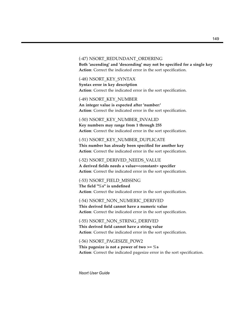#### (-47) NSORT\_REDUNDANT\_ORDERING

**Both 'ascending' and 'descending' may not be specified for a single key Action**: Correct the indicated error in the sort specification.

(-48) NSORT\_KEY\_SYNTAX **Syntax error in key description Action**: Correct the indicated error in the sort specification.

(-49) NSORT\_KEY\_NUMBER **An integer value is expected after 'number:' Action**: Correct the indicated error in the sort specification.

(-50) NSORT\_KEY\_NUMBER\_INVALID **Key numbers may range from 1 through 255 Action**: Correct the indicated error in the sort specification.

(-51) NSORT\_KEY\_NUMBER\_DUPLICATE **This number has already been specified for another key Action**: Correct the indicated error in the sort specification.

(-52) NSORT\_DERIVED\_NEEDS\_VALUE **A derived fields needs a value=<constant> specifier Action**: Correct the indicated error in the sort specification.

(-53) NSORT\_FIELD\_MISSING **The field "%s" is undefined Action**: Correct the indicated error in the sort specification.

(-54) NSORT\_NON\_NUMERIC\_DERIVED **This derived field cannot have a numeric value Action**: Correct the indicated error in the sort specification.

(-55) NSORT\_NON\_STRING\_DERIVED **This derived field cannot have a string value Action**: Correct the indicated error in the sort specification.

(-56) NSORT\_PAGESIZE\_POW2 **This pagesize is not a power of two >= %s Action**: Correct the indicated pagesize error in the sort specification.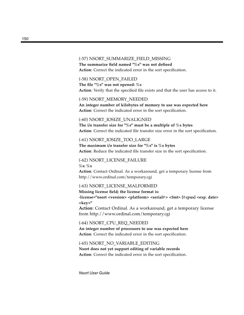### (-57) NSORT\_SUMMARIZE\_FIELD\_MISSING **The summarize field named "%s" was not defined Action**: Correct the indicated error in the sort specification.

(-58) NSORT\_OPEN\_FAILED **The file "%s" was not opened: %s Action**: Verify that the specified file exists and that the user has access to it.

(-59) NSORT\_MEMORY\_NEEDED **An integer number of kilobytes of memory to use was expected here Action**: Correct the indicated error in the sort specification.

(-60) NSORT\_IOSIZE\_UNALIGNED **The i/o transfer size for "%s" must be a multiple of %s bytes Action**: Correct the indicated file transfer size error in the sort specification.

(-61) NSORT\_IOSIZE\_TOO\_LARGE **The maximum i/o transfer size for "%s" is %s bytes Action**: Reduce the indicated file transfer size in the sort specification.

(-62) NSORT\_LICENSE\_FAILURE **%s: %s Action**: Contact Ordinal. As a workaround, get a temporary license from http://www.ordinal.com/temporary.cgi

(-63) NSORT\_LICENSE\_MALFORMED

**Missing license field; the license format is: -license="nsort <version> <platform> <serial#> <fmt> [#cpus] <exp. date> <key>"** 

**Action**: Contact Ordinal. As a workaround, get a temporary license from http://www.ordinal.com/temporary.cgi

(-64) NSORT\_CPU\_REQ\_NEEDED **An integer number of processors to use was expected here Action**: Correct the indicated error in the sort specification.

(-65) NSORT\_NO\_VARIABLE\_EDITING

**Nsort does not yet support editing of variable records Action**: Correct the indicated error in the sort specification.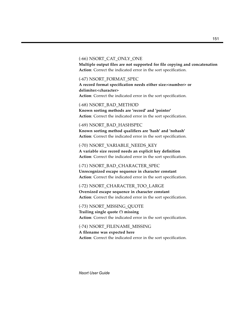#### (-66) NSORT\_CAT\_ONLY\_ONE

**Multiple output files are not supported for file copying and concatenation Action**: Correct the indicated error in the sort specification.

#### (-67) NSORT\_FORMAT\_SPEC

**A record format specification needs either size:<number> or delimiter:<character> Action**: Correct the indicated error in the sort specification.

(-68) NSORT\_BAD\_METHOD **Known sorting methods are 'record' and 'pointer' Action**: Correct the indicated error in the sort specification.

(-69) NSORT\_BAD\_HASHSPEC **Known sorting method qualifiers are 'hash' and 'nohash' Action**: Correct the indicated error in the sort specification.

(-70) NSORT\_VARIABLE\_NEEDS\_KEY **A variable size record needs an explicit key definition Action**: Correct the indicated error in the sort specification.

(-71) NSORT\_BAD\_CHARACTER\_SPEC **Unrecognized escape sequence in character constant Action**: Correct the indicated error in the sort specification.

(-72) NSORT\_CHARACTER\_TOO\_LARGE **Oversized escape sequence in character constant Action**: Correct the indicated error in the sort specification.

(-73) NSORT\_MISSING\_QUOTE **Trailing single quote (') missing Action**: Correct the indicated error in the sort specification.

(-74) NSORT\_FILENAME\_MISSING **A filename was expected here Action**: Correct the indicated error in the sort specification.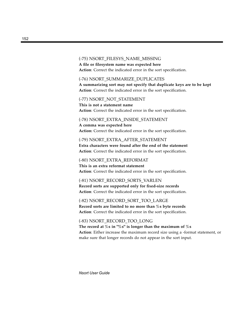#### (-75) NSORT\_FILESYS\_NAME\_MISSING

**A file or filesystem name was expected here Action**: Correct the indicated error in the sort specification.

#### (-76) NSORT\_SUMMARIZE\_DUPLICATES

**A summarizing sort may not specify that duplicate keys are to be kept Action**: Correct the indicated error in the sort specification.

(-77) NSORT\_NOT\_STATEMENT

**This is not a statement name Action**: Correct the indicated error in the sort specification.

(-78) NSORT\_EXTRA\_INSIDE\_STATEMENT **A comma was expected here Action:** Correct the indicated error in the sort specification.

(-79) NSORT\_EXTRA\_AFTER\_STATEMENT **Extra characters were found after the end of the statement Action**: Correct the indicated error in the sort specification.

(-80) NSORT\_EXTRA\_REFORMAT **This is an extra reformat statement Action**: Correct the indicated error in the sort specification.

(-81) NSORT\_RECORD\_SORTS\_VARLEN **Record sorts are supported only for fixed-size records Action**: Correct the indicated error in the sort specification.

(-82) NSORT\_RECORD\_SORT\_TOO\_LARGE **Record sorts are limited to no more than %s byte records Action**: Correct the indicated error in the sort specification.

(-83) NSORT\_RECORD\_TOO\_LONG **The record at %s in "%s" is longer than the maximum of %s Action**: Either increase the maximum record size using a -format statement, or make sure that longer records do not appear in the sort input.

152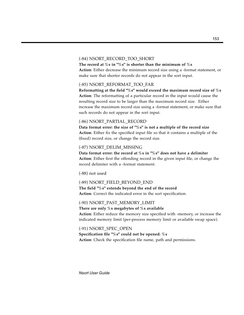#### (-84) NSORT\_RECORD\_TOO\_SHORT

#### **The record at %s in "%s" is shorter than the minimum of %s**

**Action**: Either decrease the minimum record size using a -format statement, or make sure that shorter records do not appear in the sort input.

#### (-85) NSORT\_REFORMAT\_TOO\_FAR

**Reformatting at the field "%s" would exceed the maximum record size of %s Action**: The reformatting of a particular record in the input would cause the resulting record size to be larger than the maximum record size. Either increase the maximum record size using a -format statement, or make sure that such records do not appear in the sort input.

#### (-86) NSORT\_PARTIAL\_RECORD

**Data format error: the size of "%s" is not a multiple of the record size Action**: Either fix the specified input file so that it contains a multiple of the (fixed) record size, or change the record size.

#### (-87) NSORT\_DELIM\_MISSING

**Data format error: the record at %s in "%s" does not have a delimiter Action**: Either first the offending record in the given input file, or change the record delimiter with a -format statement.

(-88) not used

(-89) NSORT\_FIELD\_BEYOND\_END **The field "%s" extends beyond the end of the record Action**: Correct the indicated error in the sort specification.

#### (-90) NSORT\_PAST\_MEMORY\_LIMIT

**There are only %s megabytes of %s available** 

**Action**: Either reduce the memory size specified with -memory, or increase the indicated memory limit (per-process memory limit or available swap space).

(-91) NSORT\_SPEC\_OPEN **Specification file "%s" could not be opened: %s Action**: Check the specification file name, path and permissions.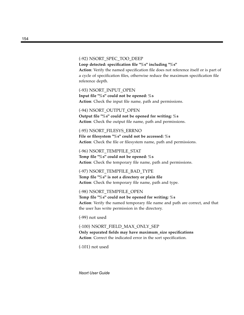#### (-92) NSORT\_SPEC\_TOO\_DEEP

**Loop detected: specification file "%s" including "%s" Action**: Verify the named specification file does not reference itself or is part of a cycle of specification files, otherwise reduce the maximum specification file reference depth.

(-93) NSORT\_INPUT\_OPEN **Input file "%s" could not be opened: %s Action**: Check the input file name, path and permissions.

(-94) NSORT\_OUTPUT\_OPEN **Output file "%s" could not be opened for writing: %s Action**: Check the output file name, path and permissions.

(-95) NSORT\_FILESYS\_ERRNO **File or filesystem "%s" could not be accessed: %s Action**: Check the file or filesystem name, path and permissions.

(-96) NSORT\_TEMPFILE\_STAT **Temp file "%s" could not be opened: %s Action**: Check the temporary file name, path and permissions.

(-97) NSORT\_TEMPFILE\_BAD\_TYPE **Temp file "%s" is not a directory or plain file Action**: Check the temporary file name, path and type.

(-98) NSORT\_TEMPFILE\_OPEN **Temp file "%s" could not be opened for writing: %s Action**: Verify the named temporary file name and path are correct, and that the user has write permission in the directory.

(-99) not used

(-100) NSORT\_FIELD\_MAX\_ONLY\_SEP **Only separated fields may have maximum\_size specifications Action**: Correct the indicated error in the sort specification.

(-101) not used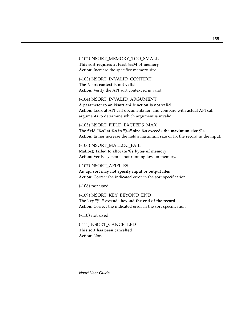(-102) NSORT\_MEMORY\_TOO\_SMALL **This sort requires at least %sM of memory Action**: Increase the specifiec memory size.

(-103) NSORT\_INVALID\_CONTEXT **The Nsort context is not valid Action**: Verify the API sort context id is valid.

(-104) NSORT\_INVALID\_ARGUMENT **A parameter to an Nsort api function is not valid Action**: Look at API call documentation and compare with actual API call arguments to determine which argument is invalid.

(-105) NSORT\_FIELD\_EXCEEDS\_MAX **The field "%s" at %s in "%s" size %s exceeds the maximum size %s Action**: Either increase the field's maximum size or fix the record in the input.

(-106) NSORT\_MALLOC\_FAIL **Malloc() failed to allocate %s bytes of memory Action**: Verify system is not running low on memory.

(-107) NSORT\_APIFILES **An api sort may not specify input or output files Action**: Correct the indicated error in the sort specification.

(-108) not used

(-109) NSORT\_KEY\_BEYOND\_END **The key "%s" extends beyond the end of the record Action**: Correct the indicated error in the sort specification.

(-110) not used

(-111) NSORT\_CANCELLED **This sort has been cancelled Action**: None.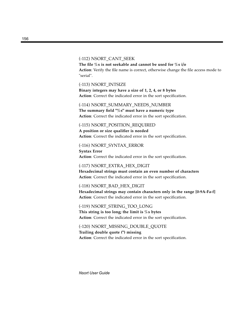#### (-112) NSORT\_CANT\_SEEK

**The file %s is not seekable and cannot be used for %s i/o Action**: Verify the file name is correct, otherwise change the file access mode to "serial".

(-113) NSORT\_INTSIZE

**Binary integers may have a size of 1, 2, 4, or 8 bytes Action**: Correct the indicated error in the sort specification.

(-114) NSORT\_SUMMARY\_NEEDS\_NUMBER **The summary field "%s" must have a numeric type Action**: Correct the indicated error in the sort specification.

(-115) NSORT\_POSITION\_REQUIRED **A position or size qualifier is needed Action**: Correct the indicated error in the sort specification.

(-116) NSORT\_SYNTAX\_ERROR

**Syntax Error Action**: Correct the indicated error in the sort specification.

(-117) NSORT\_EXTRA\_HEX\_DIGIT **Hexadecimal strings must contain an even number of characters Action**: Correct the indicated error in the sort specification.

(-118) NSORT\_BAD\_HEX\_DIGIT **Hexadecimal strings may contain characters only in the range [0-9A-Fa-f] Action**: Correct the indicated error in the sort specification.

(-119) NSORT\_STRING\_TOO\_LONG **This string is too long; the limit is %s bytes Action**: Correct the indicated error in the sort specification.

(-120) NSORT\_MISSING\_DOUBLE\_QUOTE **Trailing double quote (") missing Action**: Correct the indicated error in the sort specification.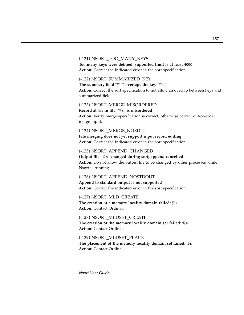#### (-121) NSORT\_TOO\_MANY\_KEYS

**Too many keys were defined: supported limit is at least 4000 Action**: Correct the indicated error in the sort specification.

#### (-122) NSORT\_SUMMARIZED\_KEY

**The summary field "%s" overlaps the key "%s" Action**: Correct the sort specification to not allow an overlap between keys and summarized fields.

(-123) NSORT\_MERGE\_MISORDERED **Record at %s in file "%s" is misordered Action**: Verify merge specification is correct, otherwise correct out-of-order merge input.

(-124) NSORT\_MERGE\_NOEDIT **File merging does not yet support input record editing Action**: Correct the indicated error in the sort specification.

(-125) NSORT\_APPEND\_CHANGED **Output file "%s" changed during sort; append cancelled Action:** Do not allow the output file to be changed by other processes while Nsort is running.

(-126) NSORT\_APPEND\_NOSTDOUT **Append to standard output is not supported Action**: Correct the indicated error in the sort specification.

(-127) NSORT\_MLD\_CREATE **The creation of a memory locality domain failed: %s Action**: Contact Ordinal.

(-128) NSORT\_MLDSET\_CREATE **The creation of the memory locality domain set failed: %s Action**: Contact Ordinal.

(-129) NSORT\_MLDSET\_PLACE **The placement of the memory locality domain set failed: %s Action**: Contact Ordinal.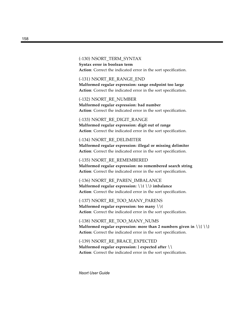#### (-130) NSORT\_TERM\_SYNTAX

**Syntax error in boolean term Action**: Correct the indicated error in the sort specification.

(-131) NSORT\_RE\_RANGE\_END **Malformed regular expression: range endpoint too large Action**: Correct the indicated error in the sort specification.

(-132) NSORT\_RE\_NUMBER **Malformed regular expression: bad number Action**: Correct the indicated error in the sort specification.

(-133) NSORT\_RE\_DIGIT\_RANGE **Malformed regular expression: digit out of range Action**: Correct the indicated error in the sort specification.

(-134) NSORT\_RE\_DELIMITER **Malformed regular expression: illegal or missing delimiter Action**: Correct the indicated error in the sort specification.

(-135) NSORT\_RE\_REMEMBERED **Malformed regular expression: no remembered search string Action**: Correct the indicated error in the sort specification.

(-136) NSORT\_RE\_PAREN\_IMBALANCE **Malformed regular expression: \\( \\) imbalance Action**: Correct the indicated error in the sort specification.

(-137) NSORT\_RE\_TOO\_MANY\_PARENS Malformed regular expression: too many  $\setminus$  ( **Action**: Correct the indicated error in the sort specification.

(-138) NSORT\_RE\_TOO\_MANY\_NUMS Malformed regular expression: more than 2 numbers given in  $\setminus \setminus \setminus \setminus$ **Action:** Correct the indicated error in the sort specification.

(-139) NSORT\_RE\_BRACE\_EXPECTED **Malformed regular expression: } expected after \\ Action**: Correct the indicated error in the sort specification.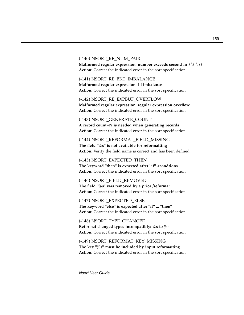### (-140) NSORT\_RE\_NUM\_PAIR

Malformed regular expression: number exceeds second in  $\setminus \setminus \setminus \setminus$ **Action**: Correct the indicated error in the sort specification.

(-141) NSORT\_RE\_BKT\_IMBALANCE **Malformed regular expression: [ ] imbalance Action**: Correct the indicated error in the sort specification.

(-142) NSORT\_RE\_EXPBUF\_OVERFLOW **Malformed regular expression: regular expression overflow Action**: Correct the indicated error in the sort specification.

(-143) NSORT\_GENERATE\_COUNT **A record count=N is needed when generating records Action**: Correct the indicated error in the sort specification.

(-144) NSORT\_REFORMAT\_FIELD\_MISSING **The field "%s" is not available for reformatting Action**: Verify the field name is correct and has been defined.

(-145) NSORT\_EXPECTED\_THEN **The keyword "then" is expected after "if" <condtion> Action**: Correct the indicated error in the sort specification.

(-146) NSORT\_FIELD\_REMOVED **The field "%s" was removed by a prior /reformat Action:** Correct the indicated error in the sort specification.

(-147) NSORT\_EXPECTED\_ELSE **The keyword "else" is expected after "if" ... "then" Action:** Correct the indicated error in the sort specification.

(-148) NSORT\_TYPE\_CHANGED **Reformat changed types incompatibly: %s to %s Action**: Correct the indicated error in the sort specification.

(-149) NSORT\_REFORMAT\_KEY\_MISSING **The key "%s" must be included by input reformatting Action**: Correct the indicated error in the sort specification.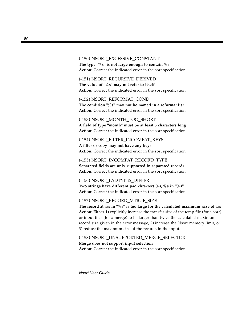(-150) NSORT\_EXCESSIVE\_CONSTANT **The type "%s" is not large enough to contain %s Action**: Correct the indicated error in the sort specification.

(-151) NSORT\_RECURSIVE\_DERIVED **The value of "%s" may not refer to itself Action:** Correct the indicated error in the sort specification.

(-152) NSORT\_REFORMAT\_COND **The condition "%s" may not be named in a reformat list Action**: Correct the indicated error in the sort specification.

(-153) NSORT\_MONTH\_TOO\_SHORT **A field of type "month" must be at least 3 characters long Action**: Correct the indicated error in the sort specification.

(-154) NSORT\_FILTER\_INCOMPAT\_KEYS **A filter or copy may not have any keys Action**: Correct the indicated error in the sort specification.

(-155) NSORT\_INCOMPAT\_RECORD\_TYPE **Separated fields are only supported in separated records Action**: Correct the indicated error in the sort specification.

(-156) NSORT\_PADTYPES\_DIFFER **Two strings have different pad chracters %s, %s in "%s" Action**: Correct the indicated error in the sort specification.

#### (-157) NSORT\_RECORD\_MTBUF\_SIZE

**The record at %s in "%s" is too large for the calculated maximum\_size of %s Action**: Either 1) explicitly increase the transfer size of the temp file (for a sort) or input files (for a merge) to be larger than twice the calculated maximum record size given in the error message, 2) increase the Nsort memory limit, or 3) reduce the maximum size of the records in the input.

# (-158) NSORT\_UNSUPPORTED\_MERGE\_SELECTOR **Merge does not support input selection**

**Action**: Correct the indicated error in the sort specification.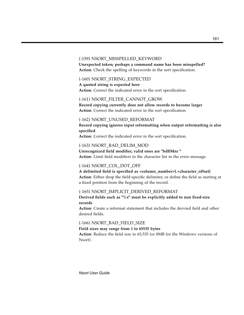#### (-159) NSORT\_MISSPELLED\_KEYWORD

**Unexpected token; perhaps a command name has been misspelled? Action**: Check the spelling of keywords in the sort specification.

#### (-160) NSORT\_STRING\_EXPECTED

**A quoted string is expected here Action**: Correct the indicated error in the sort specification.

#### (-161) NSORT\_FILTER\_CANNOT\_GROW

**Record copying currently does not allow records to become larger Action**: Correct the indicated error in the sort specification.

#### (-162) NSORT\_UNUSED\_REFORMAT

**Record copying ignores input reformatting when output reformatting is also specified** 

**Action**: Correct the indicated error in the sort specification.

#### (-163) NSORT\_BAD\_DELIM\_MOD

**Unrecognized field modifier; valid ones are "bdfiMnr " Action**: Limit field modifiers to the character list in the error message.

#### (-164) NSORT\_COL\_DOT\_OFF

**A delimited field is specified as <column\_number>[.<character\_offset] Action**: Either drop the field-specific delimiter, or define the field as starting at a fixed position from the beginning of the record.

#### (-165) NSORT\_IMPLICIT\_DERIVED\_REFORMAT

**Derived fields such as "%s" must be explicitly added to non fixed-size records** 

**Action**: Create a reformat statement that includes the dervied field and other desired fields.

#### (-166) NSORT\_BAD\_FIELD\_SIZE

**Field sizes may range from 1 to 65535 bytes** 

**Action**: Reduce the field size to 65,535 (or 8MB for the Windows versions of Nsort).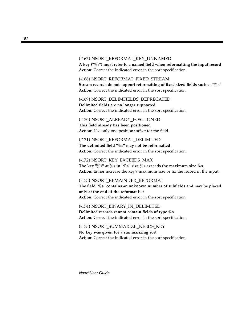#### (-167) NSORT\_REFORMAT\_KEY\_UNNAMED

**A key ("%s") must refer to a named field when reformatting the input record Action**: Correct the indicated error in the sort specification.

(-168) NSORT\_REFORMAT\_FIXED\_STREAM

**Stream records do not support reformatting of fixed sized fields such as "%s" Action**: Correct the indicated error in the sort specification.

(-169) NSORT\_DELIMFIELDS\_DEPRECATED **Delimited fields are no longer supported Action**: Correct the indicated error in the sort specification.

(-170) NSORT\_ALREADY\_POSITIONED **This field already has been positioned Action**: Use only one position/offset for the field.

(-171) NSORT\_REFORMAT\_DELIMITED **The delimited field "%s" may not be reformatted Action:** Correct the indicated error in the sort specification.

(-172) NSORT\_KEY\_EXCEEDS\_MAX **The key "%s" at %s in "%s" size %s exceeds the maximum size %s Action:** Either increase the key's maximum size or fix the record in the input.

(-173) NSORT\_REMAINDER\_REFORMAT

**The field "%s" contains an unknown number of subfields and may be placed only at the end of the reformat list Action**: Correct the indicated error in the sort specification.

(-174) NSORT\_BINARY\_IN\_DELIMITED **Delimited records cannot contain fields of type %s Action**: Correct the indicated error in the sort specification.

(-175) NSORT\_SUMMARIZE\_NEEDS\_KEY **No key was given for a summarizing sort Action**: Correct the indicated error in the sort specification.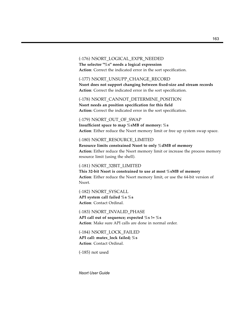#### (-176) NSORT\_LOGICAL\_EXPR\_NEEDED **The selector "%s" needs a logical expression Action**: Correct the indicated error in the sort specification.

#### (-177) NSORT\_UNSUPP\_CHANGE\_RECORD

**Nsort does not support changing between fixed-size and stream records Action**: Correct the indicated error in the sort specification.

(-178) NSORT\_CANNOT\_DETERMINE\_POSITION **Nsort needs an position specification for this field Action:** Correct the indicated error in the sort specification.

(-179) NSORT\_OUT\_OF\_SWAP **Insufficient space to map %sMB of memory: %s Action**: Either reduce the Nsort memory limit or free up system swap space.

(-180) NSORT\_RESOURCE\_LIMITED **Resource limits constrained Nsort to only %dMB of memory Action:** Either reduce the Nsort memory limit or increase the process memory resource limit (using the shell).

(-181) NSORT\_32BIT\_LIMITED

**This 32-bit Nsort is constrained to use at most %sMB of memory Action**: Either reduce the Nsort memory limit, or use the 64-bit version of Nsort.

(-182) NSORT\_SYSCALL **API system call failed %s %s Action**: Contact Ordinal.

(-183) NSORT\_INVALID\_PHASE **API call out of sequence; expected %s != %s Action**: Make sure API calls are done in normal order.

(-184) NSORT\_LOCK\_FAILED **API call: mutex\_lock failed; %s Action**: Contact Ordinal.

(-185) not used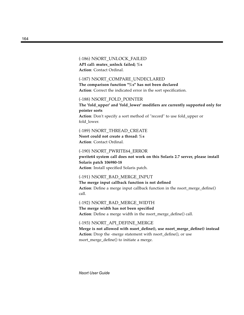(-186) NSORT\_UNLOCK\_FAILED **API call: mutex\_unlock failed; %s Action**: Contact Ordinal.

(-187) NSORT\_COMPARE\_UNDECLARED **The comparison function "%s" has not been declared Action**: Correct the indicated error in the sort specification.

(-188) NSORT\_FOLD\_POINTER **The 'fold\_upper' and 'fold\_lower' modifiers are currently supported only for pointer sorts Action**: Don't specify a sort method of "record" to use fold\_upper or fold lower.

(-189) NSORT\_THREAD\_CREATE **Nsort could not create a thread: %s Action**: Contact Ordinal.

(-190) NSORT\_PWRITE64\_ERROR

**pwrite64 system call does not work on this Solaris 2.7 server, please install Solaris patch 106980-18 Action**: Install specified Solaris patch.

(-191) NSORT\_BAD\_MERGE\_INPUT **The merge input callback function is not defined Action**: Define a merge input callback function in the nsort\_merge\_define() call.

(-192) NSORT\_BAD\_MERGE\_WIDTH **The merge width has not been specified Action**: Define a merge width in the nsort\_merge\_define() call.

(-193) NSORT\_API\_DEFINE\_MERGE **Merge is not allowed with nsort\_define(), use nsort\_merge\_define() instead Action:** Drop the -merge statement with nsort\_define(), or use nsort\_merge\_define() to initiate a merge.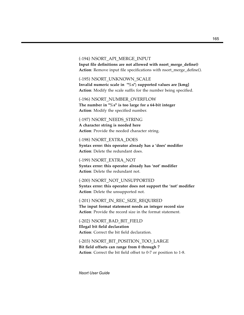(-194) NSORT\_API\_MERGE\_INPUT **Input file definitions are not allowed with nsort\_merge\_define() Action**: Remove input file specifications with nsort\_merge\_define().

(-195) NSORT\_UNKNOWN\_SCALE **Invalid numeric scale in "%s"; supported values are [kmg] Action**: Modify the scale suffix for the number being specified.

(-196) NSORT\_NUMBER\_OVERFLOW **The number in "%s" is too large for a 64-bit integer Action**: Modify the specified number.

(-197) NSORT\_NEEDS\_STRING **A character string is needed here Action**: Provide the needed character string.

(-198) NSORT\_EXTRA\_DOES **Syntax error: this operator already has a 'does' modifier Action**: Delete the redundant does.

(-199) NSORT\_EXTRA\_NOT **Syntax error: this operator already has 'not' modifier Action**: Delete the redundant not.

(-200) NSORT\_NOT\_UNSUPPORTED **Syntax error: this operator does not support the 'not' modifier Action**: Delete the unsupported not.

(-201) NSORT\_IN\_REC\_SIZE\_REQUIRED **The input format statement needs an integer record size Action**: Provide the record size in the format statement.

(-202) NSORT\_BAD\_BIT\_FIELD **Illegal bit field declaration Action**: Correct the bit field declaration.

(-203) NSORT\_BIT\_POSITION\_TOO\_LARGE **Bit field offsets can range from 0 through 7 Action**: Correct the bit field offset to 0-7 or position to 1-8.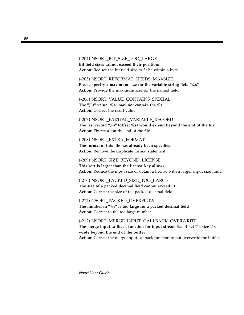(-204) NSORT\_BIT\_SIZE\_TOO\_LARGE **Bit field sizes cannot exceed their position: Action**: Reduce the bit field size to fit be within a byte.

(-205) NSORT\_REFORMAT\_NEEDS\_MAXSIZE **Please specify a maximum size for the variable string field "%s" Action**: Provide the maximum size for the named field.

(-206) NSORT\_VALUE\_CONTAINS\_SPECIAL **The "%s" value "%s" may not contain the %s Action**: Correct the nsort value.

(-207) NSORT\_PARTIAL\_VARIABLE\_RECORD **The last record "%s" (offset %s) would extend beyond the end of the file Action**: Fix record at the end of the file.

(-208) NSORT\_EXTRA\_FORMAT **The format of this file has already been specified Action**: Remove the duplicate format statement.

(-209) NSORT\_SIZE\_BEYOND\_LICENSE **This sort is larger than the license key allows Action**: Reduce the input size or obtain a license with a larger input size limit.

(-210) NSORT\_PACKED\_SIZE\_TOO\_LARGE **The size of a packed decimal field cannot exceed 31 Action**: Correct the size of the packed decimal field.

(-211) NSORT\_PACKED\_OVERFLOW **The number in "%s" is too large for a packed decimal field Action**: Correct to the too large number.

(-212) NSORT\_MERGE\_INPUT\_CALLBACK\_OVERWRITE **The merge input callback function for input stream %s offset %s size %s wrote beyond the end of the buffer Action**: Correct the merge input callback function to not overwrite the buffer.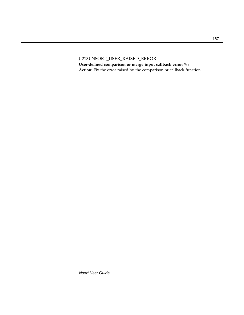(-213) NSORT\_USER\_RAISED\_ERROR **User-defined comparison or merge input callback error: %s Action**: Fix the error raised by the comparison or callback function.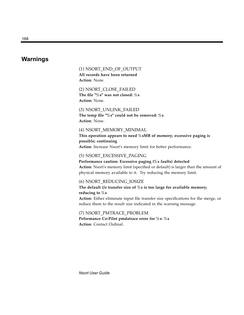# **Warnings**

(1) NSORT\_END\_OF\_OUTPUT **All records have been returned Action**: None.

(2) NSORT\_CLOSE\_FAILED **The file "%s" was not closed: %s Action:** None.

(3) NSORT\_UNLINK\_FAILED **The temp file "%s" could not be removed: %s Action**: None.

(4) NSORT\_MEMORY\_MINIMAL **This operation appears to need %sMB of memory; excessive paging is possible; continuing Action**: Increase Nsort's memory limit for better performance.

(5) NSORT\_EXCESSIVE\_PAGING **Performance caution: Excessive paging (%s faults) detected Action**: Nsort's memory limit (specified or default) is larger than the amount of physical memory available to it. Try reducing the memory limit.

(6) NSORT\_REDUCING\_IOSIZE **The default i/o transfer size of %s is too large for available memory; reducing to %s Action**: Either eliminate input file transfer size specifications for the merge, or reduce them to the result size indicated in the warning message.

(7) NSORT\_PMTRACE\_PROBLEM **Peformance Co-Pilot pmdatrace error for %s: %s Action**: Contact Ordinal.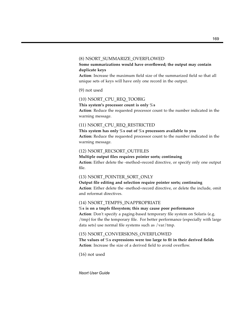#### (8) NSORT\_SUMMARIZE\_OVERFLOWED

## **Some summarizations would have overflowed; the output may contain duplicate keys**

**Action**: Increase the maximum field size of the summarized field so that all unique sets of keys will have only one record in the output.

(9) not used

## (10) NSORT\_CPU\_REQ\_TOOBIG

#### **This system's processor count is only %s**

**Action**: Reduce the requested processor count to the number indicated in the warning message.

#### (11) NSORT\_CPU\_REQ\_RESTRICTED

## **This system has only %s out of %s processors available to you Action:** Reduce the requested processor count to the number indicated in the warning message.

#### (12) NSORT\_RECSORT\_OUTFILES

## **Multiple output files requires pointer sorts; continuing Action:** Either delete the -method=record directive, or specify only one output file.

#### (13) NSORT\_POINTER\_SORT\_ONLY

# **Output file editing and selection require pointer sorts; continuing**

**Action**: Either delete the -method=record directive, or delete the include, omit and reformat directives.

#### (14) NSORT\_TEMPFS\_INAPPROPRIATE

#### **%s is on a tmpfs filesystem; this may cause poor performance**

**Action**: Don't specify a paging-based temporary file system on Solaris (e.g. /tmp) for the the temporary file. For better performance (especially with large data sets) use normal file systems such as /var/tmp.

#### (15) NSORT\_CONVERSIONS\_OVERFLOWED

**The values of %s expressions were too large to fit in their derived fields Action**: Increase the size of a derived field to avoid overflow.

(16) not used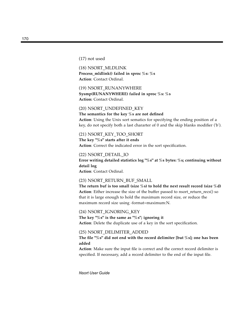(17) not used

(18) NSORT\_MLDLINK **Process\_mldlink() failed in sproc %s: %s Action**: Contact Ordinal.

(19) NSORT\_RUNANYWHERE **Sysmp(RUNANYWHERE) failed in sproc %s: %s Action:** Contact Ordinal.

(20) NSORT\_UNDEFINED\_KEY **The semantics for the key %s are not defined Action**: Using the Unix sort sematics for specifying the ending position of a key, do not specify both a last chararter of 0 and the skip blanks modifier ('b').

(21) NSORT\_KEY\_TOO\_SHORT **The key "%s" starts after it ends Action**: Correct the indicated error in the sort specification.

(22) NSORT\_DETAIL\_IO **Error writing detailed statistics log "%s" at %s bytes: %s; continuing without detail log Action**: Contact Ordinal.

#### (23) NSORT\_RETURN\_BUF\_SMALL

**The return buf is too small (size %s) to hold the next result record (size %d) Action**: Either increase the size of the buffer passed to nsort\_return\_recs() so that it is large enough to hold the maximum record size, or reduce the maximum record size using -format=maximum:N.

(24) NSORT\_IGNORING\_KEY

**The key "%s" is the same as "%s"; ignoring it Action**: Delete the duplicate use of a key in the sort specification.

#### (25) NSORT\_DELIMITER\_ADDED

**The file "%s" did not end with the record delimiter [but %s]; one has been added** 

**Action**: Make sure the input file is correct and the correct record delimiter is specified. If necessary, add a record delimiter to the end of the input file.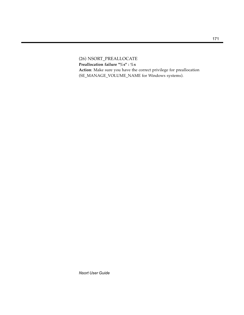(26) NSORT\_PREALLOCATE **Preallocation failure "%s" : %s Action**: Make sure you have the correct privilege for preallocation (SE\_MANAGE\_VOLUME\_NAME for Windows systems).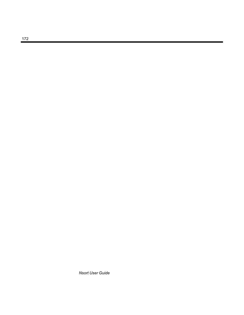172

*Nsort User Guide*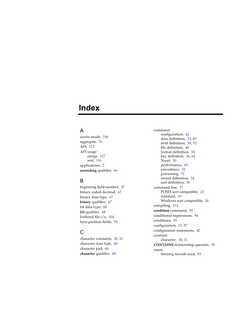# **Index**

## A

access mode, [104](#page-115-0) aggregate, [76](#page-87-0) API, [113](#page-124-0) API usage merge, [127](#page-138-0) sort, [116](#page-127-0) applications, [2](#page-13-0) **ascending** qualifier, [66](#page-77-0)

# B

beginning field number, [57](#page-68-0) binary coded decimal, [67](#page-78-0) binary data type, [67](#page-78-1) **binary** qualifier, [67](#page-78-1) bit data type, [68](#page-79-0) **bit** qualifier, [68](#page-79-0) buffered file i/o, [104](#page-115-0) byte-position fields, [55](#page-66-0)

# C

character constants, [30,](#page-41-0) [31](#page-42-0) character data type, [68](#page-79-1) character pad, [68](#page-79-2) **character** qualifier, [68](#page-79-1)

command configuration, [42](#page-53-0) data definition, [33](#page-44-0), [45](#page-56-0) field definition, [35,](#page-46-0) [52](#page-63-0) file definition, [40](#page-51-0) format definition, [34](#page-45-0) key definition, [36](#page-47-0), [64](#page-75-0) Nsort, [30](#page-41-0) performance, [42](#page-53-0) precedence, [32](#page-43-0) processing, [32](#page-43-0) record definition, [34](#page-45-0) sort definition, [38](#page-49-0) command line, [17](#page-28-0) POSIX sort compatible, [23](#page-34-0) standard, [19](#page-30-0) Windows sort compatible, [26](#page-37-0) compiling, [114](#page-125-0) **condition** command, [95](#page-106-0) conditional expressions, [94](#page-105-0) conditions, [95](#page-106-0) configuration, [15,](#page-26-0) [97](#page-108-0) configuration statements, [42](#page-53-0) constant character, [30](#page-41-0), [31](#page-42-0) **CONTAINS** relationship operator, [95](#page-106-1) count limiting records read, [83](#page-94-0)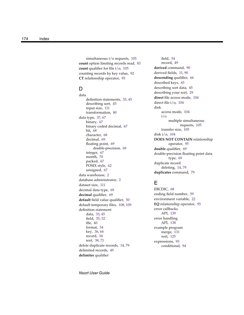simultaneous i/o requests, [105](#page-116-0) **count** option limiting records read, [83](#page-94-0) **count** qualifier for file i/o, [105](#page-116-0) counting records by key value, [92](#page-103-0) **CT** relationship operator, [95](#page-106-1)

## D

data definition statements, [33,](#page-44-0) [45](#page-56-0) describing sort, [45](#page-56-0) input size, [111](#page-122-0) transformation, [80](#page-91-0) data type, [37](#page-48-0), [67](#page-78-2) binary, [67](#page-78-1) binary coded decimal, [67](#page-78-0) bit, [68](#page-79-0) character, [68](#page-79-1) decimal, [69](#page-80-0) floating point, [69](#page-80-1) double-precision, [69](#page-80-2) integer, [67](#page-78-1) month, [70](#page-81-0) packed, [67](#page-78-0) POSIX style, [62](#page-73-0) unsigned, [67](#page-78-1) data warehouse, [2](#page-13-0) database administrator, [2](#page-13-0) dataset size, [111](#page-122-0) decimal data type, [69](#page-80-0) **decimal** qualifier, [69](#page-80-0) **default** field value qualifier, [50](#page-61-0) default temporary files, [108,](#page-119-0) [109](#page-120-0) definition statement data, [33,](#page-44-0) [45](#page-56-0) field, [35](#page-46-0), [52](#page-63-0) file, [40](#page-51-0) format, [34](#page-45-0) key, [36,](#page-47-0) [64](#page-75-0) record, [34](#page-45-0) sort, [38,](#page-49-0) [71](#page-82-0) delete duplicate records, [14](#page-25-0), [79](#page-90-0) delimited records, [49](#page-60-0) **delimiter** qualifier

field, [54](#page-65-0) record, [49](#page-60-0) **derived** command, [90](#page-101-0) derived fields, [11](#page-22-0), [90](#page-101-0) **descending** qualifier, [66](#page-77-1) described keys, [65](#page-76-0) describing sort data, [45](#page-56-0) describing your sort, [29](#page-40-0) **direct** file access mode, [104](#page-115-0) direct file i/o, [104](#page-115-0) disk access mode, [104](#page-115-0) i/o multiple simultaneous requests, [105](#page-116-0) transfer size, [105](#page-116-1) disk i/o, [104](#page-115-1) **DOES NOT CONTAIN** relationship operator, [95](#page-106-2) **double** qualifier, [69](#page-80-2) double-precision floating point data type, [69](#page-80-2) duplicate record deleting, [14](#page-25-0), [79](#page-90-0) **duplicates** command, [79](#page-90-0)

## E

EBCDIC, [68](#page-79-3) ending field number, [59](#page-70-0) environment variable, [22](#page-33-0) **EQ** relationship operator, [95](#page-106-3) error callbacks API, [139](#page-150-0) error handling API, [138](#page-149-0) example program merge, [131](#page-142-0) sort, [125](#page-136-0) expressions, [93](#page-104-0) conditional, [94](#page-105-0)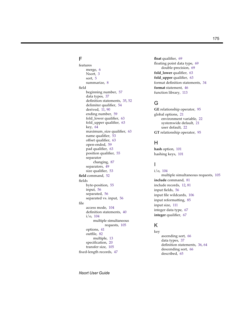## F

features merge, [6](#page-17-0) Nsort, [3](#page-14-0) sort, [5](#page-16-0) summarize, [8](#page-19-0) field beginning number, [57](#page-68-0) data types, [37](#page-48-0) definition statements, [35,](#page-46-0) [52](#page-63-0) delimiter qualifier, [54](#page-65-0) derived, [11,](#page-22-0) [90](#page-101-0) ending number, [59](#page-70-0) fold\_lower qualifier, [63](#page-74-0) fold\_upper qualifier, [63](#page-74-1) key, [64](#page-75-1) maximum\_size qualifier, [63](#page-74-2) name qualifier, [53](#page-64-0) offset qualifier, [63](#page-74-3) open-ended, [59](#page-70-1) pad qualifier, [63](#page-74-4) position qualifier, [55](#page-66-1) separator changing, [87](#page-98-0) separators, [49](#page-60-1) size qualifier, [53](#page-64-1) **field** command, [52](#page-63-0) fields byte-position, [55](#page-66-0) input, [56](#page-67-0) separated, [56](#page-67-1) separated vs. input, [56](#page-67-0) file access mode, [104](#page-115-0) definition statements, [40](#page-51-0) i/o, [104](#page-115-1) multiple simultaneous requests, [105](#page-116-0) options, [41](#page-52-0) outfile, [82](#page-93-0) multiple, [13](#page-24-0) specification, [20](#page-31-0) transfer size, [105](#page-116-1) fixed-length records, [47](#page-58-0)

**float** qualifier, [69](#page-80-1) floating point data type, [69](#page-80-1) double-precision, [69](#page-80-2) **fold\_lower** qualifier, [63](#page-74-0) **fold\_upper** qualifier, [63](#page-74-1) format definition statements, [34](#page-45-0) **format** statement, [46](#page-57-0) function library, [113](#page-124-0)

# G

**GE** relationship operator, [95](#page-106-4) global options, [21](#page-32-0) environment variable, [22](#page-33-0) systemwide default, [21](#page-32-1) user default, [22](#page-33-1) **GT** relationship operator, [95](#page-106-5)

## H

**hash** option, [101](#page-112-0) hashing keys, [101](#page-112-0)

# I

i/o, [104](#page-115-1) multiple simultaneous requests, [105](#page-116-0) **include** command, [81](#page-92-0) include records, [12,](#page-23-0) [81](#page-92-0) input fields, [56](#page-67-0) input file wildcards, [106](#page-117-0) input reformatting, [85](#page-96-0) input size, [111](#page-122-0) integer data type, [67](#page-78-1) **integer** qualifier, [67](#page-78-1)

# K

key ascending sort, [66](#page-77-0) data types, [37](#page-48-0) definition statements, [36,](#page-47-0) [64](#page-75-0) descending sort, [66](#page-77-0) described, [65](#page-76-0)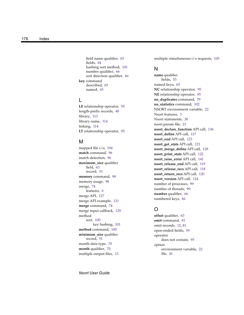field name qualifier, [65](#page-76-1) fields, [64](#page-75-1) hashing sort method, [101](#page-112-0) number qualifier, [66](#page-77-2) sort direction qualifier, [66](#page-77-0) **key** command described, [65](#page-76-0) named, [65](#page-76-1)

## L

**LE** relationship operator, [95](#page-106-6) length-prefix records, [48](#page-59-0) library, [113](#page-124-0) library name, [114](#page-125-1) linking, [114](#page-125-0) **LT** relationship operator, [95](#page-106-7)

## M

mapped file  $i/\sigma$ , [104](#page-115-0) **match** command, [96](#page-107-0) match detection, [96](#page-107-0) **maximum\_size** qualifier field, [63](#page-74-2) record, [51](#page-62-0) **memory** command, [98](#page-109-0) memory usage, [98](#page-109-0) merge, [74](#page-85-0) features, [6](#page-17-0) merge API, [127](#page-138-0) merge API example, [131](#page-142-0) **merge** command, [74](#page-85-0) merge input callback, [129](#page-140-0) method sort, [100](#page-111-0) key hashing, [101](#page-112-0) **method** command, [100](#page-111-0) **minimum\_size** qualifier record, [51](#page-62-0) month data type, [70](#page-81-0) **month** qualifier, [70](#page-81-0) multiple output files, [13](#page-24-0)

multiple simultaneous i/o requests, [105](#page-116-0)

## N

**name** qualifier fields, [53](#page-64-0) named keys, [65](#page-76-1) **NC** relationship operator, [95](#page-106-2) **NE** relationship operator, [95](#page-106-8) **no\_duplicates** command, [79](#page-90-0) **no\_statistics** command, [102](#page-113-0) NSORT environment variable, [22](#page-33-0) Nsort features, [3](#page-14-0) Nsort statements, [30](#page-41-0) nsort.param file, [21](#page-32-1) **nsort\_declare\_function** API call, [136](#page-147-0) **nsort\_define** API call, [117](#page-128-0) **nsort\_end** API call, [123](#page-134-0) **nsort\_get\_stats** API call, [121](#page-132-0) **nsort\_merge\_define** API call, [128](#page-139-0) **nsort\_print\_stats** API call, [122](#page-133-0) **nsort\_raise\_error** API call, [141](#page-152-0) **nsort\_release\_end** API call, [119](#page-130-0) **nsort\_release\_recs** API call, [118](#page-129-0) **nsort\_return\_recs** API call, [120](#page-131-0) **nsort\_version** API call, [124](#page-135-0) number of processes, [99](#page-110-0) number of threads, [99](#page-110-0) **number** qualifier, [66](#page-77-2) numbered keys, [66](#page-77-2)

# O

**offset** qualifier, [63](#page-74-3) **omit** command, [81](#page-92-0) omit records, [12,](#page-23-0) [81](#page-92-0) open-ended fields, [59](#page-70-1) operator does not contain, [95](#page-106-2) option environment variable, [22](#page-33-0) file, [41](#page-52-0)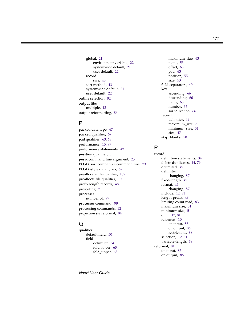global, [21](#page-32-0) environment variable, [22](#page-33-0) systemwide default, [21](#page-32-1) user default, [22](#page-33-1) record size, [48](#page-59-0) sort method, [43](#page-54-0) systemwide default, [21](#page-32-1) user default, [22](#page-33-1) outfile selection, [82](#page-93-0) output files multiple, [13](#page-24-0) output reformatting, [86](#page-97-0)

## P

packed data type, [67](#page-78-0) **packed** qualifier, [67](#page-78-0) **pad** qualifier, [63](#page-74-4), [68](#page-79-2) performance, [15,](#page-26-0) [97](#page-108-0) performance statements, [42](#page-53-0) **position** qualifier, [55](#page-66-1) **posix** command line argument, [25](#page-36-0) POSIX sort compatible command line, [23](#page-34-0) POSIX-style data types, [62](#page-73-0) preallocate file qualifier, [107](#page-118-0) preallocte file qualifier, [109](#page-120-1) prefix length records, [48](#page-59-0) presorting, [2](#page-13-0) processes number of, [99](#page-110-0) **processes** command, [99](#page-110-0) processing commands, [32](#page-43-0) projection *see* reformat, [84](#page-95-0)

## $\Omega$

qualifier default field, [50](#page-61-0) field delimiter, [54](#page-65-0) fold\_lower, [63](#page-74-0) fold\_upper, [63](#page-74-1)

maximum\_size, [63](#page-74-2) name, [53](#page-64-0) offset, [63](#page-74-3) pad, [63](#page-74-4) position, [55](#page-66-1) size, [53](#page-64-1) field separators, [49](#page-60-1) key ascending, [66](#page-77-0) descending, [66](#page-77-0) name, [65](#page-76-1) number, [66](#page-77-2) sort direction, [66](#page-77-0) record delimiter, [49](#page-60-0) maximum\_size, [51](#page-62-0) minimum\_size, [51](#page-62-0) size, [47](#page-58-0) skip\_blanks, [50](#page-61-1)

# R

record definition statements, [34](#page-45-0) delete duplicates, [14,](#page-25-0) [79](#page-90-0) delimited, [49](#page-60-0) delimiter changing, [87](#page-98-0) fixed-length, [47](#page-58-0) format, [46](#page-57-0) changing, [87](#page-98-0) include, [12](#page-23-0), [81](#page-92-0) length-prefix, [48](#page-59-0) limiting count read, [83](#page-94-0) maximum size, [51](#page-62-0) minimum size, [51](#page-62-0) omit, [12,](#page-23-0) [81](#page-92-0) reformat, [10](#page-21-0) on input, [85](#page-96-0) on output, [86](#page-97-0) restrictions, [88](#page-99-0) selection, [12](#page-23-0), [81](#page-92-0) variable-length, [48](#page-59-0) reformat, [84](#page-95-0) on input, [85](#page-96-0) on output, [86](#page-97-0)

177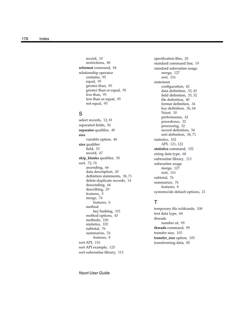record, [10](#page-21-0) restrictions, [88](#page-99-0) **reformat** command, [84](#page-95-0) relationship operator contains, [95](#page-106-1) equal, [95](#page-106-3) greater than, [95](#page-106-5) greater than or equal, [95](#page-106-4) less than, [95](#page-106-7) less than or equal, [95](#page-106-6) not equal, [95](#page-106-8)

## S

select records, [12,](#page-23-0) [81](#page-92-0) separated fields, [56](#page-67-1) **separator** qualifier, [49](#page-60-1) **size** variable option, [48](#page-59-0) **size** qualifier field, [53](#page-64-1) record, [47](#page-58-0) **skip\_blanks** qualifier, [50](#page-61-1) sort, [72,](#page-83-0) [76](#page-87-0) ascending, [66](#page-77-0) data description, [45](#page-56-0) definition statements, [38,](#page-49-0) [71](#page-82-0) delete duplicate records, [14](#page-25-0) descending, [66](#page-77-0) describing, [29](#page-40-0) features, [5](#page-16-0) merge, [74](#page-85-0) features, [6](#page-17-0) method key hashing, [101](#page-112-0) method options, [43](#page-54-0) methods, [100](#page-111-0) statistics, [102](#page-113-0) subtotal, [76](#page-87-0) summarize, [76](#page-87-0) features, [8](#page-19-0) sort API, [116](#page-127-0) sort API example, [125](#page-136-0) sort subroutine library, [113](#page-124-0)

specification files, [20](#page-31-0) standard command line, [19](#page-30-0) standard subroutine usage merge, [127](#page-138-0) sort, [116](#page-127-0) statement configuration, [42](#page-53-0) data definition, [33,](#page-44-0) [45](#page-56-0) field definition, [35](#page-46-0), [52](#page-63-0) file definition, [40](#page-51-0) format definition, [34](#page-45-0) key definition, [36](#page-47-0), [64](#page-75-0) Nsort, [30](#page-41-0) performance, [42](#page-53-0) precedence, [32](#page-43-0) processing, [32](#page-43-0) record definition, [34](#page-45-0) sort definition, [38](#page-49-0), [71](#page-82-0) statistics, [102](#page-113-0) API, [121](#page-132-0), [122](#page-133-0) **statistics** command, [102](#page-113-0) string data type, [68](#page-79-1) subroutine library, [113](#page-124-0) subroutine usage merge, [127](#page-138-0) sort, [116](#page-127-0) subtotal, [76](#page-87-0) summarize, [76](#page-87-0) features, [8](#page-19-0) systemwide default options, [21](#page-32-1)

## T

temporary file wildcards, [108](#page-119-1) text data type, [68](#page-79-1) threads number of, [99](#page-110-0) **threads** command, [99](#page-110-0) transfer size, [105](#page-116-1) **transfer\_size** option, [105](#page-116-1) transforming data, [80](#page-91-0)